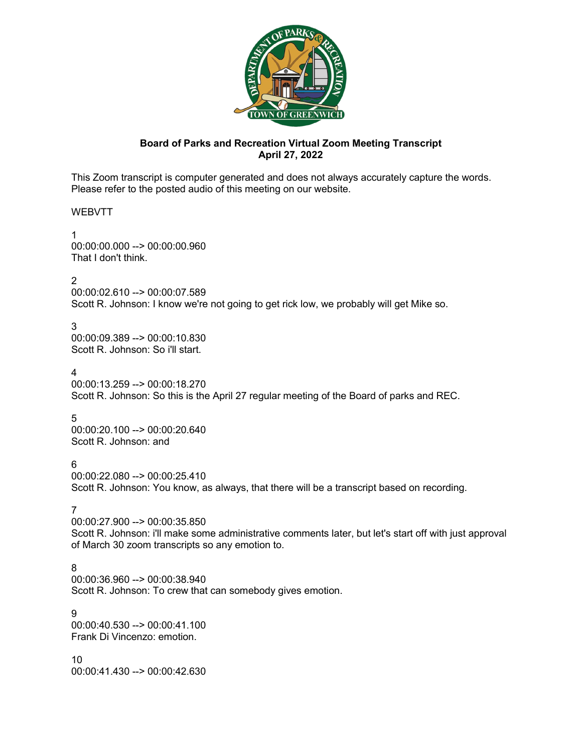

# **Board of Parks and Recreation Virtual Zoom Meeting Transcript April 27, 2022**

This Zoom transcript is computer generated and does not always accurately capture the words. Please refer to the posted audio of this meeting on our website.

WEBVTT

1 00:00:00.000 --> 00:00:00.960 That I don't think.

2

00:00:02.610 --> 00:00:07.589 Scott R. Johnson: I know we're not going to get rick low, we probably will get Mike so.

3

00:00:09.389 --> 00:00:10.830 Scott R. Johnson: So i'll start.

4

00:00:13.259 --> 00:00:18.270 Scott R. Johnson: So this is the April 27 regular meeting of the Board of parks and REC.

5

00:00:20.100 --> 00:00:20.640 Scott R. Johnson: and

6

00:00:22.080 --> 00:00:25.410 Scott R. Johnson: You know, as always, that there will be a transcript based on recording.

7

00:00:27.900 --> 00:00:35.850 Scott R. Johnson: i'll make some administrative comments later, but let's start off with just approval of March 30 zoom transcripts so any emotion to.

8

00:00:36.960 --> 00:00:38.940 Scott R. Johnson: To crew that can somebody gives emotion.

9 00:00:40.530 --> 00:00:41.100 Frank Di Vincenzo: emotion.

10 00:00:41.430 --> 00:00:42.630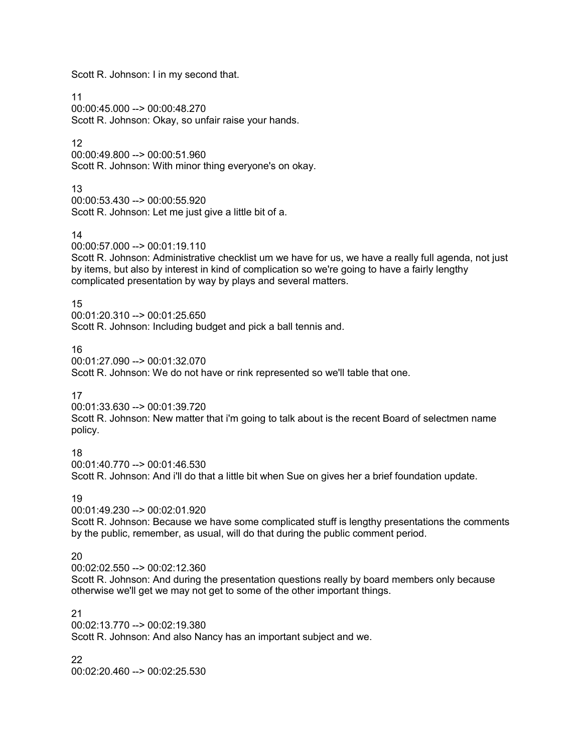Scott R. Johnson: I in my second that.

11 00:00:45.000 --> 00:00:48.270 Scott R. Johnson: Okay, so unfair raise your hands.

12

00:00:49.800 --> 00:00:51.960 Scott R. Johnson: With minor thing everyone's on okay.

13

00:00:53.430 --> 00:00:55.920 Scott R. Johnson: Let me just give a little bit of a.

14

00:00:57.000 --> 00:01:19.110

Scott R. Johnson: Administrative checklist um we have for us, we have a really full agenda, not just by items, but also by interest in kind of complication so we're going to have a fairly lengthy complicated presentation by way by plays and several matters.

15

00:01:20.310 --> 00:01:25.650

Scott R. Johnson: Including budget and pick a ball tennis and.

16

00:01:27.090 --> 00:01:32.070

Scott R. Johnson: We do not have or rink represented so we'll table that one.

17

00:01:33.630 --> 00:01:39.720 Scott R. Johnson: New matter that i'm going to talk about is the recent Board of selectmen name policy.

18

00:01:40.770 --> 00:01:46.530 Scott R. Johnson: And i'll do that a little bit when Sue on gives her a brief foundation update.

19

00:01:49.230 --> 00:02:01.920

Scott R. Johnson: Because we have some complicated stuff is lengthy presentations the comments by the public, remember, as usual, will do that during the public comment period.

20

00:02:02.550 --> 00:02:12.360

Scott R. Johnson: And during the presentation questions really by board members only because otherwise we'll get we may not get to some of the other important things.

# 21

00:02:13.770 --> 00:02:19.380 Scott R. Johnson: And also Nancy has an important subject and we.

22

00:02:20.460 --> 00:02:25.530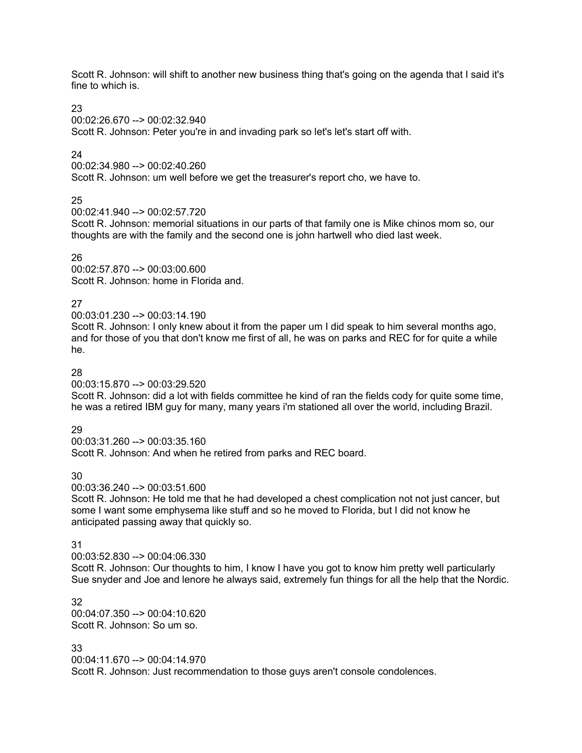Scott R. Johnson: will shift to another new business thing that's going on the agenda that I said it's fine to which is.

#### 23

00:02:26.670 --> 00:02:32.940

Scott R. Johnson: Peter you're in and invading park so let's let's start off with.

# 24

00:02:34.980 --> 00:02:40.260

Scott R. Johnson: um well before we get the treasurer's report cho, we have to.

# 25

00:02:41.940 --> 00:02:57.720

Scott R. Johnson: memorial situations in our parts of that family one is Mike chinos mom so, our thoughts are with the family and the second one is john hartwell who died last week.

#### 26

00:02:57.870 --> 00:03:00.600 Scott R. Johnson: home in Florida and.

## 27

00:03:01.230 --> 00:03:14.190

Scott R. Johnson: I only knew about it from the paper um I did speak to him several months ago, and for those of you that don't know me first of all, he was on parks and REC for for quite a while he.

#### 28

00:03:15.870 --> 00:03:29.520

Scott R. Johnson: did a lot with fields committee he kind of ran the fields cody for quite some time, he was a retired IBM guy for many, many years i'm stationed all over the world, including Brazil.

## 29

00:03:31.260 --> 00:03:35.160 Scott R. Johnson: And when he retired from parks and REC board.

## 30

00:03:36.240 --> 00:03:51.600

Scott R. Johnson: He told me that he had developed a chest complication not not just cancer, but some I want some emphysema like stuff and so he moved to Florida, but I did not know he anticipated passing away that quickly so.

#### 31

00:03:52.830 --> 00:04:06.330

Scott R. Johnson: Our thoughts to him, I know I have you got to know him pretty well particularly Sue snyder and Joe and lenore he always said, extremely fun things for all the help that the Nordic.

32 00:04:07.350 --> 00:04:10.620 Scott R. Johnson: So um so.

#### 33

00:04:11.670 --> 00:04:14.970

Scott R. Johnson: Just recommendation to those guys aren't console condolences.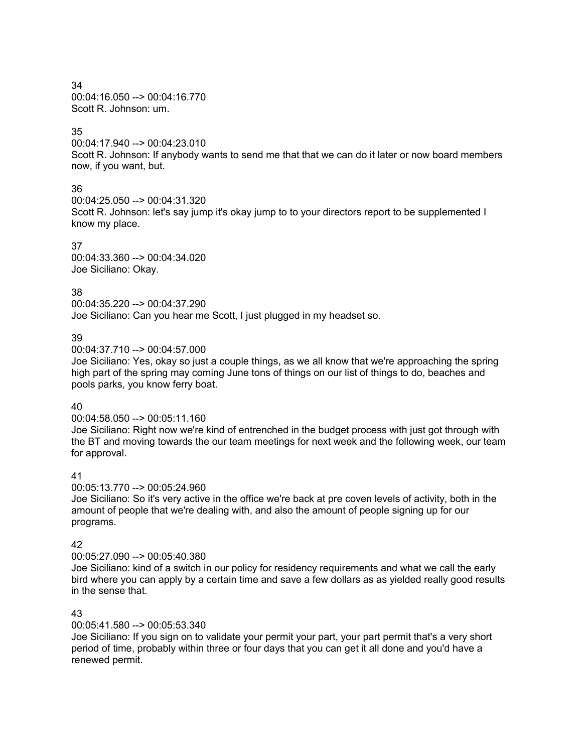34 00:04:16.050 --> 00:04:16.770 Scott R. Johnson: um.

## 35

00:04:17.940 --> 00:04:23.010 Scott R. Johnson: If anybody wants to send me that that we can do it later or now board members now, if you want, but.

# 36

00:04:25.050 --> 00:04:31.320 Scott R. Johnson: let's say jump it's okay jump to to your directors report to be supplemented I know my place.

## 37

00:04:33.360 --> 00:04:34.020 Joe Siciliano: Okay.

# 38

00:04:35.220 --> 00:04:37.290 Joe Siciliano: Can you hear me Scott, I just plugged in my headset so.

## 39

00:04:37.710 --> 00:04:57.000

Joe Siciliano: Yes, okay so just a couple things, as we all know that we're approaching the spring high part of the spring may coming June tons of things on our list of things to do, beaches and pools parks, you know ferry boat.

## 40

00:04:58.050 --> 00:05:11.160

Joe Siciliano: Right now we're kind of entrenched in the budget process with just got through with the BT and moving towards the our team meetings for next week and the following week, our team for approval.

## 41

00:05:13.770 --> 00:05:24.960

Joe Siciliano: So it's very active in the office we're back at pre coven levels of activity, both in the amount of people that we're dealing with, and also the amount of people signing up for our programs.

## 42

00:05:27.090 --> 00:05:40.380

Joe Siciliano: kind of a switch in our policy for residency requirements and what we call the early bird where you can apply by a certain time and save a few dollars as as yielded really good results in the sense that.

# 43

00:05:41.580 --> 00:05:53.340

Joe Siciliano: If you sign on to validate your permit your part, your part permit that's a very short period of time, probably within three or four days that you can get it all done and you'd have a renewed permit.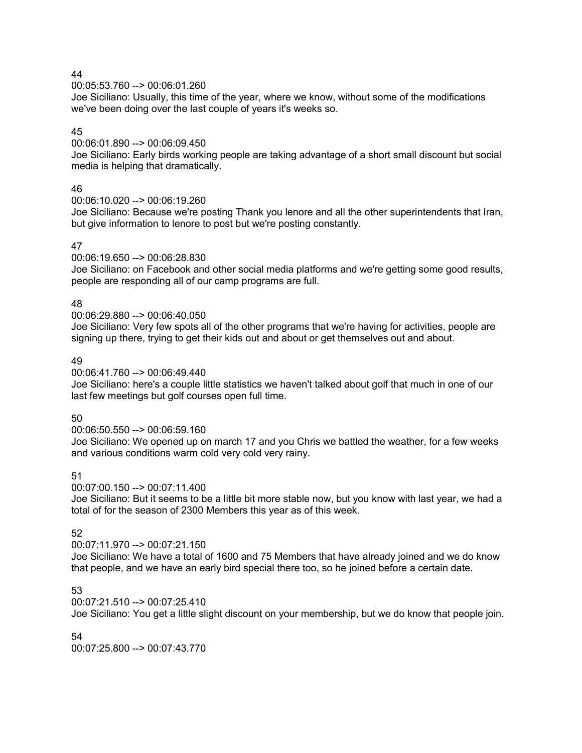00:05:53.760 --> 00:06:01.260

Joe Siciliano: Usually, this time of the year, where we know, without some of the modifications we've been doing over the last couple of years it's weeks so.

# 45

00:06:01.890 --> 00:06:09.450

Joe Siciliano: Early birds working people are taking advantage of a short small discount but social media is helping that dramatically.

## 46

00:06:10.020 --> 00:06:19.260

Joe Siciliano: Because we're posting Thank you lenore and all the other superintendents that Iran, but give information to lenore to post but we're posting constantly.

## 47

00:06:19.650 --> 00:06:28.830

Joe Siciliano: on Facebook and other social media platforms and we're getting some good results, people are responding all of our camp programs are full.

## 48

#### 00:06:29.880 --> 00:06:40.050

Joe Siciliano: Very few spots all of the other programs that we're having for activities, people are signing up there, trying to get their kids out and about or get themselves out and about.

## 49

00:06:41.760 --> 00:06:49.440

Joe Siciliano: here's a couple little statistics we haven't talked about golf that much in one of our last few meetings but golf courses open full time.

# 50

00:06:50.550 --> 00:06:59.160

Joe Siciliano: We opened up on march 17 and you Chris we battled the weather, for a few weeks and various conditions warm cold very cold very rainy.

# 51

00:07:00.150 --> 00:07:11.400

Joe Siciliano: But it seems to be a little bit more stable now, but you know with last year, we had a total of for the season of 2300 Members this year as of this week.

## 52

00:07:11.970 --> 00:07:21.150

Joe Siciliano: We have a total of 1600 and 75 Members that have already joined and we do know that people, and we have an early bird special there too, so he joined before a certain date.

## 53

00:07:21.510 --> 00:07:25.410

Joe Siciliano: You get a little slight discount on your membership, but we do know that people join.

## 54

00:07:25.800 --> 00:07:43.770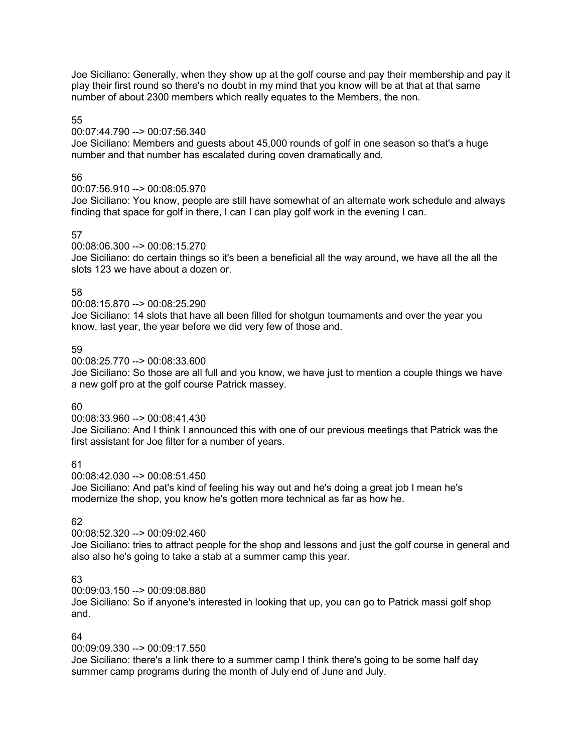Joe Siciliano: Generally, when they show up at the golf course and pay their membership and pay it play their first round so there's no doubt in my mind that you know will be at that at that same number of about 2300 members which really equates to the Members, the non.

## 55

## 00:07:44.790 --> 00:07:56.340

Joe Siciliano: Members and guests about 45,000 rounds of golf in one season so that's a huge number and that number has escalated during coven dramatically and.

# 56

# 00:07:56.910 --> 00:08:05.970

Joe Siciliano: You know, people are still have somewhat of an alternate work schedule and always finding that space for golf in there, I can I can play golf work in the evening I can.

# 57

00:08:06.300 --> 00:08:15.270

Joe Siciliano: do certain things so it's been a beneficial all the way around, we have all the all the slots 123 we have about a dozen or.

# 58

00:08:15.870 --> 00:08:25.290

Joe Siciliano: 14 slots that have all been filled for shotgun tournaments and over the year you know, last year, the year before we did very few of those and.

# 59

00:08:25.770 --> 00:08:33.600

Joe Siciliano: So those are all full and you know, we have just to mention a couple things we have a new golf pro at the golf course Patrick massey.

## 60

00:08:33.960 --> 00:08:41.430

Joe Siciliano: And I think I announced this with one of our previous meetings that Patrick was the first assistant for Joe filter for a number of years.

## 61

00:08:42.030 --> 00:08:51.450

Joe Siciliano: And pat's kind of feeling his way out and he's doing a great job I mean he's modernize the shop, you know he's gotten more technical as far as how he.

# 62

## 00:08:52.320 --> 00:09:02.460

Joe Siciliano: tries to attract people for the shop and lessons and just the golf course in general and also also he's going to take a stab at a summer camp this year.

# 63

00:09:03.150 --> 00:09:08.880

Joe Siciliano: So if anyone's interested in looking that up, you can go to Patrick massi golf shop and.

## 64

00:09:09.330 --> 00:09:17.550

Joe Siciliano: there's a link there to a summer camp I think there's going to be some half day summer camp programs during the month of July end of June and July.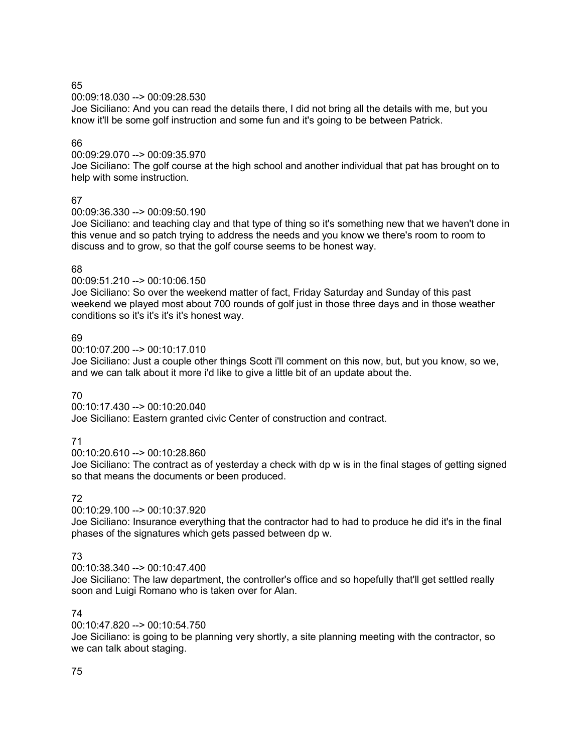00:09:18.030 --> 00:09:28.530

Joe Siciliano: And you can read the details there, I did not bring all the details with me, but you know it'll be some golf instruction and some fun and it's going to be between Patrick.

## 66

00:09:29.070 --> 00:09:35.970

Joe Siciliano: The golf course at the high school and another individual that pat has brought on to help with some instruction.

# 67

00:09:36.330 --> 00:09:50.190

Joe Siciliano: and teaching clay and that type of thing so it's something new that we haven't done in this venue and so patch trying to address the needs and you know we there's room to room to discuss and to grow, so that the golf course seems to be honest way.

## 68

00:09:51.210 --> 00:10:06.150

Joe Siciliano: So over the weekend matter of fact, Friday Saturday and Sunday of this past weekend we played most about 700 rounds of golf just in those three days and in those weather conditions so it's it's it's it's honest way.

## 69

 $00:10:07.200 \rightarrow 00:10:17.010$ 

Joe Siciliano: Just a couple other things Scott i'll comment on this now, but, but you know, so we, and we can talk about it more i'd like to give a little bit of an update about the.

## 70

00:10:17.430 --> 00:10:20.040

Joe Siciliano: Eastern granted civic Center of construction and contract.

# 71

00:10:20.610 --> 00:10:28.860

Joe Siciliano: The contract as of yesterday a check with dp w is in the final stages of getting signed so that means the documents or been produced.

## 72

00:10:29.100 --> 00:10:37.920

Joe Siciliano: Insurance everything that the contractor had to had to produce he did it's in the final phases of the signatures which gets passed between dp w.

# 73

 $00:10:38.340 \rightarrow 00:10:47.400$ 

Joe Siciliano: The law department, the controller's office and so hopefully that'll get settled really soon and Luigi Romano who is taken over for Alan.

# 74

00:10:47.820 --> 00:10:54.750

Joe Siciliano: is going to be planning very shortly, a site planning meeting with the contractor, so we can talk about staging.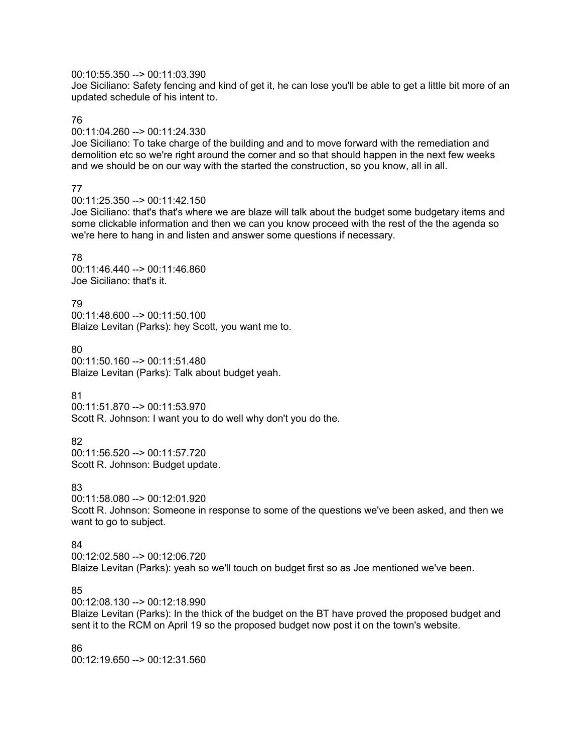#### 00:10:55.350 --> 00:11:03.390

Joe Siciliano: Safety fencing and kind of get it, he can lose you'll be able to get a little bit more of an updated schedule of his intent to.

#### 76

#### 00:11:04.260 --> 00:11:24.330

Joe Siciliano: To take charge of the building and and to move forward with the remediation and demolition etc so we're right around the corner and so that should happen in the next few weeks and we should be on our way with the started the construction, so you know, all in all.

## 77

#### 00:11:25.350 --> 00:11:42.150

Joe Siciliano: that's that's where we are blaze will talk about the budget some budgetary items and some clickable information and then we can you know proceed with the rest of the the agenda so we're here to hang in and listen and answer some questions if necessary.

#### 78

00:11:46.440 --> 00:11:46.860 Joe Siciliano: that's it.

## 79

00:11:48.600 --> 00:11:50.100 Blaize Levitan (Parks): hey Scott, you want me to.

#### 80 00:11:50.160 --> 00:11:51.480 Blaize Levitan (Parks): Talk about budget yeah.

## 81

00:11:51.870 --> 00:11:53.970 Scott R. Johnson: I want you to do well why don't you do the.

## 82

00:11:56.520 --> 00:11:57.720 Scott R. Johnson: Budget update.

## 83

00:11:58.080 --> 00:12:01.920 Scott R. Johnson: Someone in response to some of the questions we've been asked, and then we want to go to subject.

## 84

00:12:02.580 --> 00:12:06.720 Blaize Levitan (Parks): yeah so we'll touch on budget first so as Joe mentioned we've been.

# 85

00:12:08.130 --> 00:12:18.990

Blaize Levitan (Parks): In the thick of the budget on the BT have proved the proposed budget and sent it to the RCM on April 19 so the proposed budget now post it on the town's website.

#### 86

00:12:19.650 --> 00:12:31.560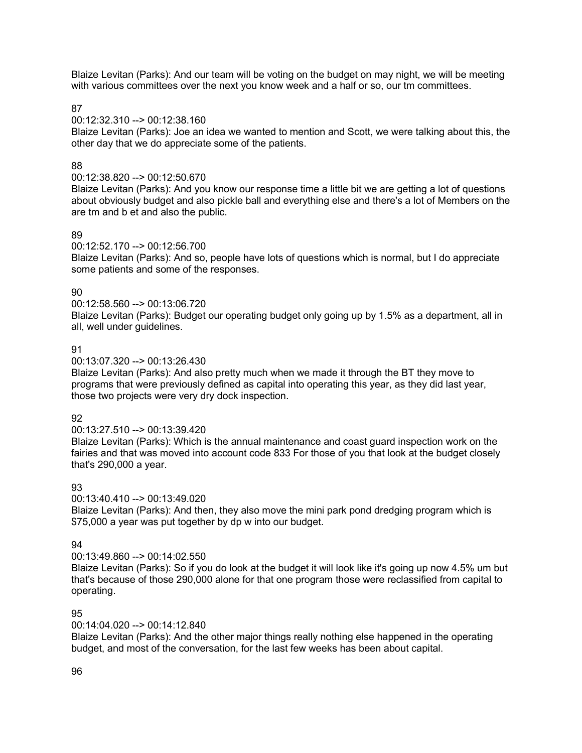Blaize Levitan (Parks): And our team will be voting on the budget on may night, we will be meeting with various committees over the next you know week and a half or so, our tm committees.

## 87

#### 00:12:32.310 --> 00:12:38.160

Blaize Levitan (Parks): Joe an idea we wanted to mention and Scott, we were talking about this, the other day that we do appreciate some of the patients.

## 88

#### 00:12:38.820 --> 00:12:50.670

Blaize Levitan (Parks): And you know our response time a little bit we are getting a lot of questions about obviously budget and also pickle ball and everything else and there's a lot of Members on the are tm and b et and also the public.

#### 89

#### 00:12:52.170 --> 00:12:56.700

Blaize Levitan (Parks): And so, people have lots of questions which is normal, but I do appreciate some patients and some of the responses.

# $90^{\circ}$

00:12:58.560 --> 00:13:06.720

Blaize Levitan (Parks): Budget our operating budget only going up by 1.5% as a department, all in all, well under guidelines.

#### 91

00:13:07.320 --> 00:13:26.430

Blaize Levitan (Parks): And also pretty much when we made it through the BT they move to programs that were previously defined as capital into operating this year, as they did last year, those two projects were very dry dock inspection.

#### 92

#### 00:13:27.510 --> 00:13:39.420

Blaize Levitan (Parks): Which is the annual maintenance and coast guard inspection work on the fairies and that was moved into account code 833 For those of you that look at the budget closely that's 290,000 a year.

## 93

00:13:40.410 --> 00:13:49.020

Blaize Levitan (Parks): And then, they also move the mini park pond dredging program which is \$75,000 a year was put together by dp w into our budget.

## 94

#### 00:13:49.860 --> 00:14:02.550

Blaize Levitan (Parks): So if you do look at the budget it will look like it's going up now 4.5% um but that's because of those 290,000 alone for that one program those were reclassified from capital to operating.

## 95

## 00:14:04.020 --> 00:14:12.840

Blaize Levitan (Parks): And the other major things really nothing else happened in the operating budget, and most of the conversation, for the last few weeks has been about capital.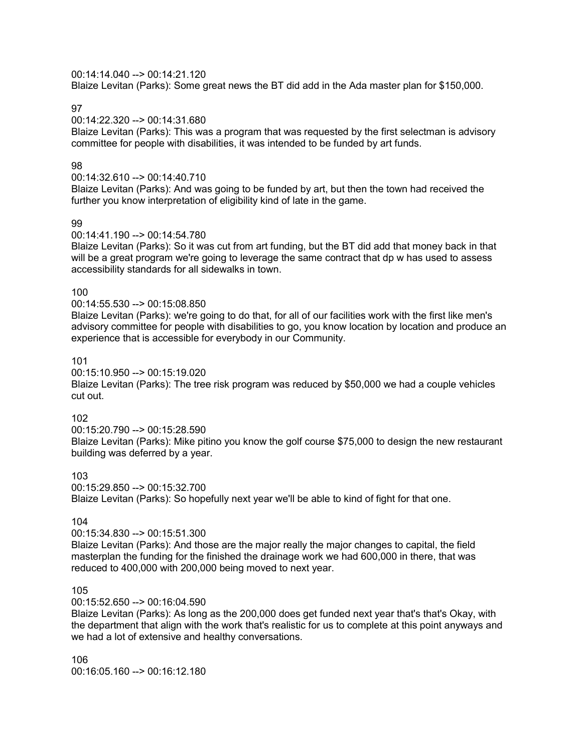#### 00:14:14.040 --> 00:14:21.120

Blaize Levitan (Parks): Some great news the BT did add in the Ada master plan for \$150,000.

97

00:14:22.320 --> 00:14:31.680

Blaize Levitan (Parks): This was a program that was requested by the first selectman is advisory committee for people with disabilities, it was intended to be funded by art funds.

#### 98

#### 00:14:32.610 --> 00:14:40.710

Blaize Levitan (Parks): And was going to be funded by art, but then the town had received the further you know interpretation of eligibility kind of late in the game.

#### 99

#### 00:14:41.190 --> 00:14:54.780

Blaize Levitan (Parks): So it was cut from art funding, but the BT did add that money back in that will be a great program we're going to leverage the same contract that dp w has used to assess accessibility standards for all sidewalks in town.

#### 100

## 00:14:55.530 --> 00:15:08.850

Blaize Levitan (Parks): we're going to do that, for all of our facilities work with the first like men's advisory committee for people with disabilities to go, you know location by location and produce an experience that is accessible for everybody in our Community.

#### 101

00:15:10.950 --> 00:15:19.020

Blaize Levitan (Parks): The tree risk program was reduced by \$50,000 we had a couple vehicles cut out.

## 102

00:15:20.790 --> 00:15:28.590

Blaize Levitan (Parks): Mike pitino you know the golf course \$75,000 to design the new restaurant building was deferred by a year.

## 103

00:15:29.850 --> 00:15:32.700 Blaize Levitan (Parks): So hopefully next year we'll be able to kind of fight for that one.

# 104

#### 00:15:34.830 --> 00:15:51.300

Blaize Levitan (Parks): And those are the major really the major changes to capital, the field masterplan the funding for the finished the drainage work we had 600,000 in there, that was reduced to 400,000 with 200,000 being moved to next year.

## 105

#### 00:15:52.650 --> 00:16:04.590

Blaize Levitan (Parks): As long as the 200,000 does get funded next year that's that's Okay, with the department that align with the work that's realistic for us to complete at this point anyways and we had a lot of extensive and healthy conversations.

106 00:16:05.160 --> 00:16:12.180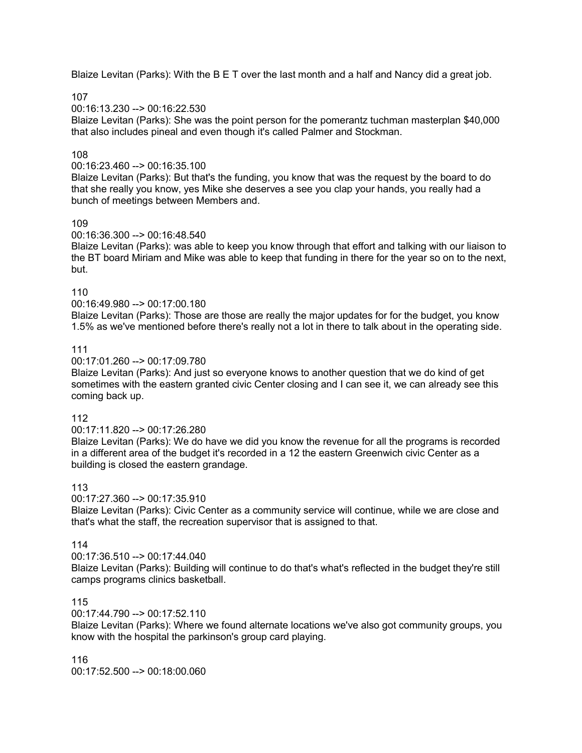Blaize Levitan (Parks): With the B E T over the last month and a half and Nancy did a great job.

107

 $00.16.13.230 - \geq 00.16.22.530$ 

Blaize Levitan (Parks): She was the point person for the pomerantz tuchman masterplan \$40,000 that also includes pineal and even though it's called Palmer and Stockman.

## 108

#### 00:16:23.460 --> 00:16:35.100

Blaize Levitan (Parks): But that's the funding, you know that was the request by the board to do that she really you know, yes Mike she deserves a see you clap your hands, you really had a bunch of meetings between Members and.

## 109

#### 00:16:36.300 --> 00:16:48.540

Blaize Levitan (Parks): was able to keep you know through that effort and talking with our liaison to the BT board Miriam and Mike was able to keep that funding in there for the year so on to the next, but.

#### 110

## 00:16:49.980 --> 00:17:00.180

Blaize Levitan (Parks): Those are those are really the major updates for for the budget, you know 1.5% as we've mentioned before there's really not a lot in there to talk about in the operating side.

#### 111

#### 00:17:01.260 --> 00:17:09.780

Blaize Levitan (Parks): And just so everyone knows to another question that we do kind of get sometimes with the eastern granted civic Center closing and I can see it, we can already see this coming back up.

#### 112

#### 00:17:11.820 --> 00:17:26.280

Blaize Levitan (Parks): We do have we did you know the revenue for all the programs is recorded in a different area of the budget it's recorded in a 12 the eastern Greenwich civic Center as a building is closed the eastern grandage.

## 113

#### 00:17:27.360 --> 00:17:35.910

Blaize Levitan (Parks): Civic Center as a community service will continue, while we are close and that's what the staff, the recreation supervisor that is assigned to that.

## 114

## 00:17:36.510 --> 00:17:44.040

Blaize Levitan (Parks): Building will continue to do that's what's reflected in the budget they're still camps programs clinics basketball.

## 115

#### 00:17:44.790 --> 00:17:52.110

Blaize Levitan (Parks): Where we found alternate locations we've also got community groups, you know with the hospital the parkinson's group card playing.

116 00:17:52.500 --> 00:18:00.060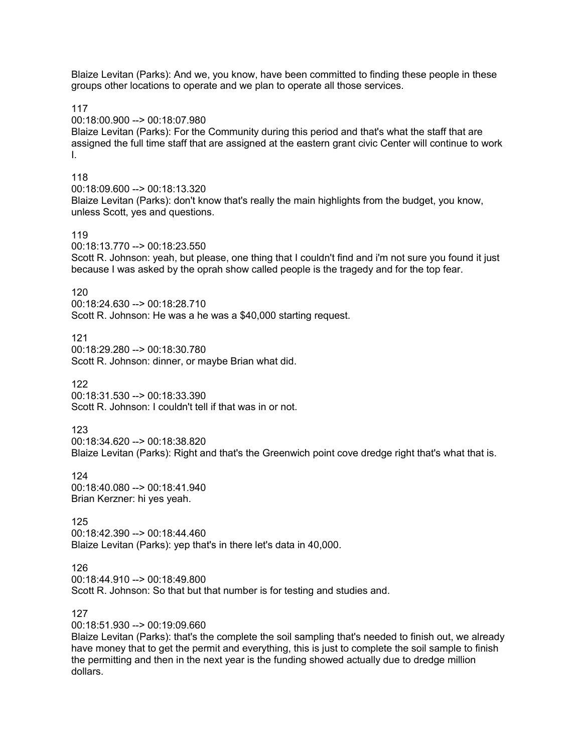Blaize Levitan (Parks): And we, you know, have been committed to finding these people in these groups other locations to operate and we plan to operate all those services.

117

00:18:00.900 --> 00:18:07.980

Blaize Levitan (Parks): For the Community during this period and that's what the staff that are assigned the full time staff that are assigned at the eastern grant civic Center will continue to work I.

#### 118

00:18:09.600 --> 00:18:13.320 Blaize Levitan (Parks): don't know that's really the main highlights from the budget, you know, unless Scott, yes and questions.

#### 119

00:18:13.770 --> 00:18:23.550

Scott R. Johnson: yeah, but please, one thing that I couldn't find and i'm not sure you found it just because I was asked by the oprah show called people is the tragedy and for the top fear.

#### 120

00:18:24.630 --> 00:18:28.710 Scott R. Johnson: He was a he was a \$40,000 starting request.

121 00:18:29.280 --> 00:18:30.780 Scott R. Johnson: dinner, or maybe Brian what did.

#### 122

00:18:31.530 --> 00:18:33.390 Scott R. Johnson: I couldn't tell if that was in or not.

#### 123

00:18:34.620 --> 00:18:38.820

Blaize Levitan (Parks): Right and that's the Greenwich point cove dredge right that's what that is.

124 00:18:40.080 --> 00:18:41.940 Brian Kerzner: hi yes yeah.

#### 125

00:18:42.390 --> 00:18:44.460 Blaize Levitan (Parks): yep that's in there let's data in 40,000.

#### 126

00:18:44.910 --> 00:18:49.800 Scott R. Johnson: So that but that number is for testing and studies and.

#### 127

00:18:51.930 --> 00:19:09.660

Blaize Levitan (Parks): that's the complete the soil sampling that's needed to finish out, we already have money that to get the permit and everything, this is just to complete the soil sample to finish the permitting and then in the next year is the funding showed actually due to dredge million dollars.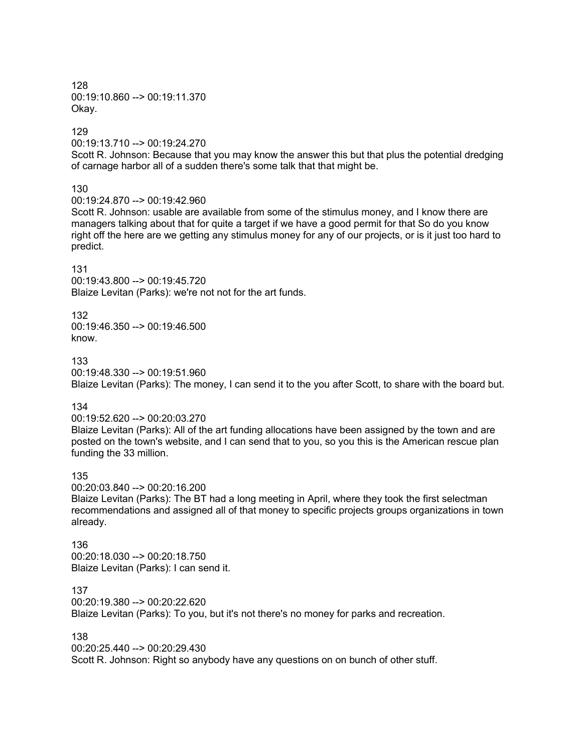128 00:19:10.860 --> 00:19:11.370 Okay.

129

00:19:13.710 --> 00:19:24.270

Scott R. Johnson: Because that you may know the answer this but that plus the potential dredging of carnage harbor all of a sudden there's some talk that that might be.

130

00:19:24.870 --> 00:19:42.960

Scott R. Johnson: usable are available from some of the stimulus money, and I know there are managers talking about that for quite a target if we have a good permit for that So do you know right off the here are we getting any stimulus money for any of our projects, or is it just too hard to predict.

131

00:19:43.800 --> 00:19:45.720 Blaize Levitan (Parks): we're not not for the art funds.

132 00:19:46.350 --> 00:19:46.500 know.

133

00:19:48.330 --> 00:19:51.960 Blaize Levitan (Parks): The money, I can send it to the you after Scott, to share with the board but.

134

00:19:52.620 --> 00:20:03.270 Blaize Levitan (Parks): All of the art funding allocations have been assigned by the town and are posted on the town's website, and I can send that to you, so you this is the American rescue plan funding the 33 million.

135

00:20:03.840 --> 00:20:16.200

Blaize Levitan (Parks): The BT had a long meeting in April, where they took the first selectman recommendations and assigned all of that money to specific projects groups organizations in town already.

136 00:20:18.030 --> 00:20:18.750 Blaize Levitan (Parks): I can send it.

137

00:20:19.380 --> 00:20:22.620

Blaize Levitan (Parks): To you, but it's not there's no money for parks and recreation.

138

00:20:25.440 --> 00:20:29.430

Scott R. Johnson: Right so anybody have any questions on on bunch of other stuff.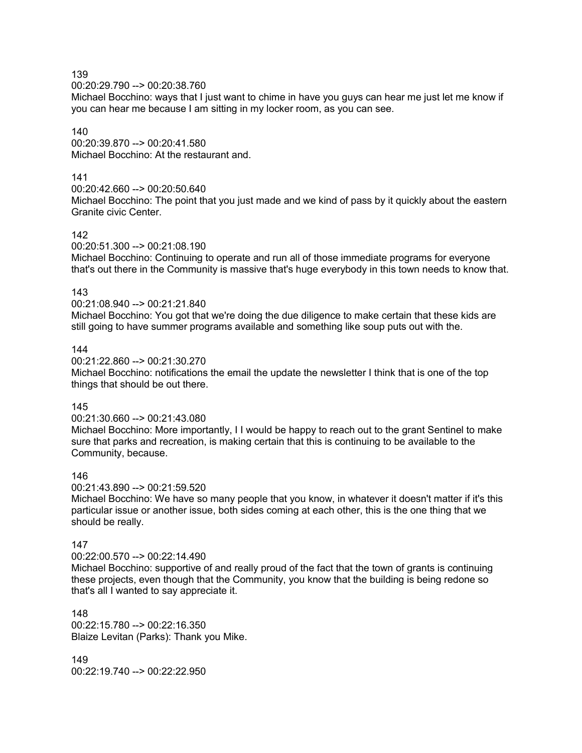00:20:29.790 --> 00:20:38.760

Michael Bocchino: ways that I just want to chime in have you guys can hear me just let me know if you can hear me because I am sitting in my locker room, as you can see.

## 140

00:20:39.870 --> 00:20:41.580 Michael Bocchino: At the restaurant and.

#### 141

00:20:42.660 --> 00:20:50.640

Michael Bocchino: The point that you just made and we kind of pass by it quickly about the eastern Granite civic Center.

## 142

00:20:51.300 --> 00:21:08.190

Michael Bocchino: Continuing to operate and run all of those immediate programs for everyone that's out there in the Community is massive that's huge everybody in this town needs to know that.

## 143

00:21:08.940 --> 00:21:21.840

Michael Bocchino: You got that we're doing the due diligence to make certain that these kids are still going to have summer programs available and something like soup puts out with the.

#### 144

00:21:22.860 --> 00:21:30.270

Michael Bocchino: notifications the email the update the newsletter I think that is one of the top things that should be out there.

## 145

00:21:30.660 --> 00:21:43.080

Michael Bocchino: More importantly, I I would be happy to reach out to the grant Sentinel to make sure that parks and recreation, is making certain that this is continuing to be available to the Community, because.

## 146

00:21:43.890 --> 00:21:59.520

Michael Bocchino: We have so many people that you know, in whatever it doesn't matter if it's this particular issue or another issue, both sides coming at each other, this is the one thing that we should be really.

## 147

00:22:00.570 --> 00:22:14.490

Michael Bocchino: supportive of and really proud of the fact that the town of grants is continuing these projects, even though that the Community, you know that the building is being redone so that's all I wanted to say appreciate it.

148 00:22:15.780 --> 00:22:16.350 Blaize Levitan (Parks): Thank you Mike.

149  $00:22:19.740 \rightarrow 00:22:22.950$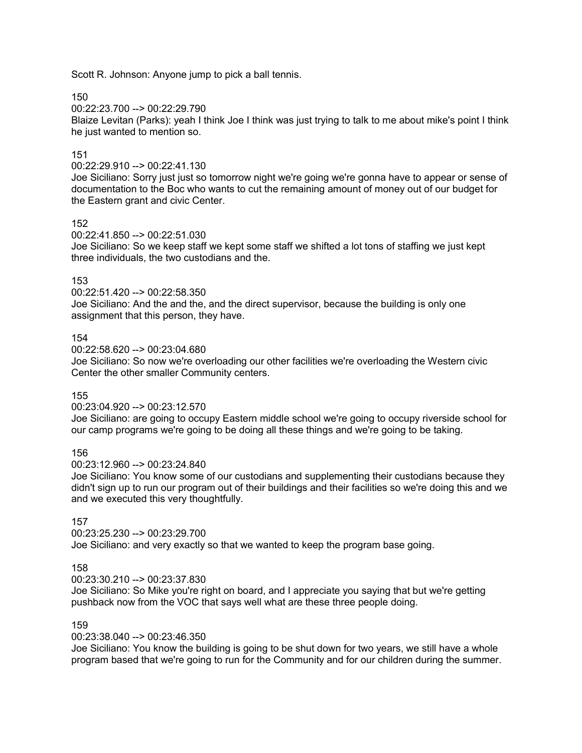Scott R. Johnson: Anyone jump to pick a ball tennis.

150

00:22:23.700 --> 00:22:29.790

Blaize Levitan (Parks): yeah I think Joe I think was just trying to talk to me about mike's point I think he just wanted to mention so.

# 151

00:22:29.910 --> 00:22:41.130

Joe Siciliano: Sorry just just so tomorrow night we're going we're gonna have to appear or sense of documentation to the Boc who wants to cut the remaining amount of money out of our budget for the Eastern grant and civic Center.

## 152

00:22:41.850 --> 00:22:51.030

Joe Siciliano: So we keep staff we kept some staff we shifted a lot tons of staffing we just kept three individuals, the two custodians and the.

## 153

00:22:51.420 --> 00:22:58.350

Joe Siciliano: And the and the, and the direct supervisor, because the building is only one assignment that this person, they have.

## 154

00:22:58.620 --> 00:23:04.680

Joe Siciliano: So now we're overloading our other facilities we're overloading the Western civic Center the other smaller Community centers.

## 155

00:23:04.920 --> 00:23:12.570

Joe Siciliano: are going to occupy Eastern middle school we're going to occupy riverside school for our camp programs we're going to be doing all these things and we're going to be taking.

## 156

00:23:12.960 --> 00:23:24.840

Joe Siciliano: You know some of our custodians and supplementing their custodians because they didn't sign up to run our program out of their buildings and their facilities so we're doing this and we and we executed this very thoughtfully.

# 157

00:23:25.230 --> 00:23:29.700

Joe Siciliano: and very exactly so that we wanted to keep the program base going.

# 158

00:23:30.210 --> 00:23:37.830

Joe Siciliano: So Mike you're right on board, and I appreciate you saying that but we're getting pushback now from the VOC that says well what are these three people doing.

#### 159

00:23:38.040 --> 00:23:46.350

Joe Siciliano: You know the building is going to be shut down for two years, we still have a whole program based that we're going to run for the Community and for our children during the summer.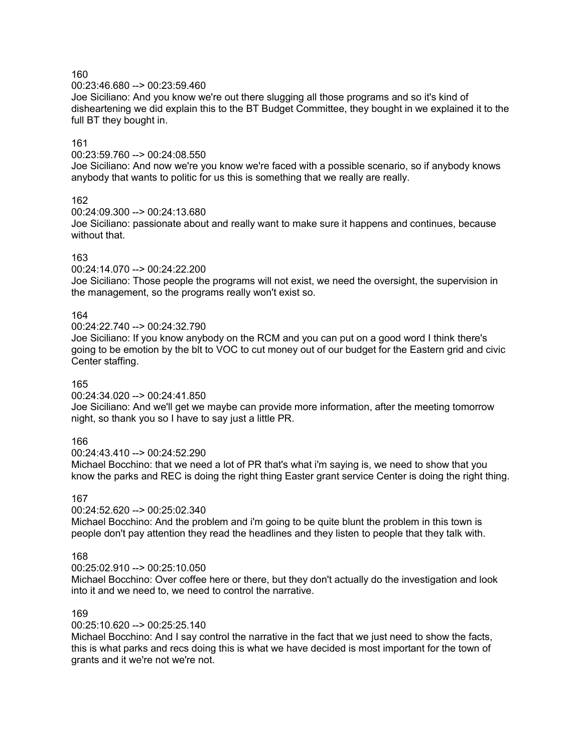00:23:46.680 --> 00:23:59.460

Joe Siciliano: And you know we're out there slugging all those programs and so it's kind of disheartening we did explain this to the BT Budget Committee, they bought in we explained it to the full BT they bought in.

#### 161

00:23:59.760 --> 00:24:08.550

Joe Siciliano: And now we're you know we're faced with a possible scenario, so if anybody knows anybody that wants to politic for us this is something that we really are really.

#### 162

00:24:09.300 --> 00:24:13.680

Joe Siciliano: passionate about and really want to make sure it happens and continues, because without that.

#### 163

00:24:14.070 --> 00:24:22.200

Joe Siciliano: Those people the programs will not exist, we need the oversight, the supervision in the management, so the programs really won't exist so.

#### 164

00:24:22.740 --> 00:24:32.790

Joe Siciliano: If you know anybody on the RCM and you can put on a good word I think there's going to be emotion by the blt to VOC to cut money out of our budget for the Eastern grid and civic Center staffing.

#### 165

00:24:34.020 --> 00:24:41.850

Joe Siciliano: And we'll get we maybe can provide more information, after the meeting tomorrow night, so thank you so I have to say just a little PR.

#### 166

00:24:43.410 --> 00:24:52.290

Michael Bocchino: that we need a lot of PR that's what i'm saying is, we need to show that you know the parks and REC is doing the right thing Easter grant service Center is doing the right thing.

## 167

00:24:52.620 --> 00:25:02.340

Michael Bocchino: And the problem and i'm going to be quite blunt the problem in this town is people don't pay attention they read the headlines and they listen to people that they talk with.

## 168

 $00:25:02.910 - \geq 00:25:10.050$ 

Michael Bocchino: Over coffee here or there, but they don't actually do the investigation and look into it and we need to, we need to control the narrative.

# 169

00:25:10.620 --> 00:25:25.140

Michael Bocchino: And I say control the narrative in the fact that we just need to show the facts, this is what parks and recs doing this is what we have decided is most important for the town of grants and it we're not we're not.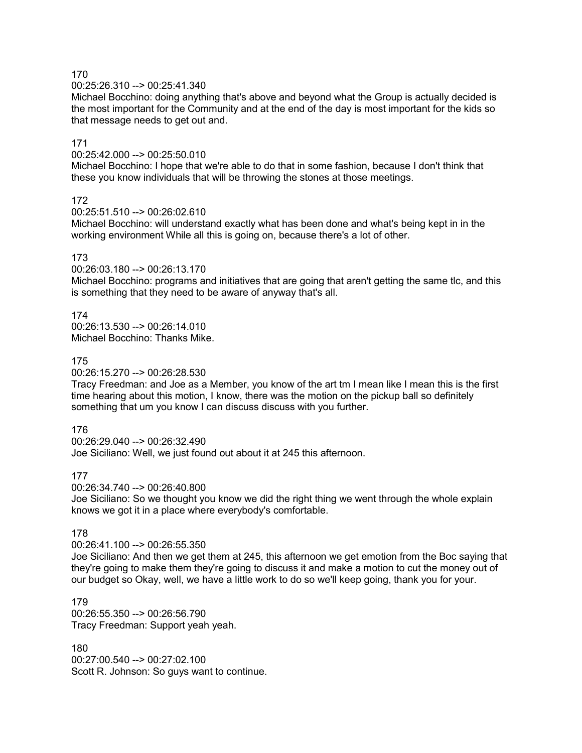00:25:26.310 --> 00:25:41.340

Michael Bocchino: doing anything that's above and beyond what the Group is actually decided is the most important for the Community and at the end of the day is most important for the kids so that message needs to get out and.

## 171

00:25:42.000 --> 00:25:50.010

Michael Bocchino: I hope that we're able to do that in some fashion, because I don't think that these you know individuals that will be throwing the stones at those meetings.

# 172

00:25:51.510 --> 00:26:02.610

Michael Bocchino: will understand exactly what has been done and what's being kept in in the working environment While all this is going on, because there's a lot of other.

#### 173

00:26:03.180 --> 00:26:13.170

Michael Bocchino: programs and initiatives that are going that aren't getting the same tlc, and this is something that they need to be aware of anyway that's all.

174 00:26:13.530 --> 00:26:14.010 Michael Bocchino: Thanks Mike.

## 175

00:26:15.270 --> 00:26:28.530

Tracy Freedman: and Joe as a Member, you know of the art tm I mean like I mean this is the first time hearing about this motion, I know, there was the motion on the pickup ball so definitely something that um you know I can discuss discuss with you further.

## 176

00:26:29.040 --> 00:26:32.490 Joe Siciliano: Well, we just found out about it at 245 this afternoon.

## 177

00:26:34.740 --> 00:26:40.800

Joe Siciliano: So we thought you know we did the right thing we went through the whole explain knows we got it in a place where everybody's comfortable.

## 178

00:26:41.100 --> 00:26:55.350

Joe Siciliano: And then we get them at 245, this afternoon we get emotion from the Boc saying that they're going to make them they're going to discuss it and make a motion to cut the money out of our budget so Okay, well, we have a little work to do so we'll keep going, thank you for your.

179 00:26:55.350 --> 00:26:56.790 Tracy Freedman: Support yeah yeah.

180 00:27:00.540 --> 00:27:02.100 Scott R. Johnson: So guys want to continue.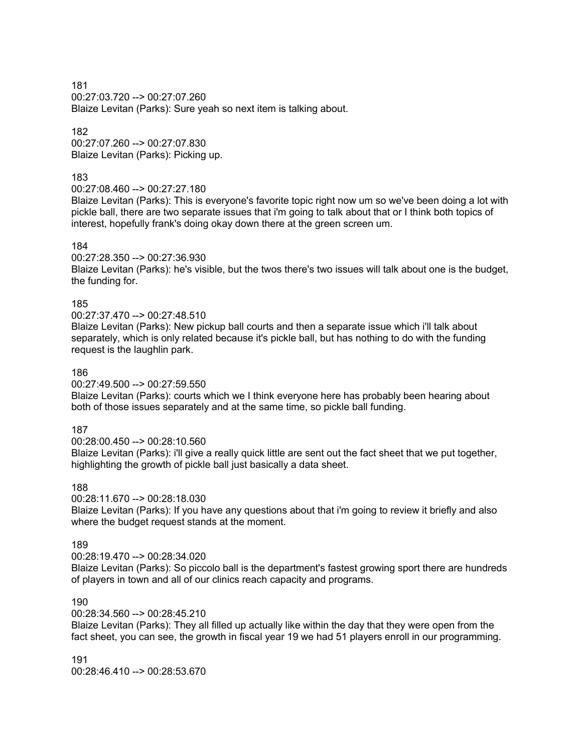181 00:27:03.720 --> 00:27:07.260 Blaize Levitan (Parks): Sure yeah so next item is talking about.

182 00:27:07.260 --> 00:27:07.830 Blaize Levitan (Parks): Picking up.

#### 183

#### 00:27:08.460 --> 00:27:27.180

Blaize Levitan (Parks): This is everyone's favorite topic right now um so we've been doing a lot with pickle ball, there are two separate issues that i'm going to talk about that or I think both topics of interest, hopefully frank's doing okay down there at the green screen um.

#### 184

#### 00:27:28.350 --> 00:27:36.930

Blaize Levitan (Parks): he's visible, but the twos there's two issues will talk about one is the budget, the funding for.

#### 185

#### 00:27:37.470 --> 00:27:48.510

Blaize Levitan (Parks): New pickup ball courts and then a separate issue which i'll talk about separately, which is only related because it's pickle ball, but has nothing to do with the funding request is the laughlin park.

#### 186

#### 00:27:49.500 --> 00:27:59.550

Blaize Levitan (Parks): courts which we I think everyone here has probably been hearing about both of those issues separately and at the same time, so pickle ball funding.

## 187

#### 00:28:00.450 --> 00:28:10.560

Blaize Levitan (Parks): i'll give a really quick little are sent out the fact sheet that we put together, highlighting the growth of pickle ball just basically a data sheet.

#### 188

#### 00:28:11.670 --> 00:28:18.030 Blaize Levitan (Parks): If you have any questions about that i'm going to review it briefly and also where the budget request stands at the moment.

## 189

00:28:19.470 --> 00:28:34.020

Blaize Levitan (Parks): So piccolo ball is the department's fastest growing sport there are hundreds of players in town and all of our clinics reach capacity and programs.

#### 190

#### 00:28:34.560 --> 00:28:45.210

Blaize Levitan (Parks): They all filled up actually like within the day that they were open from the fact sheet, you can see, the growth in fiscal year 19 we had 51 players enroll in our programming.

191 00:28:46.410 --> 00:28:53.670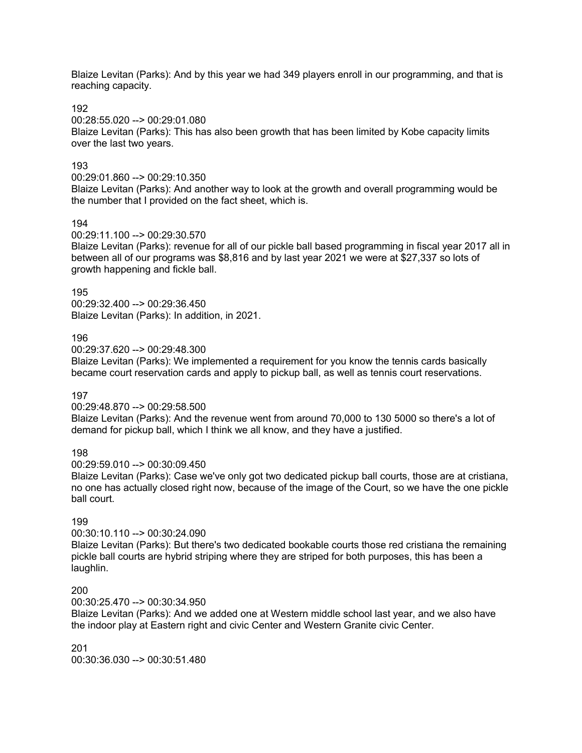Blaize Levitan (Parks): And by this year we had 349 players enroll in our programming, and that is reaching capacity.

192

00:28:55.020 --> 00:29:01.080

Blaize Levitan (Parks): This has also been growth that has been limited by Kobe capacity limits over the last two years.

## 193

00:29:01.860 --> 00:29:10.350

Blaize Levitan (Parks): And another way to look at the growth and overall programming would be the number that I provided on the fact sheet, which is.

#### 194

00:29:11.100 --> 00:29:30.570

Blaize Levitan (Parks): revenue for all of our pickle ball based programming in fiscal year 2017 all in between all of our programs was \$8,816 and by last year 2021 we were at \$27,337 so lots of growth happening and fickle ball.

#### 195

00:29:32.400 --> 00:29:36.450 Blaize Levitan (Parks): In addition, in 2021.

#### 196

00:29:37.620 --> 00:29:48.300

Blaize Levitan (Parks): We implemented a requirement for you know the tennis cards basically became court reservation cards and apply to pickup ball, as well as tennis court reservations.

#### 197

00:29:48.870 --> 00:29:58.500

Blaize Levitan (Parks): And the revenue went from around 70,000 to 130 5000 so there's a lot of demand for pickup ball, which I think we all know, and they have a justified.

#### 198

00:29:59.010 --> 00:30:09.450

Blaize Levitan (Parks): Case we've only got two dedicated pickup ball courts, those are at cristiana, no one has actually closed right now, because of the image of the Court, so we have the one pickle ball court.

# 199

#### 00:30:10.110 --> 00:30:24.090

Blaize Levitan (Parks): But there's two dedicated bookable courts those red cristiana the remaining pickle ball courts are hybrid striping where they are striped for both purposes, this has been a laughlin.

## 200

00:30:25.470 --> 00:30:34.950

Blaize Levitan (Parks): And we added one at Western middle school last year, and we also have the indoor play at Eastern right and civic Center and Western Granite civic Center.

201 00:30:36.030 --> 00:30:51.480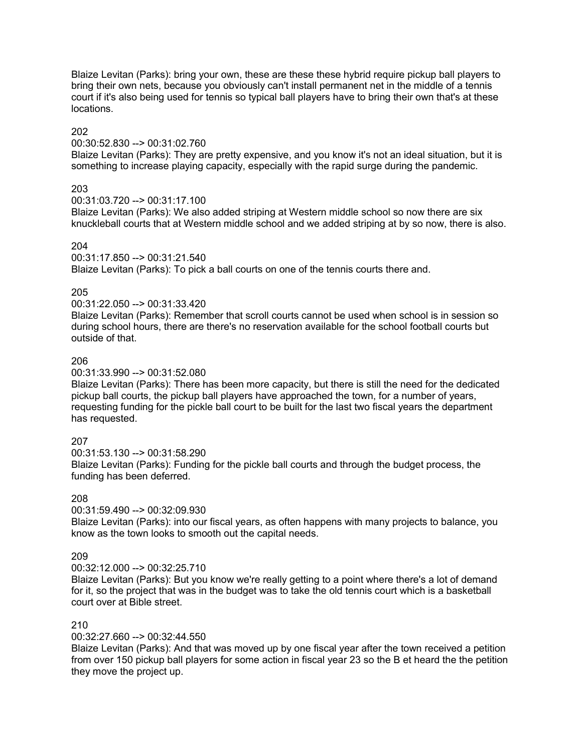Blaize Levitan (Parks): bring your own, these are these these hybrid require pickup ball players to bring their own nets, because you obviously can't install permanent net in the middle of a tennis court if it's also being used for tennis so typical ball players have to bring their own that's at these locations.

## 202

#### 00:30:52.830 --> 00:31:02.760

Blaize Levitan (Parks): They are pretty expensive, and you know it's not an ideal situation, but it is something to increase playing capacity, especially with the rapid surge during the pandemic.

## 203

00:31:03.720 --> 00:31:17.100

Blaize Levitan (Parks): We also added striping at Western middle school so now there are six knuckleball courts that at Western middle school and we added striping at by so now, there is also.

## 204

00:31:17.850 --> 00:31:21.540

Blaize Levitan (Parks): To pick a ball courts on one of the tennis courts there and.

# 205

00:31:22.050 --> 00:31:33.420

Blaize Levitan (Parks): Remember that scroll courts cannot be used when school is in session so during school hours, there are there's no reservation available for the school football courts but outside of that.

# 206

00:31:33.990 --> 00:31:52.080

Blaize Levitan (Parks): There has been more capacity, but there is still the need for the dedicated pickup ball courts, the pickup ball players have approached the town, for a number of years, requesting funding for the pickle ball court to be built for the last two fiscal years the department has requested.

# 207

00:31:53.130 --> 00:31:58.290 Blaize Levitan (Parks): Funding for the pickle ball courts and through the budget process, the funding has been deferred.

## 208

00:31:59.490 --> 00:32:09.930

Blaize Levitan (Parks): into our fiscal years, as often happens with many projects to balance, you know as the town looks to smooth out the capital needs.

## 209

 $00:32:12.000 - \geq 00:32:25.710$ 

Blaize Levitan (Parks): But you know we're really getting to a point where there's a lot of demand for it, so the project that was in the budget was to take the old tennis court which is a basketball court over at Bible street.

## 210

00:32:27.660 --> 00:32:44.550

Blaize Levitan (Parks): And that was moved up by one fiscal year after the town received a petition from over 150 pickup ball players for some action in fiscal year 23 so the B et heard the the petition they move the project up.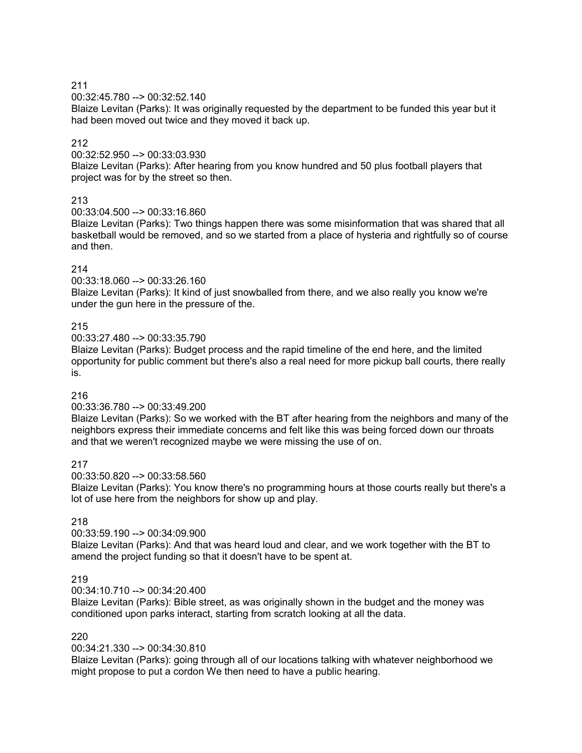00:32:45.780 --> 00:32:52.140

Blaize Levitan (Parks): It was originally requested by the department to be funded this year but it had been moved out twice and they moved it back up.

# 212

00:32:52.950 --> 00:33:03.930

Blaize Levitan (Parks): After hearing from you know hundred and 50 plus football players that project was for by the street so then.

## 213

00:33:04.500 --> 00:33:16.860

Blaize Levitan (Parks): Two things happen there was some misinformation that was shared that all basketball would be removed, and so we started from a place of hysteria and rightfully so of course and then.

# 214

00:33:18.060 --> 00:33:26.160

Blaize Levitan (Parks): It kind of just snowballed from there, and we also really you know we're under the gun here in the pressure of the.

# 215

00:33:27.480 --> 00:33:35.790

Blaize Levitan (Parks): Budget process and the rapid timeline of the end here, and the limited opportunity for public comment but there's also a real need for more pickup ball courts, there really is.

## 216

## 00:33:36.780 --> 00:33:49.200

Blaize Levitan (Parks): So we worked with the BT after hearing from the neighbors and many of the neighbors express their immediate concerns and felt like this was being forced down our throats and that we weren't recognized maybe we were missing the use of on.

217

00:33:50.820 --> 00:33:58.560

Blaize Levitan (Parks): You know there's no programming hours at those courts really but there's a lot of use here from the neighbors for show up and play.

# 218

## 00:33:59.190 --> 00:34:09.900

Blaize Levitan (Parks): And that was heard loud and clear, and we work together with the BT to amend the project funding so that it doesn't have to be spent at.

## 219

00:34:10.710 --> 00:34:20.400

Blaize Levitan (Parks): Bible street, as was originally shown in the budget and the money was conditioned upon parks interact, starting from scratch looking at all the data.

## 220

## 00:34:21.330 --> 00:34:30.810

Blaize Levitan (Parks): going through all of our locations talking with whatever neighborhood we might propose to put a cordon We then need to have a public hearing.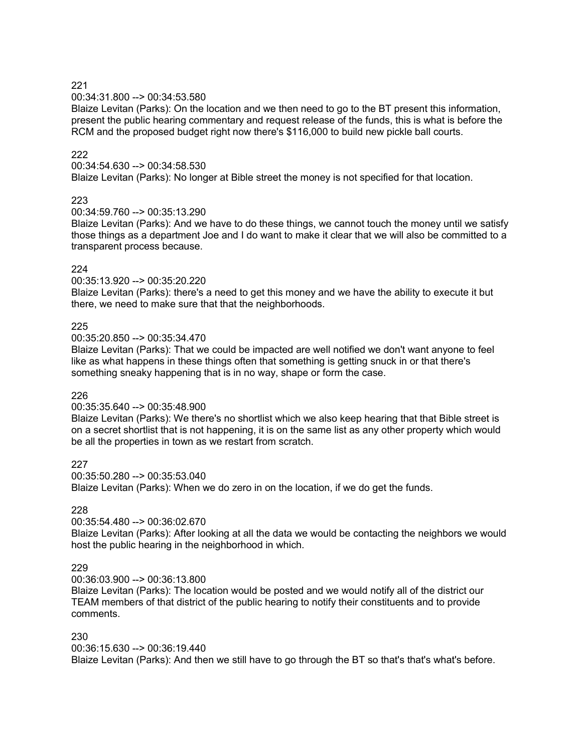#### 00:34:31.800 --> 00:34:53.580

Blaize Levitan (Parks): On the location and we then need to go to the BT present this information, present the public hearing commentary and request release of the funds, this is what is before the RCM and the proposed budget right now there's \$116,000 to build new pickle ball courts.

#### 222

#### 00:34:54.630 --> 00:34:58.530

Blaize Levitan (Parks): No longer at Bible street the money is not specified for that location.

#### 223

#### 00:34:59.760 --> 00:35:13.290

Blaize Levitan (Parks): And we have to do these things, we cannot touch the money until we satisfy those things as a department Joe and I do want to make it clear that we will also be committed to a transparent process because.

#### 224

#### 00:35:13.920 --> 00:35:20.220

Blaize Levitan (Parks): there's a need to get this money and we have the ability to execute it but there, we need to make sure that that the neighborhoods.

#### 225

#### 00:35:20.850 --> 00:35:34.470

Blaize Levitan (Parks): That we could be impacted are well notified we don't want anyone to feel like as what happens in these things often that something is getting snuck in or that there's something sneaky happening that is in no way, shape or form the case.

#### 226

#### 00:35:35.640 --> 00:35:48.900

Blaize Levitan (Parks): We there's no shortlist which we also keep hearing that that Bible street is on a secret shortlist that is not happening, it is on the same list as any other property which would be all the properties in town as we restart from scratch.

227

00:35:50.280 --> 00:35:53.040

Blaize Levitan (Parks): When we do zero in on the location, if we do get the funds.

# 228

# 00:35:54.480 --> 00:36:02.670

Blaize Levitan (Parks): After looking at all the data we would be contacting the neighbors we would host the public hearing in the neighborhood in which.

#### 229

#### 00:36:03.900 --> 00:36:13.800

Blaize Levitan (Parks): The location would be posted and we would notify all of the district our TEAM members of that district of the public hearing to notify their constituents and to provide comments.

#### 230

00:36:15.630 --> 00:36:19.440

Blaize Levitan (Parks): And then we still have to go through the BT so that's that's what's before.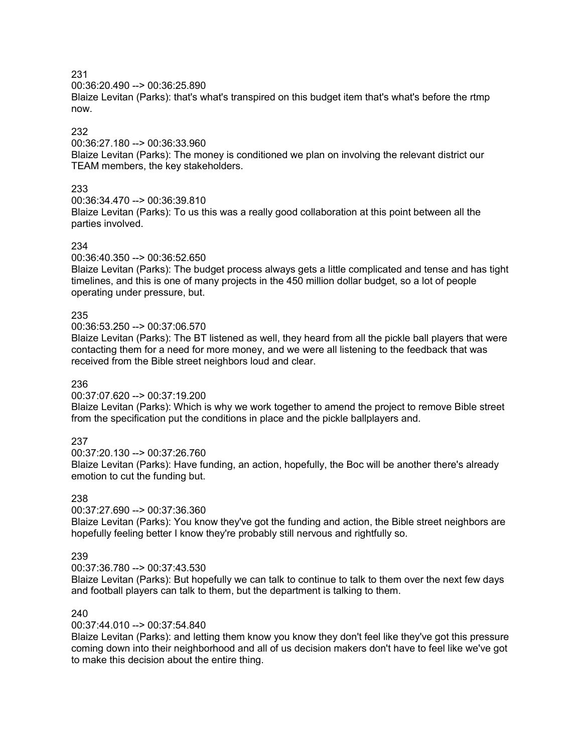00:36:20.490 --> 00:36:25.890

Blaize Levitan (Parks): that's what's transpired on this budget item that's what's before the rtmp now.

# 232

00:36:27.180 --> 00:36:33.960

Blaize Levitan (Parks): The money is conditioned we plan on involving the relevant district our TEAM members, the key stakeholders.

# 233

00:36:34.470 --> 00:36:39.810

Blaize Levitan (Parks): To us this was a really good collaboration at this point between all the parties involved.

# 234

00:36:40.350 --> 00:36:52.650

Blaize Levitan (Parks): The budget process always gets a little complicated and tense and has tight timelines, and this is one of many projects in the 450 million dollar budget, so a lot of people operating under pressure, but.

# 235

00:36:53.250 --> 00:37:06.570

Blaize Levitan (Parks): The BT listened as well, they heard from all the pickle ball players that were contacting them for a need for more money, and we were all listening to the feedback that was received from the Bible street neighbors loud and clear.

## 236

00:37:07.620 --> 00:37:19.200

Blaize Levitan (Parks): Which is why we work together to amend the project to remove Bible street from the specification put the conditions in place and the pickle ballplayers and.

# 237

00:37:20.130 --> 00:37:26.760

Blaize Levitan (Parks): Have funding, an action, hopefully, the Boc will be another there's already emotion to cut the funding but.

## 238

00:37:27.690 --> 00:37:36.360

Blaize Levitan (Parks): You know they've got the funding and action, the Bible street neighbors are hopefully feeling better I know they're probably still nervous and rightfully so.

# 239

00:37:36.780 --> 00:37:43.530

Blaize Levitan (Parks): But hopefully we can talk to continue to talk to them over the next few days and football players can talk to them, but the department is talking to them.

# 240

00:37:44.010 --> 00:37:54.840

Blaize Levitan (Parks): and letting them know you know they don't feel like they've got this pressure coming down into their neighborhood and all of us decision makers don't have to feel like we've got to make this decision about the entire thing.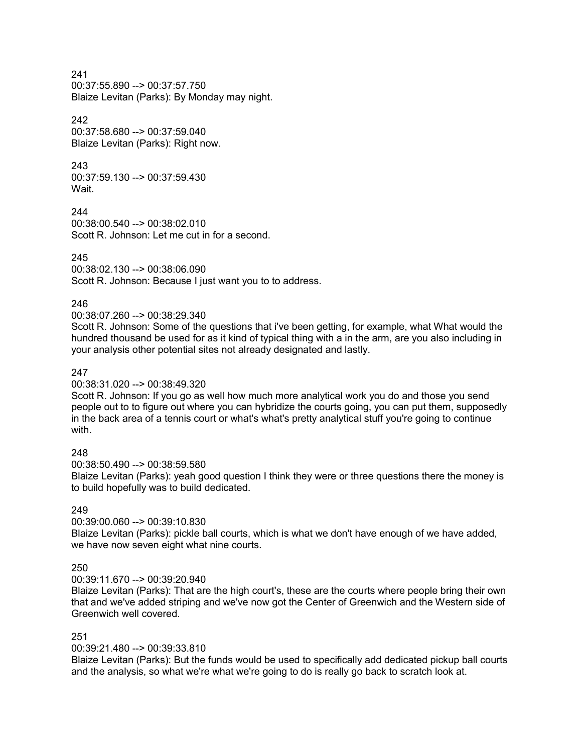00:37:55.890 --> 00:37:57.750 Blaize Levitan (Parks): By Monday may night.

#### 242

00:37:58.680 --> 00:37:59.040 Blaize Levitan (Parks): Right now.

## 243

00:37:59.130 --> 00:37:59.430 Wait.

244 00:38:00.540 --> 00:38:02.010 Scott R. Johnson: Let me cut in for a second.

# 245

00:38:02.130 --> 00:38:06.090 Scott R. Johnson: Because I just want you to to address.

# 246

## 00:38:07.260 --> 00:38:29.340

Scott R. Johnson: Some of the questions that i've been getting, for example, what What would the hundred thousand be used for as it kind of typical thing with a in the arm, are you also including in your analysis other potential sites not already designated and lastly.

# 247

00:38:31.020 --> 00:38:49.320

Scott R. Johnson: If you go as well how much more analytical work you do and those you send people out to to figure out where you can hybridize the courts going, you can put them, supposedly in the back area of a tennis court or what's what's pretty analytical stuff you're going to continue with.

## 248

00:38:50.490 --> 00:38:59.580

Blaize Levitan (Parks): yeah good question I think they were or three questions there the money is to build hopefully was to build dedicated.

## 249

00:39:00.060 --> 00:39:10.830

Blaize Levitan (Parks): pickle ball courts, which is what we don't have enough of we have added, we have now seven eight what nine courts.

## 250

00:39:11.670 --> 00:39:20.940

Blaize Levitan (Parks): That are the high court's, these are the courts where people bring their own that and we've added striping and we've now got the Center of Greenwich and the Western side of Greenwich well covered.

## 251

00:39:21.480 --> 00:39:33.810

Blaize Levitan (Parks): But the funds would be used to specifically add dedicated pickup ball courts and the analysis, so what we're what we're going to do is really go back to scratch look at.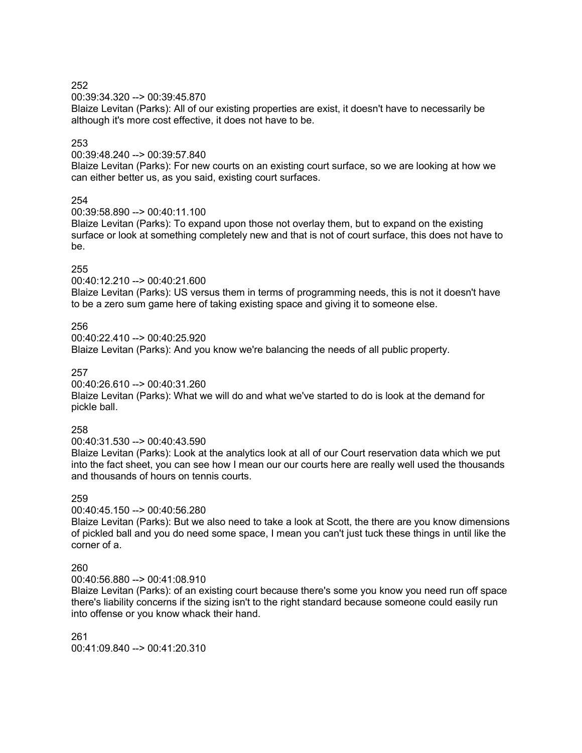00:39:34.320 --> 00:39:45.870

Blaize Levitan (Parks): All of our existing properties are exist, it doesn't have to necessarily be although it's more cost effective, it does not have to be.

# 253

00:39:48.240 --> 00:39:57.840

Blaize Levitan (Parks): For new courts on an existing court surface, so we are looking at how we can either better us, as you said, existing court surfaces.

# 254

00:39:58.890 --> 00:40:11.100

Blaize Levitan (Parks): To expand upon those not overlay them, but to expand on the existing surface or look at something completely new and that is not of court surface, this does not have to be.

## 255

00:40:12.210 --> 00:40:21.600

Blaize Levitan (Parks): US versus them in terms of programming needs, this is not it doesn't have to be a zero sum game here of taking existing space and giving it to someone else.

#### 256

00:40:22.410 --> 00:40:25.920

Blaize Levitan (Parks): And you know we're balancing the needs of all public property.

257

00:40:26.610 --> 00:40:31.260

Blaize Levitan (Parks): What we will do and what we've started to do is look at the demand for pickle ball.

## 258

00:40:31.530 --> 00:40:43.590

Blaize Levitan (Parks): Look at the analytics look at all of our Court reservation data which we put into the fact sheet, you can see how I mean our our courts here are really well used the thousands and thousands of hours on tennis courts.

#### 259

00:40:45.150 --> 00:40:56.280

Blaize Levitan (Parks): But we also need to take a look at Scott, the there are you know dimensions of pickled ball and you do need some space, I mean you can't just tuck these things in until like the corner of a.

## 260

00:40:56.880 --> 00:41:08.910

Blaize Levitan (Parks): of an existing court because there's some you know you need run off space there's liability concerns if the sizing isn't to the right standard because someone could easily run into offense or you know whack their hand.

261 00:41:09.840 --> 00:41:20.310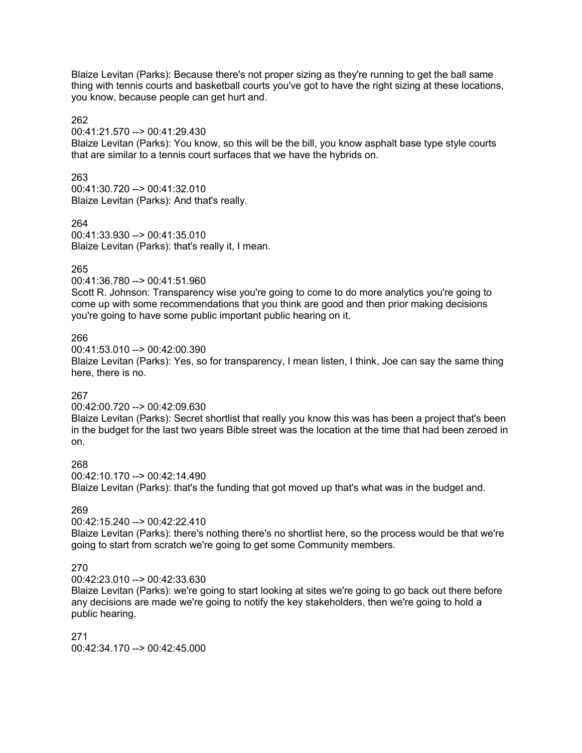Blaize Levitan (Parks): Because there's not proper sizing as they're running to get the ball same thing with tennis courts and basketball courts you've got to have the right sizing at these locations, you know, because people can get hurt and.

#### 262

#### 00:41:21.570 --> 00:41:29.430

Blaize Levitan (Parks): You know, so this will be the bill, you know asphalt base type style courts that are similar to a tennis court surfaces that we have the hybrids on.

#### 263

00:41:30.720 --> 00:41:32.010 Blaize Levitan (Parks): And that's really.

#### 264

00:41:33.930 --> 00:41:35.010 Blaize Levitan (Parks): that's really it, I mean.

#### 265

00:41:36.780 --> 00:41:51.960

Scott R. Johnson: Transparency wise you're going to come to do more analytics you're going to come up with some recommendations that you think are good and then prior making decisions you're going to have some public important public hearing on it.

#### 266

00:41:53.010 --> 00:42:00.390

Blaize Levitan (Parks): Yes, so for transparency, I mean listen, I think, Joe can say the same thing here, there is no.

## 267

#### 00:42:00.720 --> 00:42:09.630

Blaize Levitan (Parks): Secret shortlist that really you know this was has been a project that's been in the budget for the last two years Bible street was the location at the time that had been zeroed in on.

#### 268

00:42:10.170 --> 00:42:14.490 Blaize Levitan (Parks): that's the funding that got moved up that's what was in the budget and.

# 269

00:42:15.240 --> 00:42:22.410

Blaize Levitan (Parks): there's nothing there's no shortlist here, so the process would be that we're going to start from scratch we're going to get some Community members.

## 270

00:42:23.010 --> 00:42:33.630

Blaize Levitan (Parks): we're going to start looking at sites we're going to go back out there before any decisions are made we're going to notify the key stakeholders, then we're going to hold a public hearing.

271 00:42:34.170 --> 00:42:45.000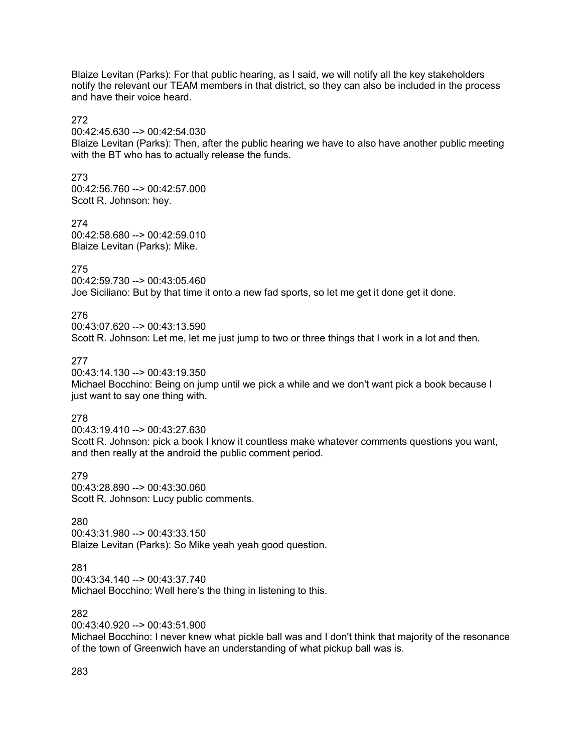Blaize Levitan (Parks): For that public hearing, as I said, we will notify all the key stakeholders notify the relevant our TEAM members in that district, so they can also be included in the process and have their voice heard.

#### 272

00:42:45.630 --> 00:42:54.030

Blaize Levitan (Parks): Then, after the public hearing we have to also have another public meeting with the BT who has to actually release the funds.

#### 273

00:42:56.760 --> 00:42:57.000 Scott R. Johnson: hey.

274 00:42:58.680 --> 00:42:59.010 Blaize Levitan (Parks): Mike.

## 275

00:42:59.730 --> 00:43:05.460 Joe Siciliano: But by that time it onto a new fad sports, so let me get it done get it done.

# 276

00:43:07.620 --> 00:43:13.590 Scott R. Johnson: Let me, let me just jump to two or three things that I work in a lot and then.

# 277

00:43:14.130 --> 00:43:19.350 Michael Bocchino: Being on jump until we pick a while and we don't want pick a book because I just want to say one thing with.

## 278

00:43:19.410 --> 00:43:27.630 Scott R. Johnson: pick a book I know it countless make whatever comments questions you want, and then really at the android the public comment period.

279

00:43:28.890 --> 00:43:30.060 Scott R. Johnson: Lucy public comments.

## 280

00:43:31.980 --> 00:43:33.150 Blaize Levitan (Parks): So Mike yeah yeah good question.

## 281

00:43:34.140 --> 00:43:37.740 Michael Bocchino: Well here's the thing in listening to this.

## 282

00:43:40.920 --> 00:43:51.900

Michael Bocchino: I never knew what pickle ball was and I don't think that majority of the resonance of the town of Greenwich have an understanding of what pickup ball was is.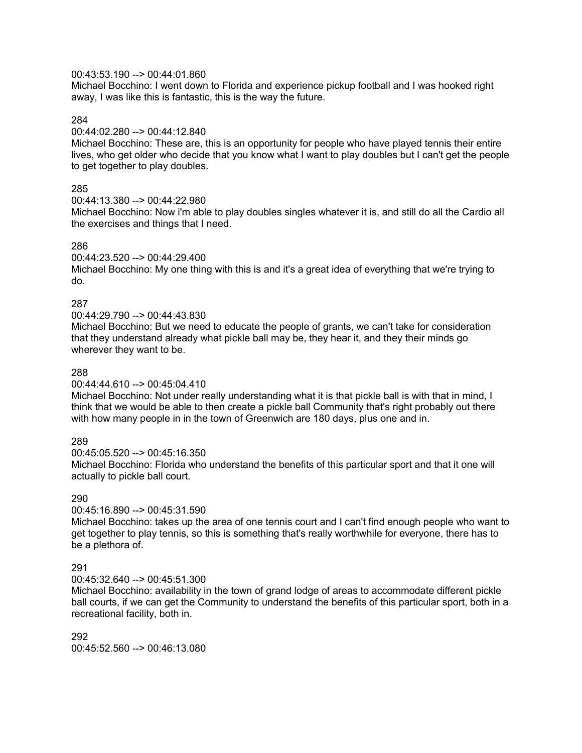#### 00:43:53.190 --> 00:44:01.860

Michael Bocchino: I went down to Florida and experience pickup football and I was hooked right away, I was like this is fantastic, this is the way the future.

#### 284

#### 00:44:02.280 --> 00:44:12.840

Michael Bocchino: These are, this is an opportunity for people who have played tennis their entire lives, who get older who decide that you know what I want to play doubles but I can't get the people to get together to play doubles.

## 285

00:44:13.380 --> 00:44:22.980

Michael Bocchino: Now i'm able to play doubles singles whatever it is, and still do all the Cardio all the exercises and things that I need.

## 286

#### 00:44:23.520 --> 00:44:29.400

Michael Bocchino: My one thing with this is and it's a great idea of everything that we're trying to do.

## 287

#### 00:44:29.790 --> 00:44:43.830

Michael Bocchino: But we need to educate the people of grants, we can't take for consideration that they understand already what pickle ball may be, they hear it, and they their minds go wherever they want to be.

#### 288

#### 00:44:44.610 --> 00:45:04.410

Michael Bocchino: Not under really understanding what it is that pickle ball is with that in mind, I think that we would be able to then create a pickle ball Community that's right probably out there with how many people in in the town of Greenwich are 180 days, plus one and in.

## 289

00:45:05.520 --> 00:45:16.350

Michael Bocchino: Florida who understand the benefits of this particular sport and that it one will actually to pickle ball court.

## 290

#### 00:45:16.890 --> 00:45:31.590

Michael Bocchino: takes up the area of one tennis court and I can't find enough people who want to get together to play tennis, so this is something that's really worthwhile for everyone, there has to be a plethora of.

## 291

#### 00:45:32.640 --> 00:45:51.300

Michael Bocchino: availability in the town of grand lodge of areas to accommodate different pickle ball courts, if we can get the Community to understand the benefits of this particular sport, both in a recreational facility, both in.

#### 292 00:45:52.560 --> 00:46:13.080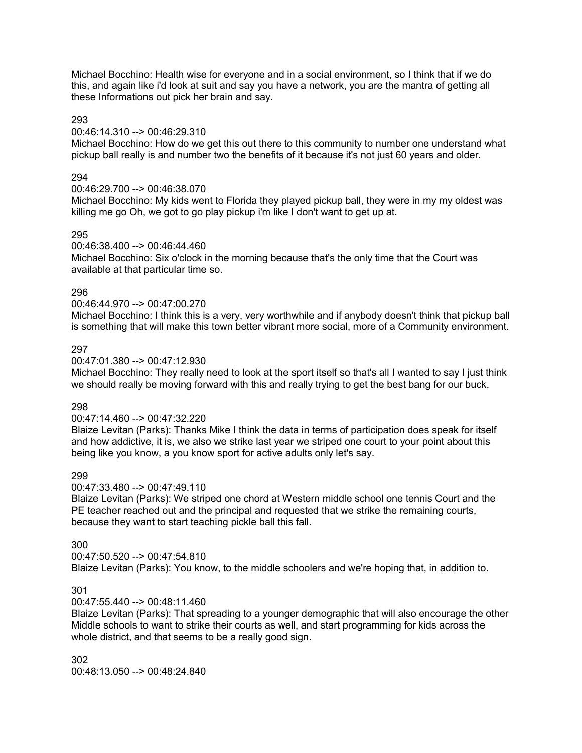Michael Bocchino: Health wise for everyone and in a social environment, so I think that if we do this, and again like i'd look at suit and say you have a network, you are the mantra of getting all these Informations out pick her brain and say.

## 293

#### 00:46:14.310 --> 00:46:29.310

Michael Bocchino: How do we get this out there to this community to number one understand what pickup ball really is and number two the benefits of it because it's not just 60 years and older.

## 294

#### 00:46:29.700 --> 00:46:38.070

Michael Bocchino: My kids went to Florida they played pickup ball, they were in my my oldest was killing me go Oh, we got to go play pickup i'm like I don't want to get up at.

#### 295

#### 00:46:38.400 --> 00:46:44.460

Michael Bocchino: Six o'clock in the morning because that's the only time that the Court was available at that particular time so.

#### 296

## 00:46:44.970 --> 00:47:00.270

Michael Bocchino: I think this is a very, very worthwhile and if anybody doesn't think that pickup ball is something that will make this town better vibrant more social, more of a Community environment.

#### 297

#### 00:47:01.380 --> 00:47:12.930

Michael Bocchino: They really need to look at the sport itself so that's all I wanted to say I just think we should really be moving forward with this and really trying to get the best bang for our buck.

## 298

#### 00:47:14.460 --> 00:47:32.220

Blaize Levitan (Parks): Thanks Mike I think the data in terms of participation does speak for itself and how addictive, it is, we also we strike last year we striped one court to your point about this being like you know, a you know sport for active adults only let's say.

## 299

#### 00:47:33.480 --> 00:47:49.110

Blaize Levitan (Parks): We striped one chord at Western middle school one tennis Court and the PE teacher reached out and the principal and requested that we strike the remaining courts, because they want to start teaching pickle ball this fall.

#### 300

# 00:47:50.520 --> 00:47:54.810

Blaize Levitan (Parks): You know, to the middle schoolers and we're hoping that, in addition to.

## 301

## 00:47:55.440 --> 00:48:11.460

Blaize Levitan (Parks): That spreading to a younger demographic that will also encourage the other Middle schools to want to strike their courts as well, and start programming for kids across the whole district, and that seems to be a really good sign.

## 302 00:48:13.050 --> 00:48:24.840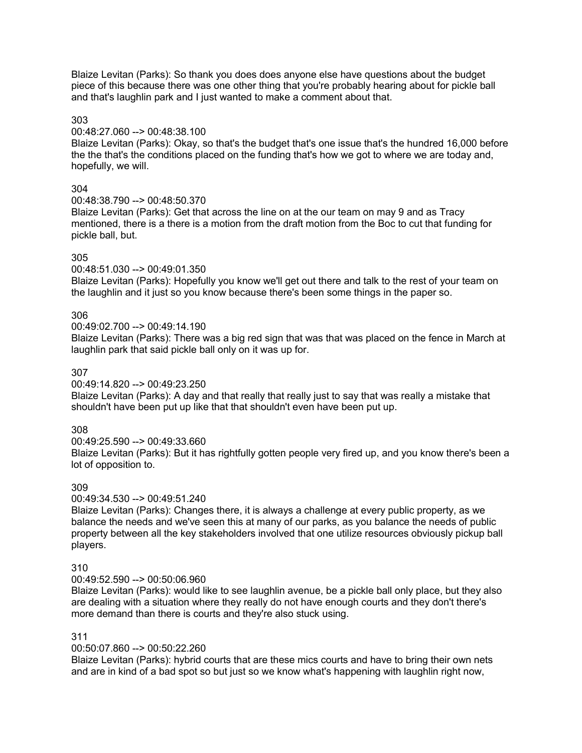Blaize Levitan (Parks): So thank you does does anyone else have questions about the budget piece of this because there was one other thing that you're probably hearing about for pickle ball and that's laughlin park and I just wanted to make a comment about that.

#### 303

#### 00:48:27.060 --> 00:48:38.100

Blaize Levitan (Parks): Okay, so that's the budget that's one issue that's the hundred 16,000 before the the that's the conditions placed on the funding that's how we got to where we are today and, hopefully, we will.

# 304

00:48:38.790 --> 00:48:50.370

Blaize Levitan (Parks): Get that across the line on at the our team on may 9 and as Tracy mentioned, there is a there is a motion from the draft motion from the Boc to cut that funding for pickle ball, but.

# 305

00:48:51.030 --> 00:49:01.350

Blaize Levitan (Parks): Hopefully you know we'll get out there and talk to the rest of your team on the laughlin and it just so you know because there's been some things in the paper so.

# 306

00:49:02.700 --> 00:49:14.190

Blaize Levitan (Parks): There was a big red sign that was that was placed on the fence in March at laughlin park that said pickle ball only on it was up for.

# 307

00:49:14.820 --> 00:49:23.250

Blaize Levitan (Parks): A day and that really that really just to say that was really a mistake that shouldn't have been put up like that that shouldn't even have been put up.

# 308

00:49:25.590 --> 00:49:33.660 Blaize Levitan (Parks): But it has rightfully gotten people very fired up, and you know there's been a lot of opposition to.

# 309

00:49:34.530 --> 00:49:51.240

Blaize Levitan (Parks): Changes there, it is always a challenge at every public property, as we balance the needs and we've seen this at many of our parks, as you balance the needs of public property between all the key stakeholders involved that one utilize resources obviously pickup ball players.

# 310

00:49:52.590 --> 00:50:06.960

Blaize Levitan (Parks): would like to see laughlin avenue, be a pickle ball only place, but they also are dealing with a situation where they really do not have enough courts and they don't there's more demand than there is courts and they're also stuck using.

## 311

## 00:50:07.860 --> 00:50:22.260

Blaize Levitan (Parks): hybrid courts that are these mics courts and have to bring their own nets and are in kind of a bad spot so but just so we know what's happening with laughlin right now,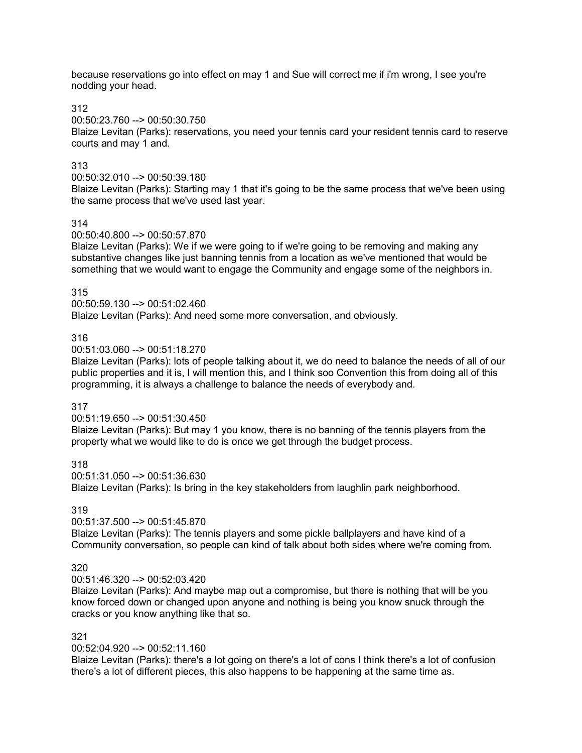because reservations go into effect on may 1 and Sue will correct me if i'm wrong, I see you're nodding your head.

312

00:50:23.760 --> 00:50:30.750

Blaize Levitan (Parks): reservations, you need your tennis card your resident tennis card to reserve courts and may 1 and.

## 313

00:50:32.010 --> 00:50:39.180

Blaize Levitan (Parks): Starting may 1 that it's going to be the same process that we've been using the same process that we've used last year.

# 314

00:50:40.800 --> 00:50:57.870

Blaize Levitan (Parks): We if we were going to if we're going to be removing and making any substantive changes like just banning tennis from a location as we've mentioned that would be something that we would want to engage the Community and engage some of the neighbors in.

## 315

00:50:59.130 --> 00:51:02.460 Blaize Levitan (Parks): And need some more conversation, and obviously.

# 316

00:51:03.060 --> 00:51:18.270

Blaize Levitan (Parks): lots of people talking about it, we do need to balance the needs of all of our public properties and it is, I will mention this, and I think soo Convention this from doing all of this programming, it is always a challenge to balance the needs of everybody and.

# 317

00:51:19.650 --> 00:51:30.450

Blaize Levitan (Parks): But may 1 you know, there is no banning of the tennis players from the property what we would like to do is once we get through the budget process.

318

00:51:31.050 --> 00:51:36.630

Blaize Levitan (Parks): Is bring in the key stakeholders from laughlin park neighborhood.

# 319

00:51:37.500 --> 00:51:45.870

Blaize Levitan (Parks): The tennis players and some pickle ballplayers and have kind of a Community conversation, so people can kind of talk about both sides where we're coming from.

## 320

00:51:46.320 --> 00:52:03.420

Blaize Levitan (Parks): And maybe map out a compromise, but there is nothing that will be you know forced down or changed upon anyone and nothing is being you know snuck through the cracks or you know anything like that so.

## 321

00:52:04.920 --> 00:52:11.160

Blaize Levitan (Parks): there's a lot going on there's a lot of cons I think there's a lot of confusion there's a lot of different pieces, this also happens to be happening at the same time as.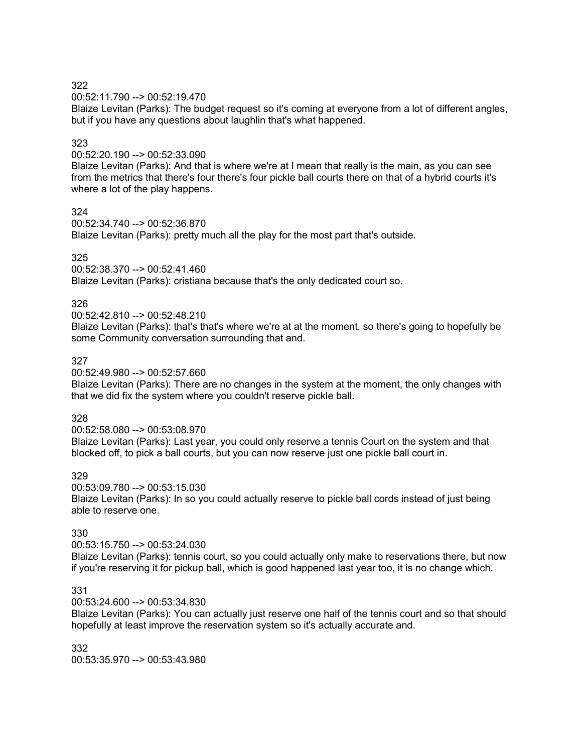00:52:11.790 --> 00:52:19.470

Blaize Levitan (Parks): The budget request so it's coming at everyone from a lot of different angles, but if you have any questions about laughlin that's what happened.

# 323

00:52:20.190 --> 00:52:33.090

Blaize Levitan (Parks): And that is where we're at I mean that really is the main, as you can see from the metrics that there's four there's four pickle ball courts there on that of a hybrid courts it's where a lot of the play happens.

324

00:52:34.740 --> 00:52:36.870

Blaize Levitan (Parks): pretty much all the play for the most part that's outside.

#### 325

00:52:38.370 --> 00:52:41.460

Blaize Levitan (Parks): cristiana because that's the only dedicated court so.

## 326

00:52:42.810 --> 00:52:48.210

Blaize Levitan (Parks): that's that's where we're at at the moment, so there's going to hopefully be some Community conversation surrounding that and.

#### 327

00:52:49.980 --> 00:52:57.660

Blaize Levitan (Parks): There are no changes in the system at the moment, the only changes with that we did fix the system where you couldn't reserve pickle ball.

#### 328

00:52:58.080 --> 00:53:08.970 Blaize Levitan (Parks): Last year, you could only reserve a tennis Court on the system and that blocked off, to pick a ball courts, but you can now reserve just one pickle ball court in.

## 329

00:53:09.780 --> 00:53:15.030 Blaize Levitan (Parks): In so you could actually reserve to pickle ball cords instead of just being able to reserve one.

## 330

00:53:15.750 --> 00:53:24.030 Blaize Levitan (Parks): tennis court, so you could actually only make to reservations there, but now if you're reserving it for pickup ball, which is good happened last year too, it is no change which.

## 331

00:53:24.600 --> 00:53:34.830

Blaize Levitan (Parks): You can actually just reserve one half of the tennis court and so that should hopefully at least improve the reservation system so it's actually accurate and.

332 00:53:35.970 --> 00:53:43.980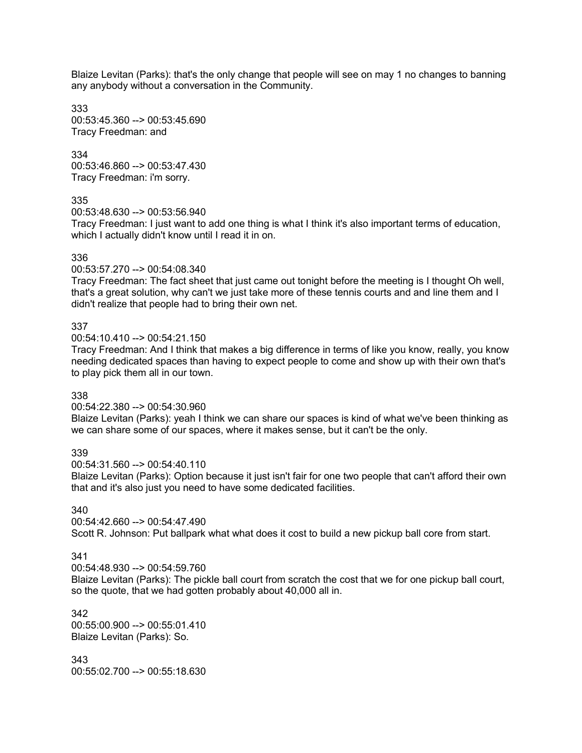Blaize Levitan (Parks): that's the only change that people will see on may 1 no changes to banning any anybody without a conversation in the Community.

333 00:53:45.360 --> 00:53:45.690 Tracy Freedman: and

334 00:53:46.860 --> 00:53:47.430 Tracy Freedman: i'm sorry.

#### 335

00:53:48.630 --> 00:53:56.940

Tracy Freedman: I just want to add one thing is what I think it's also important terms of education, which I actually didn't know until I read it in on.

#### 336

00:53:57.270 --> 00:54:08.340

Tracy Freedman: The fact sheet that just came out tonight before the meeting is I thought Oh well, that's a great solution, why can't we just take more of these tennis courts and and line them and I didn't realize that people had to bring their own net.

#### 337

00:54:10.410 --> 00:54:21.150

Tracy Freedman: And I think that makes a big difference in terms of like you know, really, you know needing dedicated spaces than having to expect people to come and show up with their own that's to play pick them all in our town.

#### 338

00:54:22.380 --> 00:54:30.960

Blaize Levitan (Parks): yeah I think we can share our spaces is kind of what we've been thinking as we can share some of our spaces, where it makes sense, but it can't be the only.

#### 339

00:54:31.560 --> 00:54:40.110

Blaize Levitan (Parks): Option because it just isn't fair for one two people that can't afford their own that and it's also just you need to have some dedicated facilities.

#### 340

00:54:42.660 --> 00:54:47.490 Scott R. Johnson: Put ballpark what what does it cost to build a new pickup ball core from start.

# 341

00:54:48.930 --> 00:54:59.760

Blaize Levitan (Parks): The pickle ball court from scratch the cost that we for one pickup ball court, so the quote, that we had gotten probably about 40,000 all in.

342 00:55:00.900 --> 00:55:01.410 Blaize Levitan (Parks): So.

343 00:55:02.700 --> 00:55:18.630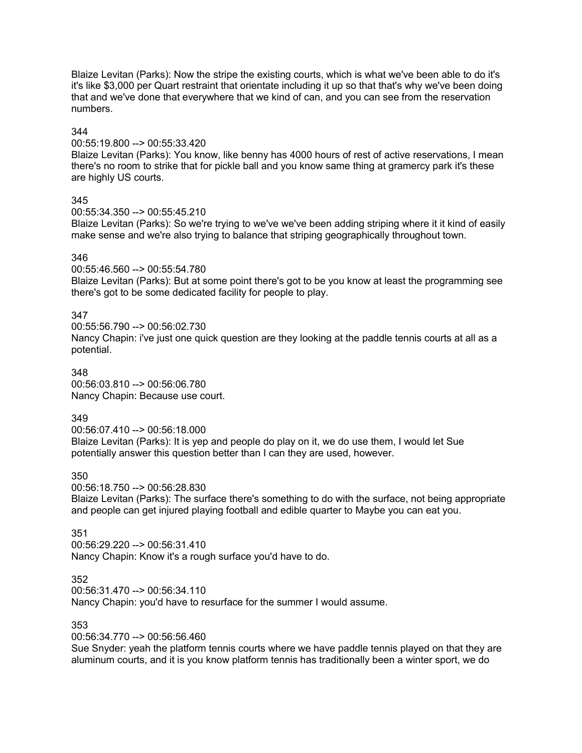Blaize Levitan (Parks): Now the stripe the existing courts, which is what we've been able to do it's it's like \$3,000 per Quart restraint that orientate including it up so that that's why we've been doing that and we've done that everywhere that we kind of can, and you can see from the reservation numbers.

#### 344

00:55:19.800 --> 00:55:33.420

Blaize Levitan (Parks): You know, like benny has 4000 hours of rest of active reservations, I mean there's no room to strike that for pickle ball and you know same thing at gramercy park it's these are highly US courts.

#### 345

00:55:34.350 --> 00:55:45.210

Blaize Levitan (Parks): So we're trying to we've we've been adding striping where it it kind of easily make sense and we're also trying to balance that striping geographically throughout town.

#### 346

00:55:46.560 --> 00:55:54.780

Blaize Levitan (Parks): But at some point there's got to be you know at least the programming see there's got to be some dedicated facility for people to play.

#### 347

00:55:56.790 --> 00:56:02.730 Nancy Chapin: i've just one quick question are they looking at the paddle tennis courts at all as a potential.

#### 348

00:56:03.810 --> 00:56:06.780 Nancy Chapin: Because use court.

#### 349

00:56:07.410 --> 00:56:18.000 Blaize Levitan (Parks): It is yep and people do play on it, we do use them, I would let Sue potentially answer this question better than I can they are used, however.

#### 350

00:56:18.750 --> 00:56:28.830

Blaize Levitan (Parks): The surface there's something to do with the surface, not being appropriate and people can get injured playing football and edible quarter to Maybe you can eat you.

## 351

00:56:29.220 --> 00:56:31.410 Nancy Chapin: Know it's a rough surface you'd have to do.

#### 352

00:56:31.470 --> 00:56:34.110

Nancy Chapin: you'd have to resurface for the summer I would assume.

#### 353

00:56:34.770 --> 00:56:56.460

Sue Snyder: yeah the platform tennis courts where we have paddle tennis played on that they are aluminum courts, and it is you know platform tennis has traditionally been a winter sport, we do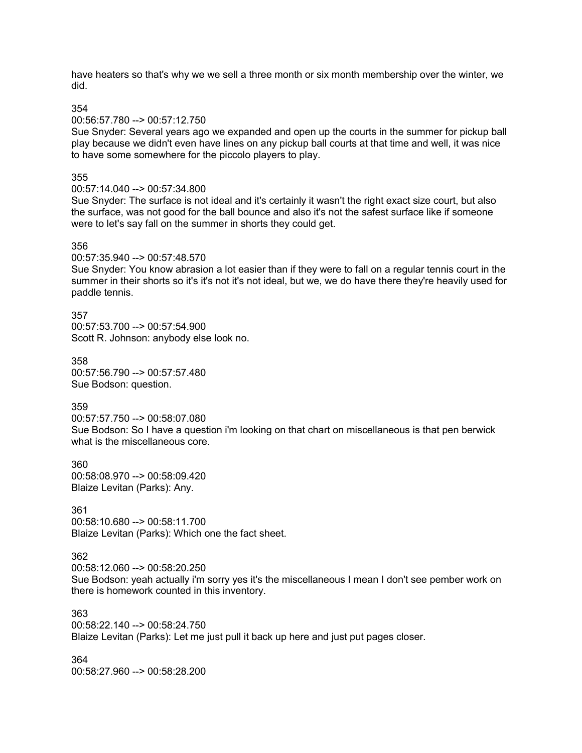have heaters so that's why we we sell a three month or six month membership over the winter, we did.

354

#### 00:56:57.780 --> 00:57:12.750

Sue Snyder: Several years ago we expanded and open up the courts in the summer for pickup ball play because we didn't even have lines on any pickup ball courts at that time and well, it was nice to have some somewhere for the piccolo players to play.

#### 355

#### 00:57:14.040 --> 00:57:34.800

Sue Snyder: The surface is not ideal and it's certainly it wasn't the right exact size court, but also the surface, was not good for the ball bounce and also it's not the safest surface like if someone were to let's say fall on the summer in shorts they could get.

#### 356

00:57:35.940 --> 00:57:48.570

Sue Snyder: You know abrasion a lot easier than if they were to fall on a regular tennis court in the summer in their shorts so it's it's not it's not ideal, but we, we do have there they're heavily used for paddle tennis.

357 00:57:53.700 --> 00:57:54.900 Scott R. Johnson: anybody else look no.

358 00:57:56.790 --> 00:57:57.480 Sue Bodson: question.

359

00:57:57.750 --> 00:58:07.080 Sue Bodson: So I have a question i'm looking on that chart on miscellaneous is that pen berwick what is the miscellaneous core.

360 00:58:08.970 --> 00:58:09.420 Blaize Levitan (Parks): Any.

## 361

00:58:10.680 --> 00:58:11.700 Blaize Levitan (Parks): Which one the fact sheet.

## 362

00:58:12.060 --> 00:58:20.250

Sue Bodson: yeah actually i'm sorry yes it's the miscellaneous I mean I don't see pember work on there is homework counted in this inventory.

## 363

00:58:22.140 --> 00:58:24.750 Blaize Levitan (Parks): Let me just pull it back up here and just put pages closer.

364 00:58:27.960 --> 00:58:28.200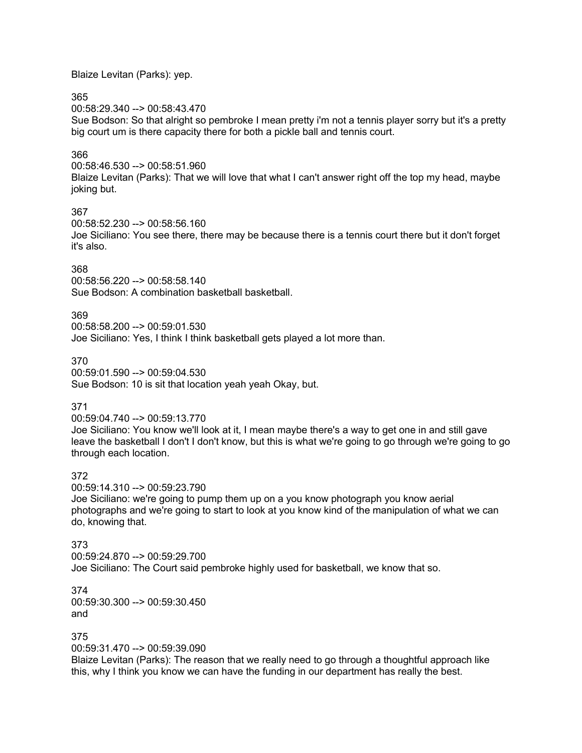Blaize Levitan (Parks): yep.

## 365

00:58:29.340 --> 00:58:43.470

Sue Bodson: So that alright so pembroke I mean pretty i'm not a tennis player sorry but it's a pretty big court um is there capacity there for both a pickle ball and tennis court.

# 366

00:58:46.530 --> 00:58:51.960 Blaize Levitan (Parks): That we will love that what I can't answer right off the top my head, maybe joking but.

## 367

00:58:52.230 --> 00:58:56.160 Joe Siciliano: You see there, there may be because there is a tennis court there but it don't forget it's also.

# 368

00:58:56.220 --> 00:58:58.140 Sue Bodson: A combination basketball basketball.

# 369

00:58:58.200 --> 00:59:01.530 Joe Siciliano: Yes, I think I think basketball gets played a lot more than.

# 370

00:59:01.590 --> 00:59:04.530 Sue Bodson: 10 is sit that location yeah yeah Okay, but.

# 371

00:59:04.740 --> 00:59:13.770

Joe Siciliano: You know we'll look at it, I mean maybe there's a way to get one in and still gave leave the basketball I don't I don't know, but this is what we're going to go through we're going to go through each location.

# 372

00:59:14.310 --> 00:59:23.790

Joe Siciliano: we're going to pump them up on a you know photograph you know aerial photographs and we're going to start to look at you know kind of the manipulation of what we can do, knowing that.

## 373

00:59:24.870 --> 00:59:29.700 Joe Siciliano: The Court said pembroke highly used for basketball, we know that so.

374 00:59:30.300 --> 00:59:30.450 and

## 375

00:59:31.470 --> 00:59:39.090

Blaize Levitan (Parks): The reason that we really need to go through a thoughtful approach like this, why I think you know we can have the funding in our department has really the best.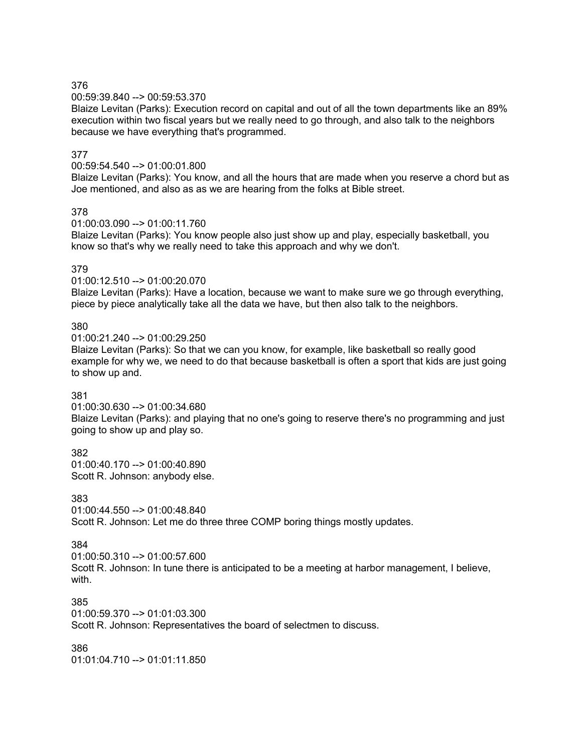### 00:59:39.840 --> 00:59:53.370

Blaize Levitan (Parks): Execution record on capital and out of all the town departments like an 89% execution within two fiscal years but we really need to go through, and also talk to the neighbors because we have everything that's programmed.

## 377

#### 00:59:54.540 --> 01:00:01.800

Blaize Levitan (Parks): You know, and all the hours that are made when you reserve a chord but as Joe mentioned, and also as as we are hearing from the folks at Bible street.

### 378

01:00:03.090 --> 01:00:11.760

Blaize Levitan (Parks): You know people also just show up and play, especially basketball, you know so that's why we really need to take this approach and why we don't.

### 379

01:00:12.510 --> 01:00:20.070

Blaize Levitan (Parks): Have a location, because we want to make sure we go through everything, piece by piece analytically take all the data we have, but then also talk to the neighbors.

### 380

01:00:21.240 --> 01:00:29.250

Blaize Levitan (Parks): So that we can you know, for example, like basketball so really good example for why we, we need to do that because basketball is often a sport that kids are just going to show up and.

### 381

01:00:30.630 --> 01:00:34.680

Blaize Levitan (Parks): and playing that no one's going to reserve there's no programming and just going to show up and play so.

### 382

01:00:40.170 --> 01:00:40.890 Scott R. Johnson: anybody else.

### 383

01:00:44.550 --> 01:00:48.840 Scott R. Johnson: Let me do three three COMP boring things mostly updates.

### 384

01:00:50.310 --> 01:00:57.600 Scott R. Johnson: In tune there is anticipated to be a meeting at harbor management, I believe, with.

### 385

01:00:59.370 --> 01:01:03.300

Scott R. Johnson: Representatives the board of selectmen to discuss.

## 386

01:01:04.710 --> 01:01:11.850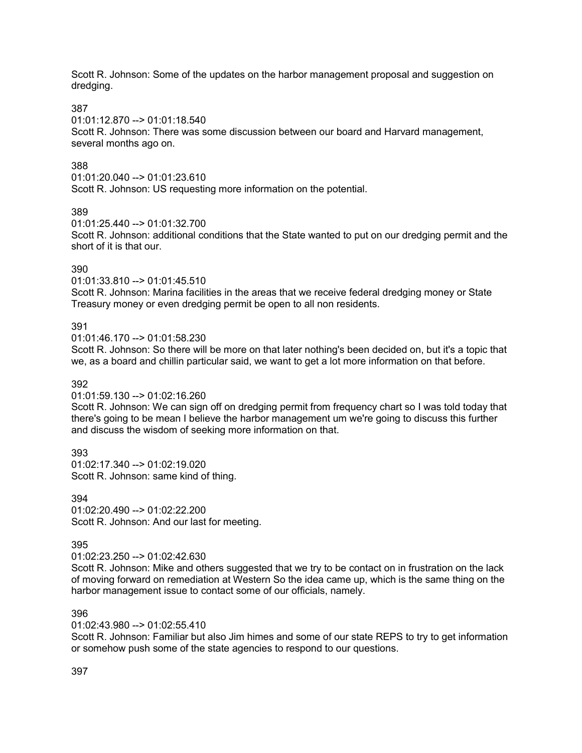Scott R. Johnson: Some of the updates on the harbor management proposal and suggestion on dredging.

### 387

01:01:12.870 --> 01:01:18.540

Scott R. Johnson: There was some discussion between our board and Harvard management, several months ago on.

## 388

01:01:20.040 --> 01:01:23.610

Scott R. Johnson: US requesting more information on the potential.

### 389

01:01:25.440 --> 01:01:32.700

Scott R. Johnson: additional conditions that the State wanted to put on our dredging permit and the short of it is that our.

## 390

01:01:33.810 --> 01:01:45.510

Scott R. Johnson: Marina facilities in the areas that we receive federal dredging money or State Treasury money or even dredging permit be open to all non residents.

## 391

01:01:46.170 --> 01:01:58.230

Scott R. Johnson: So there will be more on that later nothing's been decided on, but it's a topic that we, as a board and chillin particular said, we want to get a lot more information on that before.

## 392

01:01:59.130 --> 01:02:16.260

Scott R. Johnson: We can sign off on dredging permit from frequency chart so I was told today that there's going to be mean I believe the harbor management um we're going to discuss this further and discuss the wisdom of seeking more information on that.

393 01:02:17.340 --> 01:02:19.020 Scott R. Johnson: same kind of thing.

394 01:02:20.490 --> 01:02:22.200 Scott R. Johnson: And our last for meeting.

395

01:02:23.250 --> 01:02:42.630

Scott R. Johnson: Mike and others suggested that we try to be contact on in frustration on the lack of moving forward on remediation at Western So the idea came up, which is the same thing on the harbor management issue to contact some of our officials, namely.

## 396

01:02:43.980 --> 01:02:55.410

Scott R. Johnson: Familiar but also Jim himes and some of our state REPS to try to get information or somehow push some of the state agencies to respond to our questions.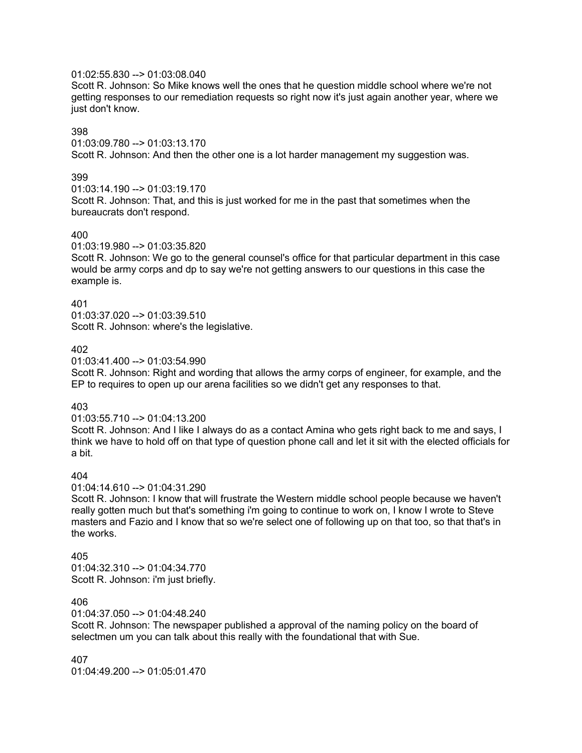## 01:02:55.830 --> 01:03:08.040

Scott R. Johnson: So Mike knows well the ones that he question middle school where we're not getting responses to our remediation requests so right now it's just again another year, where we just don't know.

## 398

01:03:09.780 --> 01:03:13.170 Scott R. Johnson: And then the other one is a lot harder management my suggestion was.

### 399

 $01:03:14.190 \rightarrow 01:03:19.170$ Scott R. Johnson: That, and this is just worked for me in the past that sometimes when the bureaucrats don't respond.

#### 400

01:03:19.980 --> 01:03:35.820

Scott R. Johnson: We go to the general counsel's office for that particular department in this case would be army corps and dp to say we're not getting answers to our questions in this case the example is.

#### 401

01:03:37.020 --> 01:03:39.510 Scott R. Johnson: where's the legislative.

### 402

01:03:41.400 --> 01:03:54.990

Scott R. Johnson: Right and wording that allows the army corps of engineer, for example, and the EP to requires to open up our arena facilities so we didn't get any responses to that.

### 403

01:03:55.710 --> 01:04:13.200

Scott R. Johnson: And I like I always do as a contact Amina who gets right back to me and says, I think we have to hold off on that type of question phone call and let it sit with the elected officials for a bit.

### 404

01:04:14.610 --> 01:04:31.290

Scott R. Johnson: I know that will frustrate the Western middle school people because we haven't really gotten much but that's something i'm going to continue to work on, I know I wrote to Steve masters and Fazio and I know that so we're select one of following up on that too, so that that's in the works.

### 405

 $01:04:32.310 - \ge 01:04:34.770$ Scott R. Johnson: i'm just briefly.

#### 406

01:04:37.050 --> 01:04:48.240

Scott R. Johnson: The newspaper published a approval of the naming policy on the board of selectmen um you can talk about this really with the foundational that with Sue.

#### 407

01:04:49.200 --> 01:05:01.470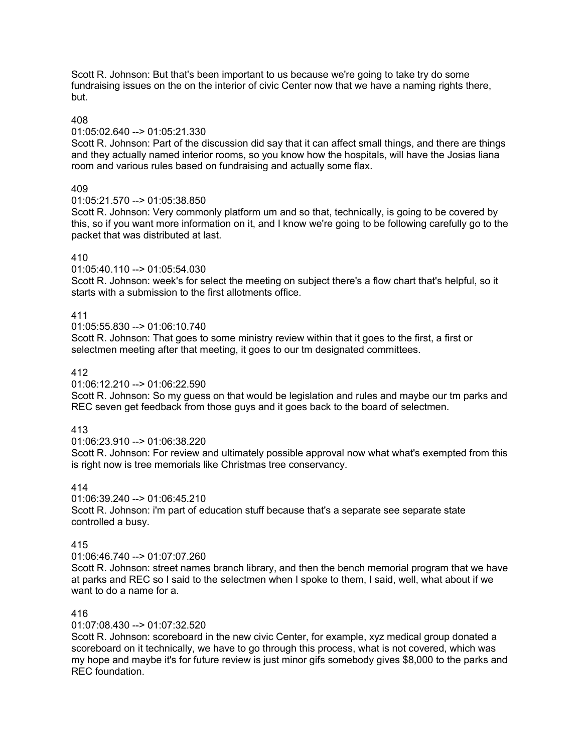Scott R. Johnson: But that's been important to us because we're going to take try do some fundraising issues on the on the interior of civic Center now that we have a naming rights there, but.

## 408

### 01:05:02.640 --> 01:05:21.330

Scott R. Johnson: Part of the discussion did say that it can affect small things, and there are things and they actually named interior rooms, so you know how the hospitals, will have the Josias liana room and various rules based on fundraising and actually some flax.

## 409

## 01:05:21.570 --> 01:05:38.850

Scott R. Johnson: Very commonly platform um and so that, technically, is going to be covered by this, so if you want more information on it, and I know we're going to be following carefully go to the packet that was distributed at last.

## 410

01:05:40.110 --> 01:05:54.030

Scott R. Johnson: week's for select the meeting on subject there's a flow chart that's helpful, so it starts with a submission to the first allotments office.

## 411

01:05:55.830 --> 01:06:10.740

Scott R. Johnson: That goes to some ministry review within that it goes to the first, a first or selectmen meeting after that meeting, it goes to our tm designated committees.

## 412

### 01:06:12.210 --> 01:06:22.590

Scott R. Johnson: So my guess on that would be legislation and rules and maybe our tm parks and REC seven get feedback from those guys and it goes back to the board of selectmen.

## 413

### 01:06:23.910 --> 01:06:38.220

Scott R. Johnson: For review and ultimately possible approval now what what's exempted from this is right now is tree memorials like Christmas tree conservancy.

## 414

01:06:39.240 --> 01:06:45.210 Scott R. Johnson: i'm part of education stuff because that's a separate see separate state controlled a busy.

### 415

01:06:46.740 --> 01:07:07.260

Scott R. Johnson: street names branch library, and then the bench memorial program that we have at parks and REC so I said to the selectmen when I spoke to them, I said, well, what about if we want to do a name for a.

## 416

### 01:07:08.430 --> 01:07:32.520

Scott R. Johnson: scoreboard in the new civic Center, for example, xyz medical group donated a scoreboard on it technically, we have to go through this process, what is not covered, which was my hope and maybe it's for future review is just minor gifs somebody gives \$8,000 to the parks and REC foundation.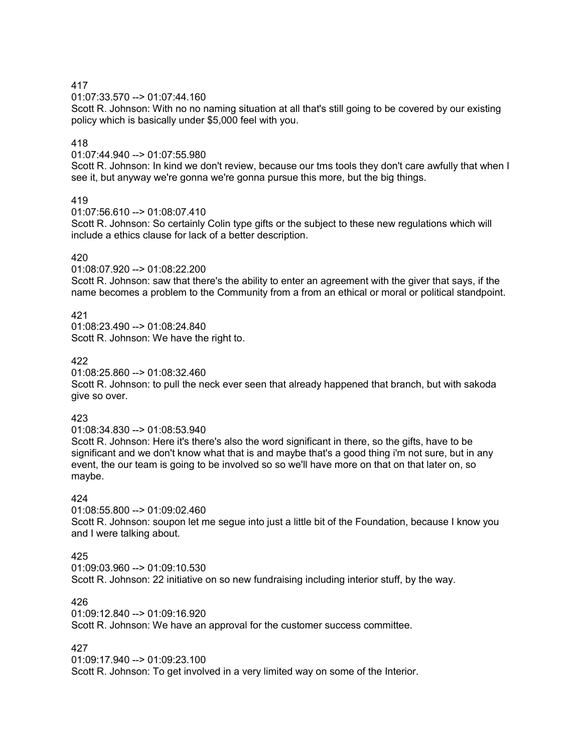01:07:33.570 --> 01:07:44.160

Scott R. Johnson: With no no naming situation at all that's still going to be covered by our existing policy which is basically under \$5,000 feel with you.

## 418

01:07:44.940 --> 01:07:55.980

Scott R. Johnson: In kind we don't review, because our tms tools they don't care awfully that when I see it, but anyway we're gonna we're gonna pursue this more, but the big things.

# 419

01:07:56.610 --> 01:08:07.410

Scott R. Johnson: So certainly Colin type gifts or the subject to these new regulations which will include a ethics clause for lack of a better description.

## 420

01:08:07.920 --> 01:08:22.200

Scott R. Johnson: saw that there's the ability to enter an agreement with the giver that says, if the name becomes a problem to the Community from a from an ethical or moral or political standpoint.

## 421

01:08:23.490 --> 01:08:24.840 Scott R. Johnson: We have the right to.

### 422

01:08:25.860 --> 01:08:32.460

Scott R. Johnson: to pull the neck ever seen that already happened that branch, but with sakoda give so over.

## 423

01:08:34.830 --> 01:08:53.940

Scott R. Johnson: Here it's there's also the word significant in there, so the gifts, have to be significant and we don't know what that is and maybe that's a good thing i'm not sure, but in any event, the our team is going to be involved so so we'll have more on that on that later on, so maybe.

## 424

01:08:55.800 --> 01:09:02.460

Scott R. Johnson: soupon let me segue into just a little bit of the Foundation, because I know you and I were talking about.

## 425

 $01:09:03.960 \rightarrow 01:09:10.530$ Scott R. Johnson: 22 initiative on so new fundraising including interior stuff, by the way.

## 426

01:09:12.840 --> 01:09:16.920 Scott R. Johnson: We have an approval for the customer success committee.

## 427

01:09:17.940 --> 01:09:23.100

Scott R. Johnson: To get involved in a very limited way on some of the Interior.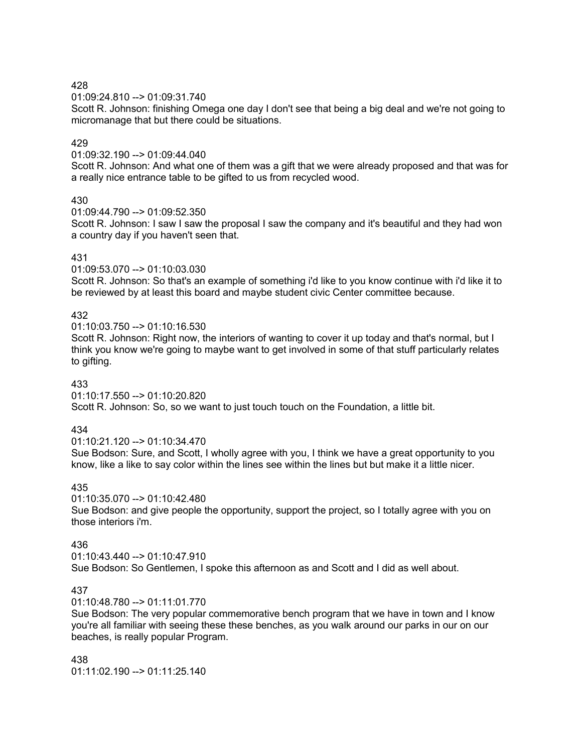01:09:24.810 --> 01:09:31.740

Scott R. Johnson: finishing Omega one day I don't see that being a big deal and we're not going to micromanage that but there could be situations.

## 429

01:09:32.190 --> 01:09:44.040

Scott R. Johnson: And what one of them was a gift that we were already proposed and that was for a really nice entrance table to be gifted to us from recycled wood.

### 430

01:09:44.790 --> 01:09:52.350

Scott R. Johnson: I saw I saw the proposal I saw the company and it's beautiful and they had won a country day if you haven't seen that.

### 431

01:09:53.070 --> 01:10:03.030

Scott R. Johnson: So that's an example of something i'd like to you know continue with i'd like it to be reviewed by at least this board and maybe student civic Center committee because.

## 432

01:10:03.750 --> 01:10:16.530

Scott R. Johnson: Right now, the interiors of wanting to cover it up today and that's normal, but I think you know we're going to maybe want to get involved in some of that stuff particularly relates to gifting.

### 433

01:10:17.550 --> 01:10:20.820

Scott R. Johnson: So, so we want to just touch touch on the Foundation, a little bit.

## 434

01:10:21.120 --> 01:10:34.470

Sue Bodson: Sure, and Scott, I wholly agree with you, I think we have a great opportunity to you know, like a like to say color within the lines see within the lines but but make it a little nicer.

## 435

01:10:35.070 --> 01:10:42.480 Sue Bodson: and give people the opportunity, support the project, so I totally agree with you on those interiors i'm.

## 436

01:10:43.440 --> 01:10:47.910 Sue Bodson: So Gentlemen, I spoke this afternoon as and Scott and I did as well about.

## 437

01:10:48.780 --> 01:11:01.770

Sue Bodson: The very popular commemorative bench program that we have in town and I know you're all familiar with seeing these these benches, as you walk around our parks in our on our beaches, is really popular Program.

438 01:11:02.190 --> 01:11:25.140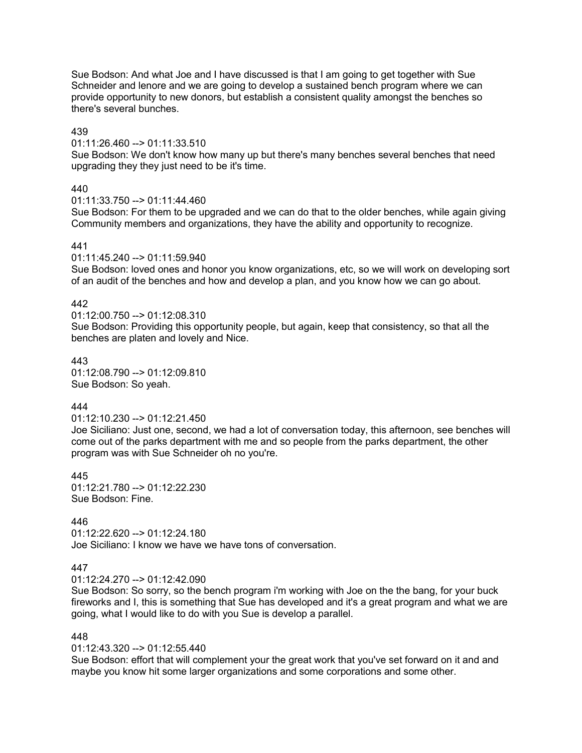Sue Bodson: And what Joe and I have discussed is that I am going to get together with Sue Schneider and lenore and we are going to develop a sustained bench program where we can provide opportunity to new donors, but establish a consistent quality amongst the benches so there's several bunches.

## 439

01:11:26.460 --> 01:11:33.510

Sue Bodson: We don't know how many up but there's many benches several benches that need upgrading they they just need to be it's time.

## 440

01:11:33.750 --> 01:11:44.460

Sue Bodson: For them to be upgraded and we can do that to the older benches, while again giving Community members and organizations, they have the ability and opportunity to recognize.

## 441

01:11:45.240 --> 01:11:59.940

Sue Bodson: loved ones and honor you know organizations, etc, so we will work on developing sort of an audit of the benches and how and develop a plan, and you know how we can go about.

## 442

01:12:00.750 --> 01:12:08.310 Sue Bodson: Providing this opportunity people, but again, keep that consistency, so that all the benches are platen and lovely and Nice.

## 443

01:12:08.790 --> 01:12:09.810 Sue Bodson: So yeah.

# 444

### 01:12:10.230 --> 01:12:21.450

Joe Siciliano: Just one, second, we had a lot of conversation today, this afternoon, see benches will come out of the parks department with me and so people from the parks department, the other program was with Sue Schneider oh no you're.

# 445

01:12:21.780 --> 01:12:22.230 Sue Bodson: Fine.

## 446

01:12:22.620 --> 01:12:24.180 Joe Siciliano: I know we have we have tons of conversation.

## 447

01:12:24.270 --> 01:12:42.090

Sue Bodson: So sorry, so the bench program i'm working with Joe on the the bang, for your buck fireworks and I, this is something that Sue has developed and it's a great program and what we are going, what I would like to do with you Sue is develop a parallel.

## 448

### $01:12:43.320 \rightarrow 01:12:55.440$

Sue Bodson: effort that will complement your the great work that you've set forward on it and and maybe you know hit some larger organizations and some corporations and some other.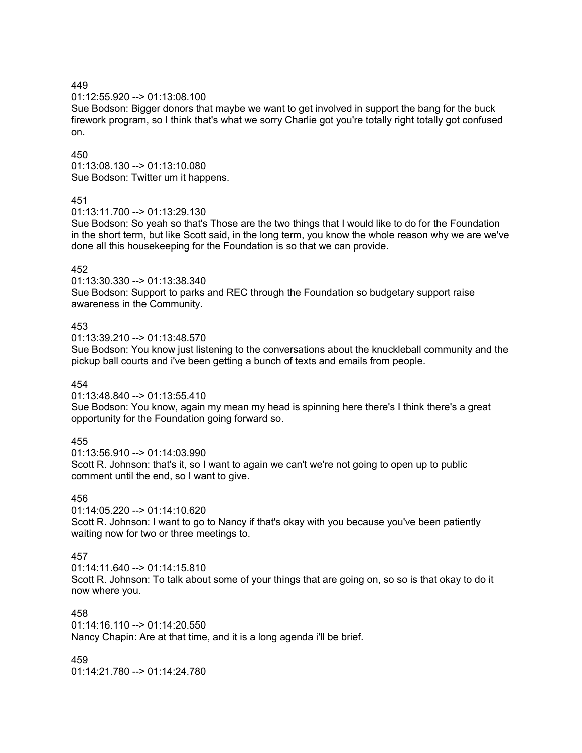01:12:55.920 --> 01:13:08.100

Sue Bodson: Bigger donors that maybe we want to get involved in support the bang for the buck firework program, so I think that's what we sorry Charlie got you're totally right totally got confused on.

## 450

01:13:08.130 --> 01:13:10.080 Sue Bodson: Twitter um it happens.

## 451

01:13:11.700 --> 01:13:29.130

Sue Bodson: So yeah so that's Those are the two things that I would like to do for the Foundation in the short term, but like Scott said, in the long term, you know the whole reason why we are we've done all this housekeeping for the Foundation is so that we can provide.

## 452

01:13:30.330 --> 01:13:38.340

Sue Bodson: Support to parks and REC through the Foundation so budgetary support raise awareness in the Community.

## 453

01:13:39.210 --> 01:13:48.570

Sue Bodson: You know just listening to the conversations about the knuckleball community and the pickup ball courts and i've been getting a bunch of texts and emails from people.

## 454

01:13:48.840 --> 01:13:55.410

Sue Bodson: You know, again my mean my head is spinning here there's I think there's a great opportunity for the Foundation going forward so.

# 455

01:13:56.910 --> 01:14:03.990 Scott R. Johnson: that's it, so I want to again we can't we're not going to open up to public comment until the end, so I want to give.

## 456

01:14:05.220 --> 01:14:10.620

Scott R. Johnson: I want to go to Nancy if that's okay with you because you've been patiently waiting now for two or three meetings to.

# 457

 $01:14:11.640 \rightarrow 01:14:15.810$ 

Scott R. Johnson: To talk about some of your things that are going on, so so is that okay to do it now where you.

# 458

01:14:16.110 --> 01:14:20.550 Nancy Chapin: Are at that time, and it is a long agenda i'll be brief.

459

 $01:14:21.780 \rightarrow 01:14:24.780$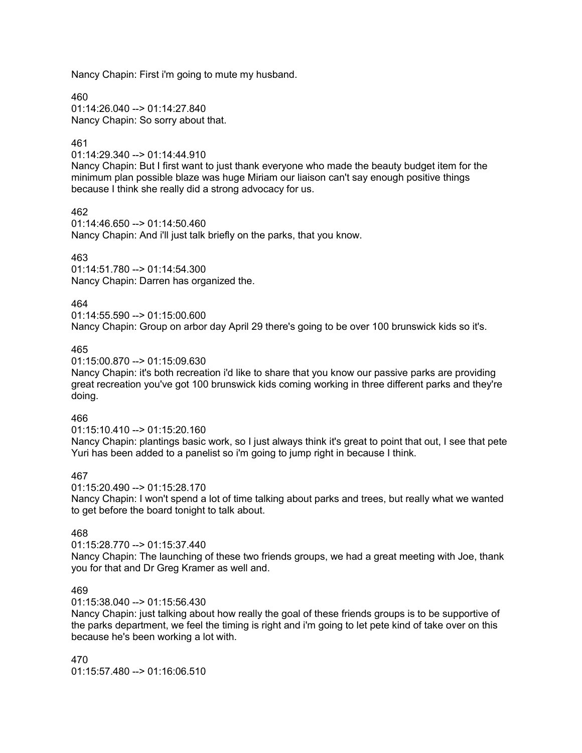Nancy Chapin: First i'm going to mute my husband.

460 01:14:26.040 --> 01:14:27.840 Nancy Chapin: So sorry about that.

## 461

01:14:29.340 --> 01:14:44.910

Nancy Chapin: But I first want to just thank everyone who made the beauty budget item for the minimum plan possible blaze was huge Miriam our liaison can't say enough positive things because I think she really did a strong advocacy for us.

462

01:14:46.650 --> 01:14:50.460 Nancy Chapin: And i'll just talk briefly on the parks, that you know.

## 463

01:14:51.780 --> 01:14:54.300 Nancy Chapin: Darren has organized the.

## 464

01:14:55.590 --> 01:15:00.600

Nancy Chapin: Group on arbor day April 29 there's going to be over 100 brunswick kids so it's.

## 465

01:15:00.870 --> 01:15:09.630

Nancy Chapin: it's both recreation i'd like to share that you know our passive parks are providing great recreation you've got 100 brunswick kids coming working in three different parks and they're doing.

## 466

01:15:10.410 --> 01:15:20.160

Nancy Chapin: plantings basic work, so I just always think it's great to point that out, I see that pete Yuri has been added to a panelist so i'm going to jump right in because I think.

## 467

01:15:20.490 --> 01:15:28.170

Nancy Chapin: I won't spend a lot of time talking about parks and trees, but really what we wanted to get before the board tonight to talk about.

## 468

01:15:28.770 --> 01:15:37.440

Nancy Chapin: The launching of these two friends groups, we had a great meeting with Joe, thank you for that and Dr Greg Kramer as well and.

## 469

01:15:38.040 --> 01:15:56.430

Nancy Chapin: just talking about how really the goal of these friends groups is to be supportive of the parks department, we feel the timing is right and i'm going to let pete kind of take over on this because he's been working a lot with.

470 01:15:57.480 --> 01:16:06.510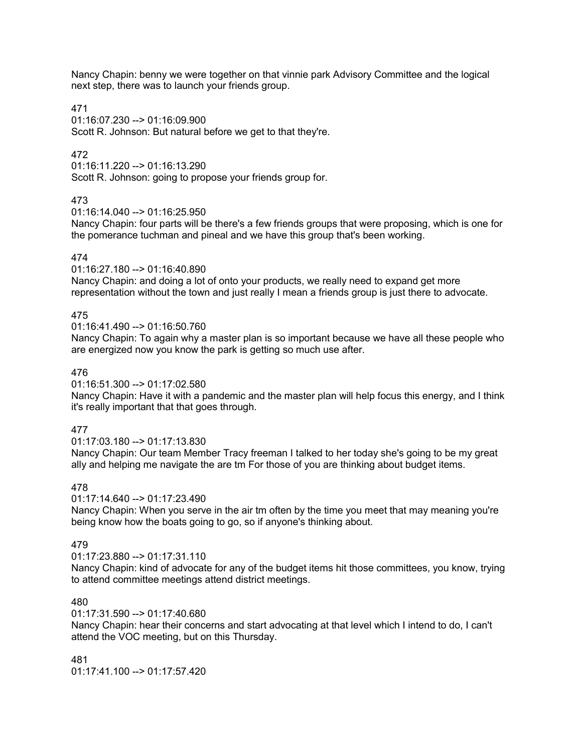Nancy Chapin: benny we were together on that vinnie park Advisory Committee and the logical next step, there was to launch your friends group.

### 471

01:16:07.230 --> 01:16:09.900 Scott R. Johnson: But natural before we get to that they're.

## 472

01:16:11.220 --> 01:16:13.290 Scott R. Johnson: going to propose your friends group for.

## 473

01:16:14.040 --> 01:16:25.950

Nancy Chapin: four parts will be there's a few friends groups that were proposing, which is one for the pomerance tuchman and pineal and we have this group that's been working.

### 474

01:16:27.180 --> 01:16:40.890

Nancy Chapin: and doing a lot of onto your products, we really need to expand get more representation without the town and just really I mean a friends group is just there to advocate.

## 475

01:16:41.490 --> 01:16:50.760

Nancy Chapin: To again why a master plan is so important because we have all these people who are energized now you know the park is getting so much use after.

### 476

01:16:51.300 --> 01:17:02.580

Nancy Chapin: Have it with a pandemic and the master plan will help focus this energy, and I think it's really important that that goes through.

## 477

01:17:03.180 --> 01:17:13.830

Nancy Chapin: Our team Member Tracy freeman I talked to her today she's going to be my great ally and helping me navigate the are tm For those of you are thinking about budget items.

## 478

01:17:14.640 --> 01:17:23.490

Nancy Chapin: When you serve in the air tm often by the time you meet that may meaning you're being know how the boats going to go, so if anyone's thinking about.

### 479

01:17:23.880 --> 01:17:31.110

Nancy Chapin: kind of advocate for any of the budget items hit those committees, you know, trying to attend committee meetings attend district meetings.

### 480

01:17:31.590 --> 01:17:40.680

Nancy Chapin: hear their concerns and start advocating at that level which I intend to do, I can't attend the VOC meeting, but on this Thursday.

481 01:17:41.100 --> 01:17:57.420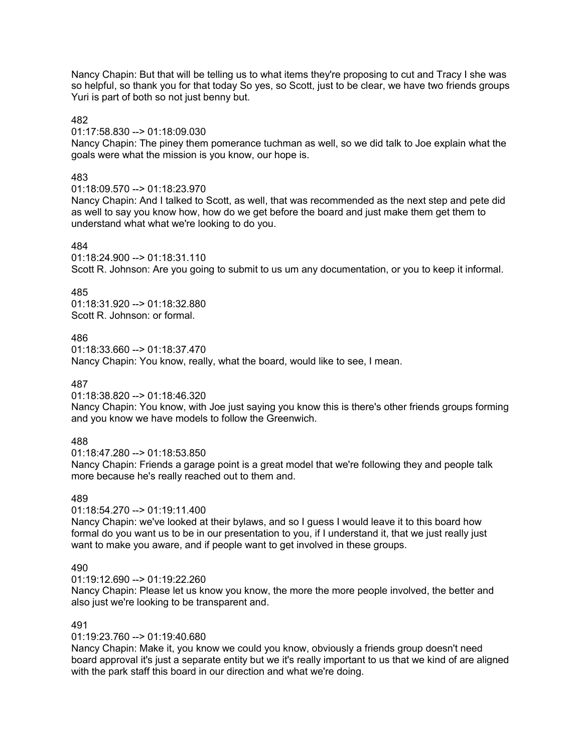Nancy Chapin: But that will be telling us to what items they're proposing to cut and Tracy I she was so helpful, so thank you for that today So yes, so Scott, just to be clear, we have two friends groups Yuri is part of both so not just benny but.

### 482

01:17:58.830 --> 01:18:09.030

Nancy Chapin: The piney them pomerance tuchman as well, so we did talk to Joe explain what the goals were what the mission is you know, our hope is.

## 483

### 01:18:09.570 --> 01:18:23.970

Nancy Chapin: And I talked to Scott, as well, that was recommended as the next step and pete did as well to say you know how, how do we get before the board and just make them get them to understand what what we're looking to do you.

## 484

01:18:24.900 --> 01:18:31.110 Scott R. Johnson: Are you going to submit to us um any documentation, or you to keep it informal.

## 485

01:18:31.920 --> 01:18:32.880 Scott R. Johnson: or formal.

### 486

 $01:18:33.660 \rightarrow 01:18:37.470$ Nancy Chapin: You know, really, what the board, would like to see, I mean.

## 487

01:18:38.820 --> 01:18:46.320

Nancy Chapin: You know, with Joe just saying you know this is there's other friends groups forming and you know we have models to follow the Greenwich.

## 488

01:18:47.280 --> 01:18:53.850

Nancy Chapin: Friends a garage point is a great model that we're following they and people talk more because he's really reached out to them and.

## 489

01:18:54.270 --> 01:19:11.400

Nancy Chapin: we've looked at their bylaws, and so I guess I would leave it to this board how formal do you want us to be in our presentation to you, if I understand it, that we just really just want to make you aware, and if people want to get involved in these groups.

## 490

01:19:12.690 --> 01:19:22.260

Nancy Chapin: Please let us know you know, the more the more people involved, the better and also just we're looking to be transparent and.

## 491

01:19:23.760 --> 01:19:40.680

Nancy Chapin: Make it, you know we could you know, obviously a friends group doesn't need board approval it's just a separate entity but we it's really important to us that we kind of are aligned with the park staff this board in our direction and what we're doing.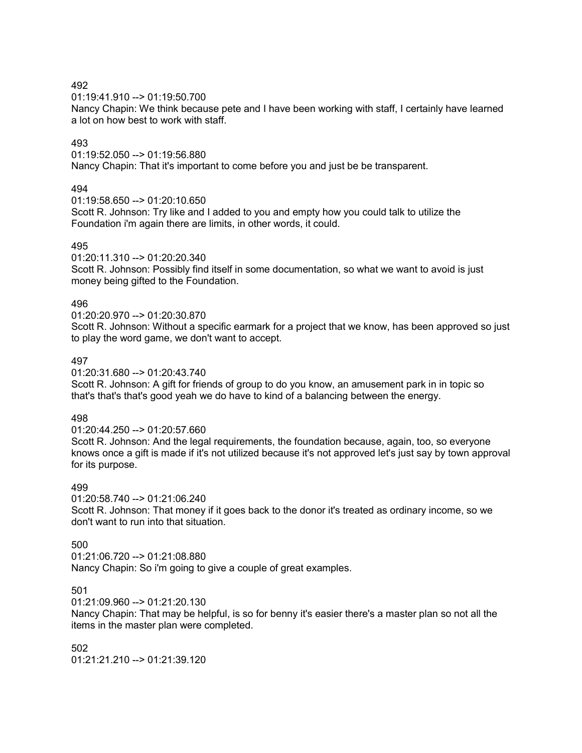01:19:41.910 --> 01:19:50.700

Nancy Chapin: We think because pete and I have been working with staff, I certainly have learned a lot on how best to work with staff.

## 493

01:19:52.050 --> 01:19:56.880

Nancy Chapin: That it's important to come before you and just be be transparent.

## 494

01:19:58.650 --> 01:20:10.650

Scott R. Johnson: Try like and I added to you and empty how you could talk to utilize the Foundation i'm again there are limits, in other words, it could.

## 495

01:20:11.310 --> 01:20:20.340

Scott R. Johnson: Possibly find itself in some documentation, so what we want to avoid is just money being gifted to the Foundation.

## 496

01:20:20.970 --> 01:20:30.870

Scott R. Johnson: Without a specific earmark for a project that we know, has been approved so just to play the word game, we don't want to accept.

## 497

01:20:31.680 --> 01:20:43.740

Scott R. Johnson: A gift for friends of group to do you know, an amusement park in in topic so that's that's that's good yeah we do have to kind of a balancing between the energy.

## 498

01:20:44.250 --> 01:20:57.660 Scott R. Johnson: And the legal requirements, the foundation because, again, too, so everyone knows once a gift is made if it's not utilized because it's not approved let's just say by town approval for its purpose.

## 499

01:20:58.740 --> 01:21:06.240 Scott R. Johnson: That money if it goes back to the donor it's treated as ordinary income, so we don't want to run into that situation.

## 500

01:21:06.720 --> 01:21:08.880 Nancy Chapin: So i'm going to give a couple of great examples.

## 501

01:21:09.960 --> 01:21:20.130

Nancy Chapin: That may be helpful, is so for benny it's easier there's a master plan so not all the items in the master plan were completed.

502 01:21:21.210 --> 01:21:39.120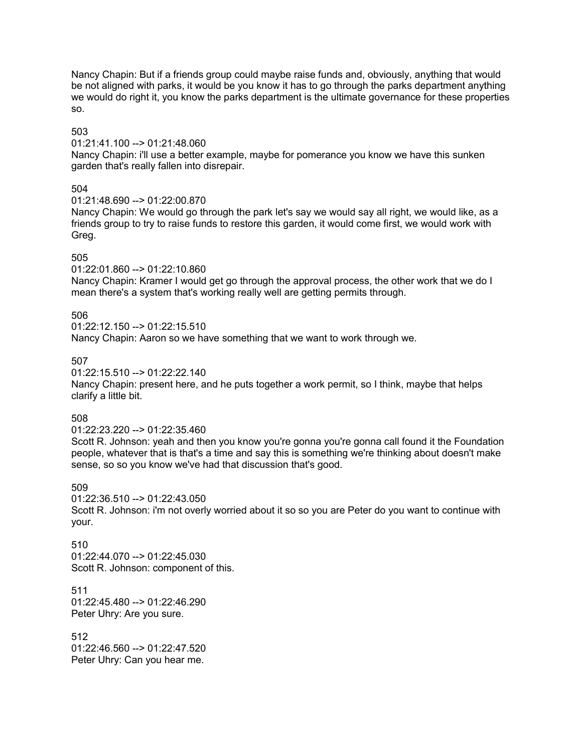Nancy Chapin: But if a friends group could maybe raise funds and, obviously, anything that would be not aligned with parks, it would be you know it has to go through the parks department anything we would do right it, you know the parks department is the ultimate governance for these properties so.

503

01:21:41.100 --> 01:21:48.060

Nancy Chapin: i'll use a better example, maybe for pomerance you know we have this sunken garden that's really fallen into disrepair.

## 504

01:21:48.690 --> 01:22:00.870

Nancy Chapin: We would go through the park let's say we would say all right, we would like, as a friends group to try to raise funds to restore this garden, it would come first, we would work with Greg.

## 505

01:22:01.860 --> 01:22:10.860

Nancy Chapin: Kramer I would get go through the approval process, the other work that we do I mean there's a system that's working really well are getting permits through.

## 506

01:22:12.150 --> 01:22:15.510 Nancy Chapin: Aaron so we have something that we want to work through we.

## 507

01:22:15.510 --> 01:22:22.140

Nancy Chapin: present here, and he puts together a work permit, so I think, maybe that helps clarify a little bit.

## 508

01:22:23.220 --> 01:22:35.460

Scott R. Johnson: yeah and then you know you're gonna you're gonna call found it the Foundation people, whatever that is that's a time and say this is something we're thinking about doesn't make sense, so so you know we've had that discussion that's good.

## 509

01:22:36.510 --> 01:22:43.050 Scott R. Johnson: i'm not overly worried about it so so you are Peter do you want to continue with your.

### 510 01:22:44.070 --> 01:22:45.030 Scott R. Johnson: component of this.

511 01:22:45.480 --> 01:22:46.290 Peter Uhry: Are you sure.

512 01:22:46.560 --> 01:22:47.520 Peter Uhry: Can you hear me.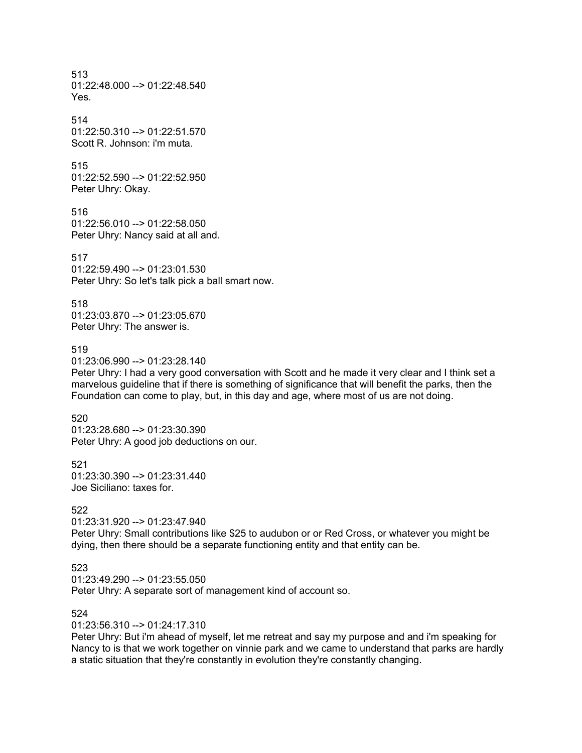513  $01:22:48.000 \rightarrow 01:22:48.540$ Yes.

514 01:22:50.310 --> 01:22:51.570 Scott R. Johnson: i'm muta.

515 01:22:52.590 --> 01:22:52.950 Peter Uhry: Okay.

516 01:22:56.010 --> 01:22:58.050 Peter Uhry: Nancy said at all and.

517 01:22:59.490 --> 01:23:01.530 Peter Uhry: So let's talk pick a ball smart now.

518 01:23:03.870 --> 01:23:05.670 Peter Uhry: The answer is.

## 519

01:23:06.990 --> 01:23:28.140

Peter Uhry: I had a very good conversation with Scott and he made it very clear and I think set a marvelous guideline that if there is something of significance that will benefit the parks, then the Foundation can come to play, but, in this day and age, where most of us are not doing.

520 01:23:28.680 --> 01:23:30.390 Peter Uhry: A good job deductions on our.

521  $01:23:30.390 \rightarrow 01:23:31.440$ Joe Siciliano: taxes for.

### 522

01:23:31.920 --> 01:23:47.940 Peter Uhry: Small contributions like \$25 to audubon or or Red Cross, or whatever you might be dying, then there should be a separate functioning entity and that entity can be.

## 523

01:23:49.290 --> 01:23:55.050 Peter Uhry: A separate sort of management kind of account so.

## 524

01:23:56.310 --> 01:24:17.310

Peter Uhry: But i'm ahead of myself, let me retreat and say my purpose and and i'm speaking for Nancy to is that we work together on vinnie park and we came to understand that parks are hardly a static situation that they're constantly in evolution they're constantly changing.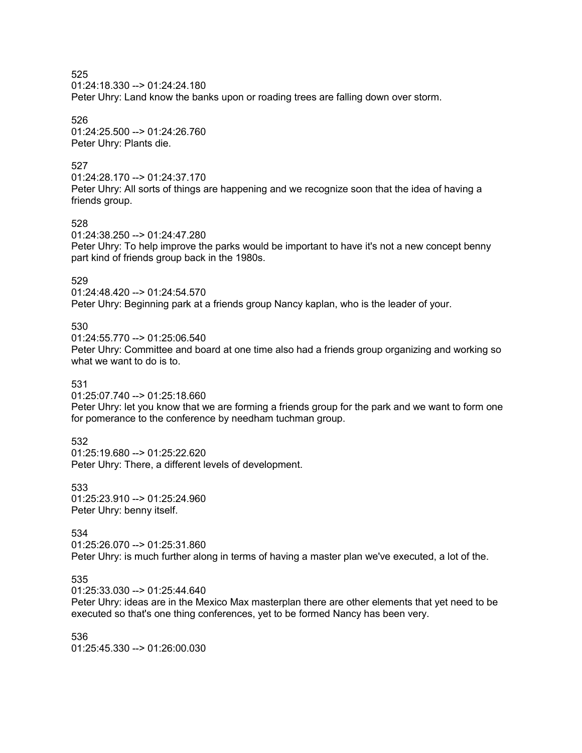01:24:18.330 --> 01:24:24.180

Peter Uhry: Land know the banks upon or roading trees are falling down over storm.

526

01:24:25.500 --> 01:24:26.760 Peter Uhry: Plants die.

## 527

01:24:28.170 --> 01:24:37.170

Peter Uhry: All sorts of things are happening and we recognize soon that the idea of having a friends group.

## 528

01:24:38.250 --> 01:24:47.280

Peter Uhry: To help improve the parks would be important to have it's not a new concept benny part kind of friends group back in the 1980s.

## 529

01:24:48.420 --> 01:24:54.570 Peter Uhry: Beginning park at a friends group Nancy kaplan, who is the leader of your.

## 530

01:24:55.770 --> 01:25:06.540

Peter Uhry: Committee and board at one time also had a friends group organizing and working so what we want to do is to.

## 531

01:25:07.740 --> 01:25:18.660

Peter Uhry: let you know that we are forming a friends group for the park and we want to form one for pomerance to the conference by needham tuchman group.

## 532

01:25:19.680 --> 01:25:22.620 Peter Uhry: There, a different levels of development.

533 01:25:23.910 --> 01:25:24.960 Peter Uhry: benny itself.

# 534

01:25:26.070 --> 01:25:31.860 Peter Uhry: is much further along in terms of having a master plan we've executed, a lot of the.

## 535

01:25:33.030 --> 01:25:44.640

Peter Uhry: ideas are in the Mexico Max masterplan there are other elements that yet need to be executed so that's one thing conferences, yet to be formed Nancy has been very.

536 01:25:45.330 --> 01:26:00.030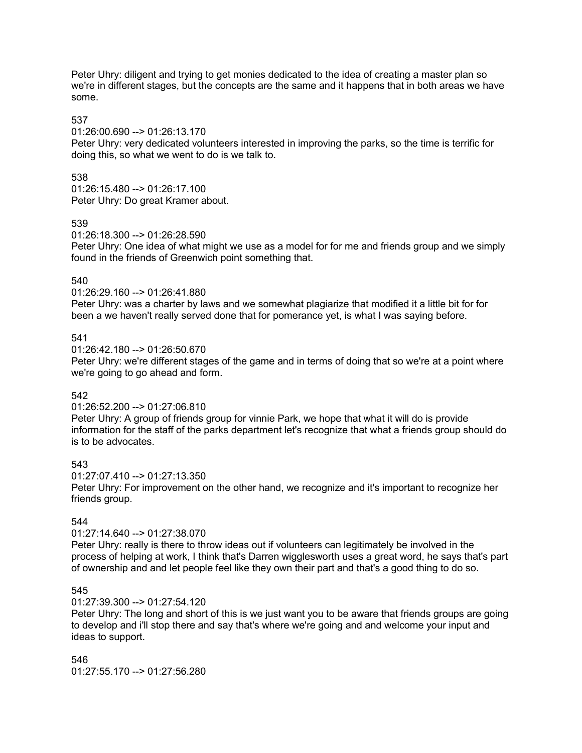Peter Uhry: diligent and trying to get monies dedicated to the idea of creating a master plan so we're in different stages, but the concepts are the same and it happens that in both areas we have some.

## 537

01:26:00.690 --> 01:26:13.170

Peter Uhry: very dedicated volunteers interested in improving the parks, so the time is terrific for doing this, so what we went to do is we talk to.

## 538

01:26:15.480 --> 01:26:17.100 Peter Uhry: Do great Kramer about.

### 539

01:26:18.300 --> 01:26:28.590

Peter Uhry: One idea of what might we use as a model for for me and friends group and we simply found in the friends of Greenwich point something that.

## 540

01:26:29.160 --> 01:26:41.880

Peter Uhry: was a charter by laws and we somewhat plagiarize that modified it a little bit for for been a we haven't really served done that for pomerance yet, is what I was saying before.

## 541

 $01:26:42.180 \rightarrow 01:26:50.670$ 

Peter Uhry: we're different stages of the game and in terms of doing that so we're at a point where we're going to go ahead and form.

## 542

### 01:26:52.200 --> 01:27:06.810

Peter Uhry: A group of friends group for vinnie Park, we hope that what it will do is provide information for the staff of the parks department let's recognize that what a friends group should do is to be advocates.

## 543

01:27:07.410 --> 01:27:13.350

Peter Uhry: For improvement on the other hand, we recognize and it's important to recognize her friends group.

## 544

## 01:27:14.640 --> 01:27:38.070

Peter Uhry: really is there to throw ideas out if volunteers can legitimately be involved in the process of helping at work, I think that's Darren wigglesworth uses a great word, he says that's part of ownership and and let people feel like they own their part and that's a good thing to do so.

## 545

### 01:27:39.300 --> 01:27:54.120

Peter Uhry: The long and short of this is we just want you to be aware that friends groups are going to develop and i'll stop there and say that's where we're going and and welcome your input and ideas to support.

546 01:27:55.170 --> 01:27:56.280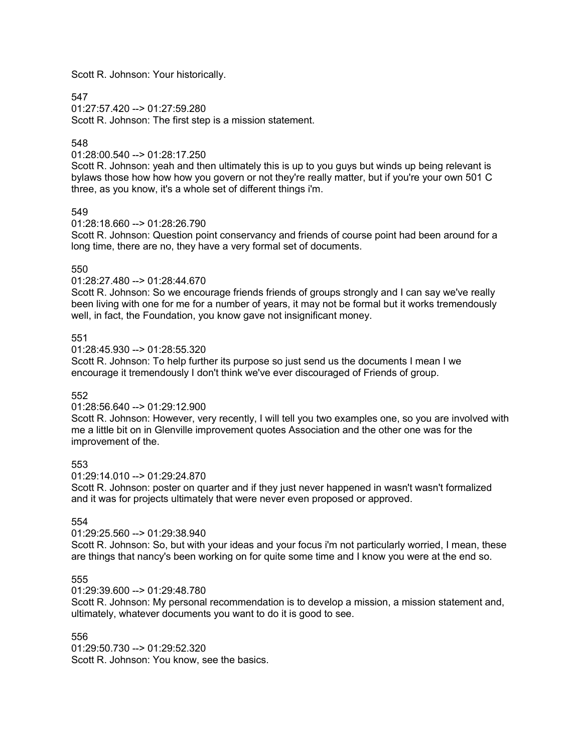Scott R. Johnson: Your historically.

## 547

 $01:27:57.420$  -->  $01:27:59.280$ Scott R. Johnson: The first step is a mission statement.

## 548

01:28:00.540 --> 01:28:17.250

Scott R. Johnson: yeah and then ultimately this is up to you guys but winds up being relevant is bylaws those how how how you govern or not they're really matter, but if you're your own 501 C three, as you know, it's a whole set of different things i'm.

## 549

 $01:28:18.660 \rightarrow 01:28:26.790$ 

Scott R. Johnson: Question point conservancy and friends of course point had been around for a long time, there are no, they have a very formal set of documents.

## 550

01:28:27.480 --> 01:28:44.670

Scott R. Johnson: So we encourage friends friends of groups strongly and I can say we've really been living with one for me for a number of years, it may not be formal but it works tremendously well, in fact, the Foundation, you know gave not insignificant money.

## 551

 $01:28:45.930 \rightarrow 01:28:55.320$ 

Scott R. Johnson: To help further its purpose so just send us the documents I mean I we encourage it tremendously I don't think we've ever discouraged of Friends of group.

## 552

### 01:28:56.640 --> 01:29:12.900

Scott R. Johnson: However, very recently, I will tell you two examples one, so you are involved with me a little bit on in Glenville improvement quotes Association and the other one was for the improvement of the.

## 553

01:29:14.010 --> 01:29:24.870

Scott R. Johnson: poster on quarter and if they just never happened in wasn't wasn't formalized and it was for projects ultimately that were never even proposed or approved.

## 554

## 01:29:25.560 --> 01:29:38.940

Scott R. Johnson: So, but with your ideas and your focus i'm not particularly worried, I mean, these are things that nancy's been working on for quite some time and I know you were at the end so.

## 555

01:29:39.600 --> 01:29:48.780

Scott R. Johnson: My personal recommendation is to develop a mission, a mission statement and, ultimately, whatever documents you want to do it is good to see.

## 556

01:29:50.730 --> 01:29:52.320 Scott R. Johnson: You know, see the basics.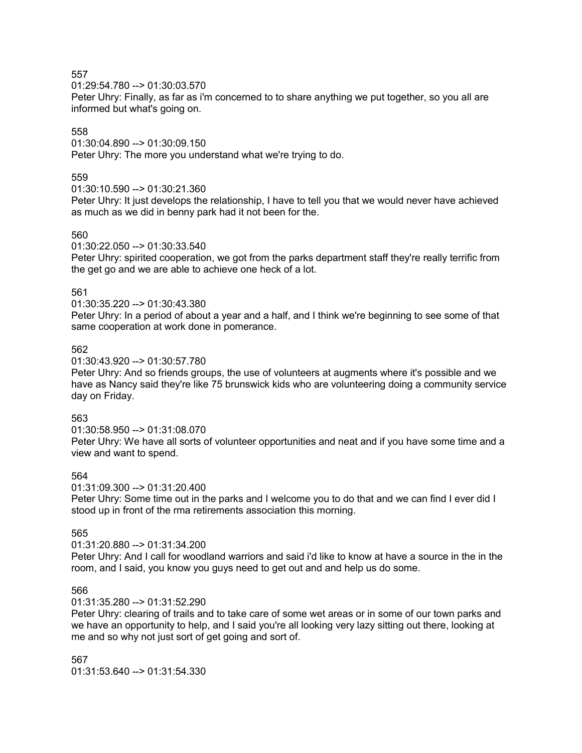01:29:54.780 --> 01:30:03.570

Peter Uhry: Finally, as far as i'm concerned to to share anything we put together, so you all are informed but what's going on.

## 558

01:30:04.890 --> 01:30:09.150

Peter Uhry: The more you understand what we're trying to do.

## 559

## 01:30:10.590 --> 01:30:21.360

Peter Uhry: It just develops the relationship, I have to tell you that we would never have achieved as much as we did in benny park had it not been for the.

## 560

01:30:22.050 --> 01:30:33.540

Peter Uhry: spirited cooperation, we got from the parks department staff they're really terrific from the get go and we are able to achieve one heck of a lot.

## 561

01:30:35.220 --> 01:30:43.380

Peter Uhry: In a period of about a year and a half, and I think we're beginning to see some of that same cooperation at work done in pomerance.

## 562

01:30:43.920 --> 01:30:57.780

Peter Uhry: And so friends groups, the use of volunteers at augments where it's possible and we have as Nancy said they're like 75 brunswick kids who are volunteering doing a community service day on Friday.

## 563

01:30:58.950 --> 01:31:08.070

Peter Uhry: We have all sorts of volunteer opportunities and neat and if you have some time and a view and want to spend.

# 564

01:31:09.300 --> 01:31:20.400

Peter Uhry: Some time out in the parks and I welcome you to do that and we can find I ever did I stood up in front of the rma retirements association this morning.

# 565

## 01:31:20.880 --> 01:31:34.200

Peter Uhry: And I call for woodland warriors and said i'd like to know at have a source in the in the room, and I said, you know you guys need to get out and and help us do some.

## 566

## 01:31:35.280 --> 01:31:52.290

Peter Uhry: clearing of trails and to take care of some wet areas or in some of our town parks and we have an opportunity to help, and I said you're all looking very lazy sitting out there, looking at me and so why not just sort of get going and sort of.

567 01:31:53.640 --> 01:31:54.330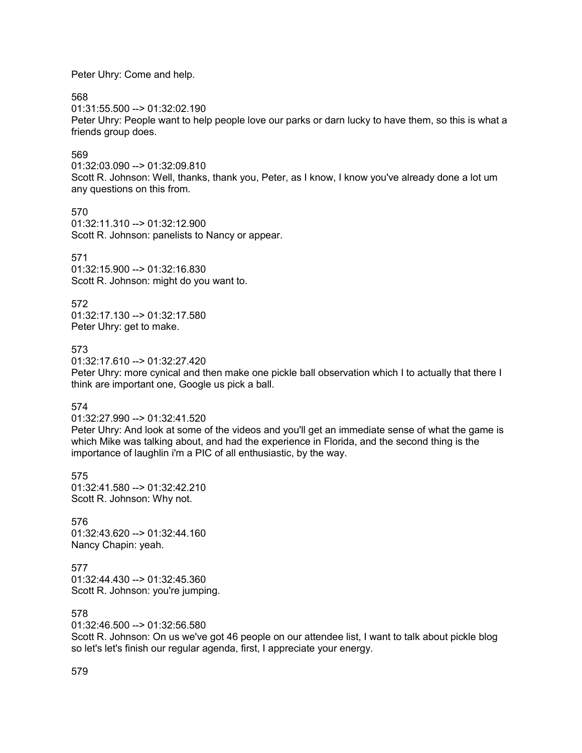Peter Uhry: Come and help.

568

 $01:31:55.500 \rightarrow 01:32:02.190$ Peter Uhry: People want to help people love our parks or darn lucky to have them, so this is what a friends group does.

## 569

01:32:03.090 --> 01:32:09.810 Scott R. Johnson: Well, thanks, thank you, Peter, as I know, I know you've already done a lot um any questions on this from.

570 01:32:11.310 --> 01:32:12.900 Scott R. Johnson: panelists to Nancy or appear.

### 571

01:32:15.900 --> 01:32:16.830 Scott R. Johnson: might do you want to.

572

01:32:17.130 --> 01:32:17.580 Peter Uhry: get to make.

### 573

01:32:17.610 --> 01:32:27.420

Peter Uhry: more cynical and then make one pickle ball observation which I to actually that there I think are important one, Google us pick a ball.

574

01:32:27.990 --> 01:32:41.520

Peter Uhry: And look at some of the videos and you'll get an immediate sense of what the game is which Mike was talking about, and had the experience in Florida, and the second thing is the importance of laughlin i'm a PIC of all enthusiastic, by the way.

575 01:32:41.580 --> 01:32:42.210 Scott R. Johnson: Why not.

576 01:32:43.620 --> 01:32:44.160 Nancy Chapin: yeah.

577 01:32:44.430 --> 01:32:45.360 Scott R. Johnson: you're jumping.

578

01:32:46.500 --> 01:32:56.580

Scott R. Johnson: On us we've got 46 people on our attendee list, I want to talk about pickle blog so let's let's finish our regular agenda, first, I appreciate your energy.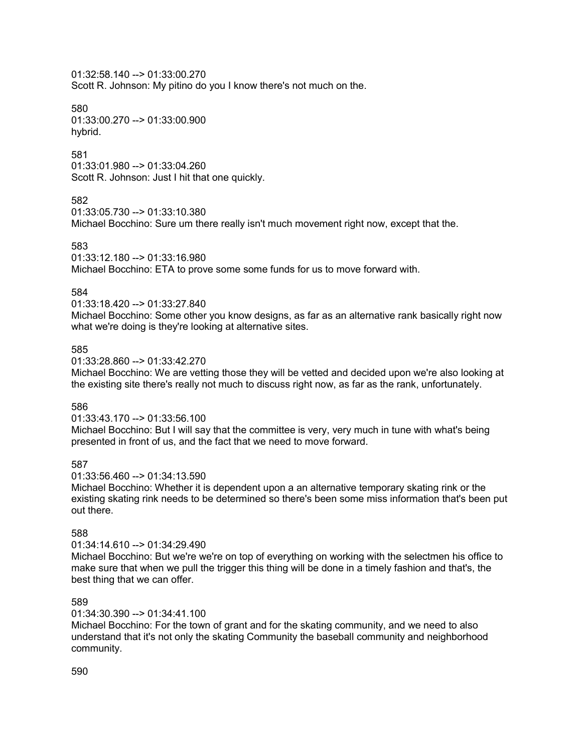01:32:58.140 --> 01:33:00.270 Scott R. Johnson: My pitino do you I know there's not much on the.

580 01:33:00.270 --> 01:33:00.900 hybrid.

## 581

01:33:01.980 --> 01:33:04.260 Scott R. Johnson: Just I hit that one quickly.

## 582

01:33:05.730 --> 01:33:10.380

Michael Bocchino: Sure um there really isn't much movement right now, except that the.

## 583

01:33:12.180 --> 01:33:16.980

Michael Bocchino: ETA to prove some some funds for us to move forward with.

## 584

01:33:18.420 --> 01:33:27.840

Michael Bocchino: Some other you know designs, as far as an alternative rank basically right now what we're doing is they're looking at alternative sites.

## 585

01:33:28.860 --> 01:33:42.270

Michael Bocchino: We are vetting those they will be vetted and decided upon we're also looking at the existing site there's really not much to discuss right now, as far as the rank, unfortunately.

## 586

01:33:43.170 --> 01:33:56.100

Michael Bocchino: But I will say that the committee is very, very much in tune with what's being presented in front of us, and the fact that we need to move forward.

## 587

01:33:56.460 --> 01:34:13.590

Michael Bocchino: Whether it is dependent upon a an alternative temporary skating rink or the existing skating rink needs to be determined so there's been some miss information that's been put out there.

# 588

### 01:34:14.610 --> 01:34:29.490

Michael Bocchino: But we're we're on top of everything on working with the selectmen his office to make sure that when we pull the trigger this thing will be done in a timely fashion and that's, the best thing that we can offer.

## 589

01:34:30.390 --> 01:34:41.100

Michael Bocchino: For the town of grant and for the skating community, and we need to also understand that it's not only the skating Community the baseball community and neighborhood community.

### 590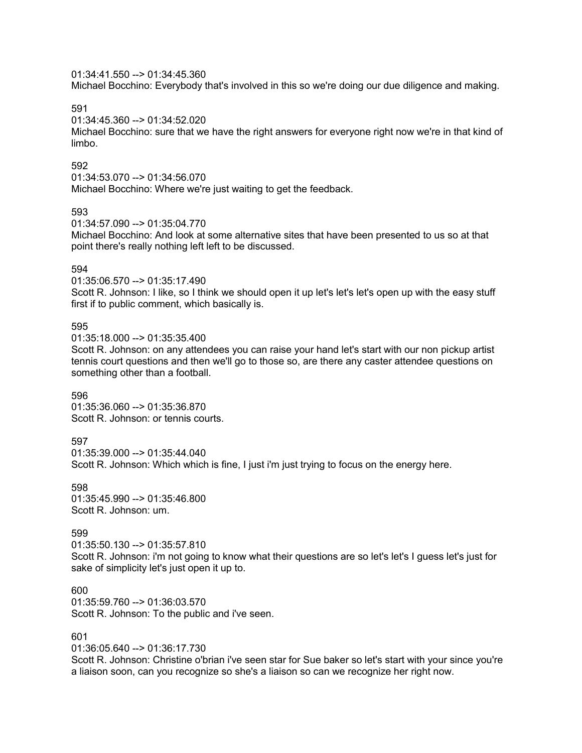01:34:41.550 --> 01:34:45.360

Michael Bocchino: Everybody that's involved in this so we're doing our due diligence and making.

591

01:34:45.360 --> 01:34:52.020

Michael Bocchino: sure that we have the right answers for everyone right now we're in that kind of limbo.

### 592

01:34:53.070 --> 01:34:56.070

Michael Bocchino: Where we're just waiting to get the feedback.

### 593

01:34:57.090 --> 01:35:04.770

Michael Bocchino: And look at some alternative sites that have been presented to us so at that point there's really nothing left left to be discussed.

## 594

01:35:06.570 --> 01:35:17.490

Scott R. Johnson: I like, so I think we should open it up let's let's let's open up with the easy stuff first if to public comment, which basically is.

## 595

01:35:18.000 --> 01:35:35.400

Scott R. Johnson: on any attendees you can raise your hand let's start with our non pickup artist tennis court questions and then we'll go to those so, are there any caster attendee questions on something other than a football.

### 596

01:35:36.060 --> 01:35:36.870 Scott R. Johnson: or tennis courts.

## 597

01:35:39.000 --> 01:35:44.040 Scott R. Johnson: Which which is fine, I just i'm just trying to focus on the energy here.

598 01:35:45.990 --> 01:35:46.800 Scott R. Johnson: um.

## 599

01:35:50.130 --> 01:35:57.810 Scott R. Johnson: i'm not going to know what their questions are so let's let's I guess let's just for sake of simplicity let's just open it up to.

600 01:35:59.760 --> 01:36:03.570 Scott R. Johnson: To the public and i've seen.

## 601

01:36:05.640 --> 01:36:17.730

Scott R. Johnson: Christine o'brian i've seen star for Sue baker so let's start with your since you're a liaison soon, can you recognize so she's a liaison so can we recognize her right now.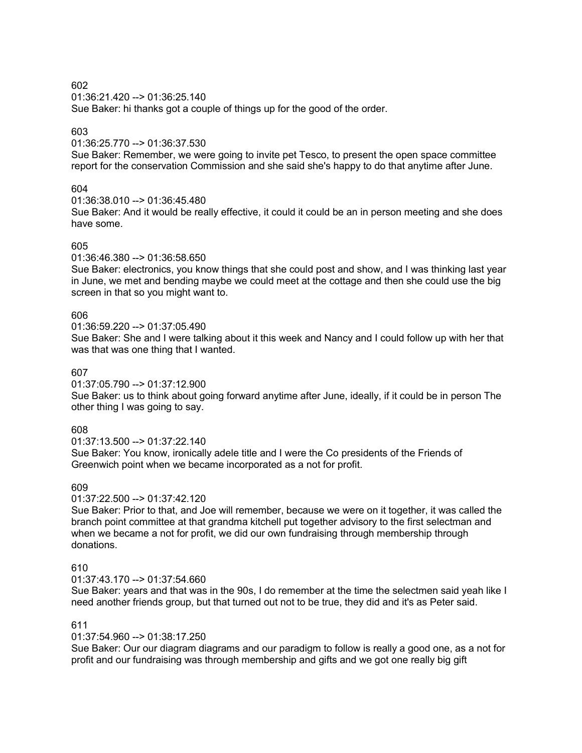01:36:21.420 --> 01:36:25.140

Sue Baker: hi thanks got a couple of things up for the good of the order.

## 603

### 01:36:25.770 --> 01:36:37.530

Sue Baker: Remember, we were going to invite pet Tesco, to present the open space committee report for the conservation Commission and she said she's happy to do that anytime after June.

## 604

01:36:38.010 --> 01:36:45.480

Sue Baker: And it would be really effective, it could it could be an in person meeting and she does have some.

### 605

01:36:46.380 --> 01:36:58.650

Sue Baker: electronics, you know things that she could post and show, and I was thinking last year in June, we met and bending maybe we could meet at the cottage and then she could use the big screen in that so you might want to.

## 606

01:36:59.220 --> 01:37:05.490

Sue Baker: She and I were talking about it this week and Nancy and I could follow up with her that was that was one thing that I wanted.

### 607

01:37:05.790 --> 01:37:12.900

Sue Baker: us to think about going forward anytime after June, ideally, if it could be in person The other thing I was going to say.

## 608

01:37:13.500 --> 01:37:22.140

Sue Baker: You know, ironically adele title and I were the Co presidents of the Friends of Greenwich point when we became incorporated as a not for profit.

## 609

01:37:22.500 --> 01:37:42.120

Sue Baker: Prior to that, and Joe will remember, because we were on it together, it was called the branch point committee at that grandma kitchell put together advisory to the first selectman and when we became a not for profit, we did our own fundraising through membership through donations.

## 610

01:37:43.170 --> 01:37:54.660

Sue Baker: years and that was in the 90s, I do remember at the time the selectmen said yeah like I need another friends group, but that turned out not to be true, they did and it's as Peter said.

### 611

01:37:54.960 --> 01:38:17.250

Sue Baker: Our our diagram diagrams and our paradigm to follow is really a good one, as a not for profit and our fundraising was through membership and gifts and we got one really big gift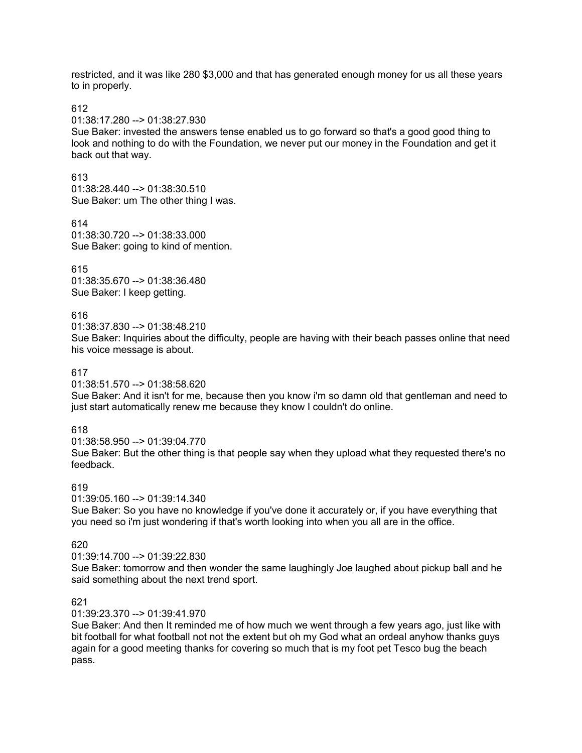restricted, and it was like 280 \$3,000 and that has generated enough money for us all these years to in properly.

612

01:38:17.280 --> 01:38:27.930

Sue Baker: invested the answers tense enabled us to go forward so that's a good good thing to look and nothing to do with the Foundation, we never put our money in the Foundation and get it back out that way.

613

01:38:28.440 --> 01:38:30.510 Sue Baker: um The other thing I was.

614

01:38:30.720 --> 01:38:33.000 Sue Baker: going to kind of mention.

615 01:38:35.670 --> 01:38:36.480 Sue Baker: I keep getting.

## 616

01:38:37.830 --> 01:38:48.210

Sue Baker: Inquiries about the difficulty, people are having with their beach passes online that need his voice message is about.

## 617

01:38:51.570 --> 01:38:58.620

Sue Baker: And it isn't for me, because then you know i'm so damn old that gentleman and need to just start automatically renew me because they know I couldn't do online.

# 618

01:38:58.950 --> 01:39:04.770 Sue Baker: But the other thing is that people say when they upload what they requested there's no feedback.

# 619

01:39:05.160 --> 01:39:14.340 Sue Baker: So you have no knowledge if you've done it accurately or, if you have everything that you need so i'm just wondering if that's worth looking into when you all are in the office.

## 620

01:39:14.700 --> 01:39:22.830

Sue Baker: tomorrow and then wonder the same laughingly Joe laughed about pickup ball and he said something about the next trend sport.

## 621

01:39:23.370 --> 01:39:41.970

Sue Baker: And then It reminded me of how much we went through a few years ago, just like with bit football for what football not not the extent but oh my God what an ordeal anyhow thanks guys again for a good meeting thanks for covering so much that is my foot pet Tesco bug the beach pass.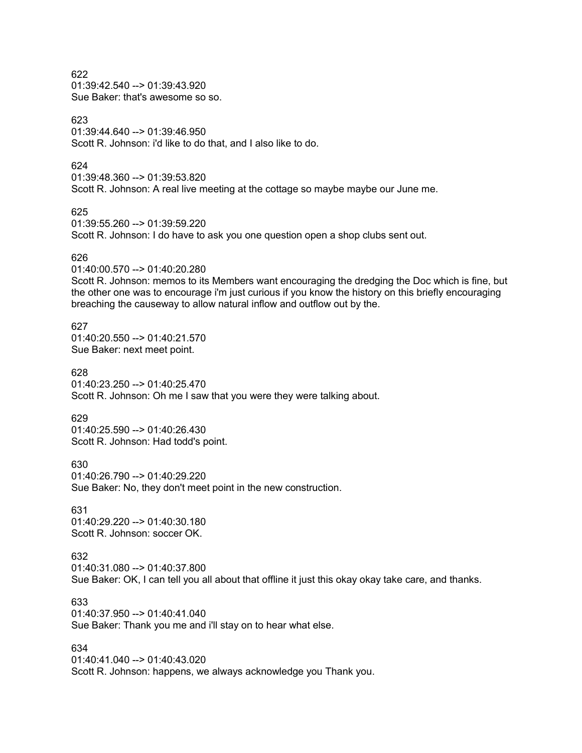01:39:42.540 --> 01:39:43.920 Sue Baker: that's awesome so so.

623

01:39:44.640 --> 01:39:46.950 Scott R. Johnson: i'd like to do that, and I also like to do.

624

01:39:48.360 --> 01:39:53.820 Scott R. Johnson: A real live meeting at the cottage so maybe maybe our June me.

625

01:39:55.260 --> 01:39:59.220

Scott R. Johnson: I do have to ask you one question open a shop clubs sent out.

### 626

01:40:00.570 --> 01:40:20.280

Scott R. Johnson: memos to its Members want encouraging the dredging the Doc which is fine, but the other one was to encourage i'm just curious if you know the history on this briefly encouraging breaching the causeway to allow natural inflow and outflow out by the.

### 627

01:40:20.550 --> 01:40:21.570 Sue Baker: next meet point.

628

01:40:23.250 --> 01:40:25.470 Scott R. Johnson: Oh me I saw that you were they were talking about.

629

01:40:25.590 --> 01:40:26.430 Scott R. Johnson: Had todd's point.

630

01:40:26.790 --> 01:40:29.220

Sue Baker: No, they don't meet point in the new construction.

631 01:40:29.220 --> 01:40:30.180 Scott R. Johnson: soccer OK.

## 632

01:40:31.080 --> 01:40:37.800

Sue Baker: OK, I can tell you all about that offline it just this okay okay take care, and thanks.

633

01:40:37.950 --> 01:40:41.040 Sue Baker: Thank you me and i'll stay on to hear what else.

## 634

01:40:41.040 --> 01:40:43.020 Scott R. Johnson: happens, we always acknowledge you Thank you.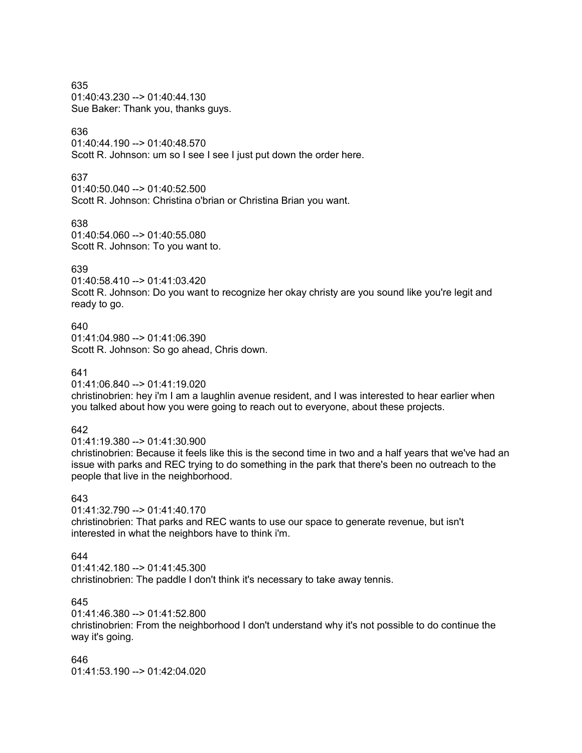635 01:40:43.230 --> 01:40:44.130 Sue Baker: Thank you, thanks guys.

## 636

01:40:44.190 --> 01:40:48.570 Scott R. Johnson: um so I see I see I just put down the order here.

### 637

01:40:50.040 --> 01:40:52.500 Scott R. Johnson: Christina o'brian or Christina Brian you want.

### 638

01:40:54.060 --> 01:40:55.080 Scott R. Johnson: To you want to.

### 639

01:40:58.410 --> 01:41:03.420 Scott R. Johnson: Do you want to recognize her okay christy are you sound like you're legit and ready to go.

# 640

01:41:04.980 --> 01:41:06.390 Scott R. Johnson: So go ahead, Chris down.

## 641

01:41:06.840 --> 01:41:19.020

christinobrien: hey i'm I am a laughlin avenue resident, and I was interested to hear earlier when you talked about how you were going to reach out to everyone, about these projects.

## 642

01:41:19.380 --> 01:41:30.900

christinobrien: Because it feels like this is the second time in two and a half years that we've had an issue with parks and REC trying to do something in the park that there's been no outreach to the people that live in the neighborhood.

## 643

01:41:32.790 --> 01:41:40.170 christinobrien: That parks and REC wants to use our space to generate revenue, but isn't interested in what the neighbors have to think i'm.

## 644

 $01:41:42:180 \rightarrow 01:41:45.300$ 

christinobrien: The paddle I don't think it's necessary to take away tennis.

## 645

01:41:46.380 --> 01:41:52.800

christinobrien: From the neighborhood I don't understand why it's not possible to do continue the way it's going.

646 01:41:53.190 --> 01:42:04.020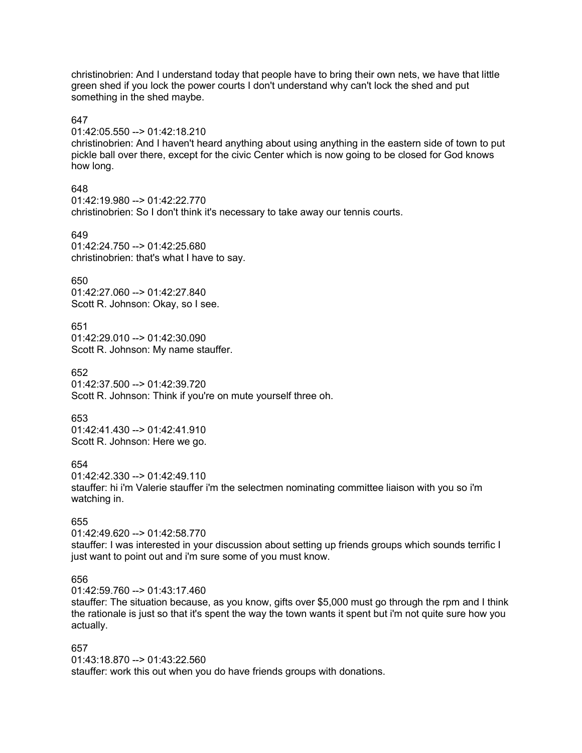christinobrien: And I understand today that people have to bring their own nets, we have that little green shed if you lock the power courts I don't understand why can't lock the shed and put something in the shed maybe.

### 647

### 01:42:05.550 --> 01:42:18.210

christinobrien: And I haven't heard anything about using anything in the eastern side of town to put pickle ball over there, except for the civic Center which is now going to be closed for God knows how long.

## 648

01:42:19.980 --> 01:42:22.770 christinobrien: So I don't think it's necessary to take away our tennis courts.

## 649

01:42:24.750 --> 01:42:25.680 christinobrien: that's what I have to say.

### 650

01:42:27.060 --> 01:42:27.840 Scott R. Johnson: Okay, so I see.

### 651

01:42:29.010 --> 01:42:30.090 Scott R. Johnson: My name stauffer.

652

01:42:37.500 --> 01:42:39.720 Scott R. Johnson: Think if you're on mute yourself three oh.

### 653

01:42:41.430 --> 01:42:41.910 Scott R. Johnson: Here we go.

### 654

01:42:42.330 --> 01:42:49.110

stauffer: hi i'm Valerie stauffer i'm the selectmen nominating committee liaison with you so i'm watching in.

## 655

01:42:49.620 --> 01:42:58.770 stauffer: I was interested in your discussion about setting up friends groups which sounds terrific I just want to point out and i'm sure some of you must know.

## 656

01:42:59.760 --> 01:43:17.460

stauffer: The situation because, as you know, gifts over \$5,000 must go through the rpm and I think the rationale is just so that it's spent the way the town wants it spent but i'm not quite sure how you actually.

## 657

01:43:18.870 --> 01:43:22.560 stauffer: work this out when you do have friends groups with donations.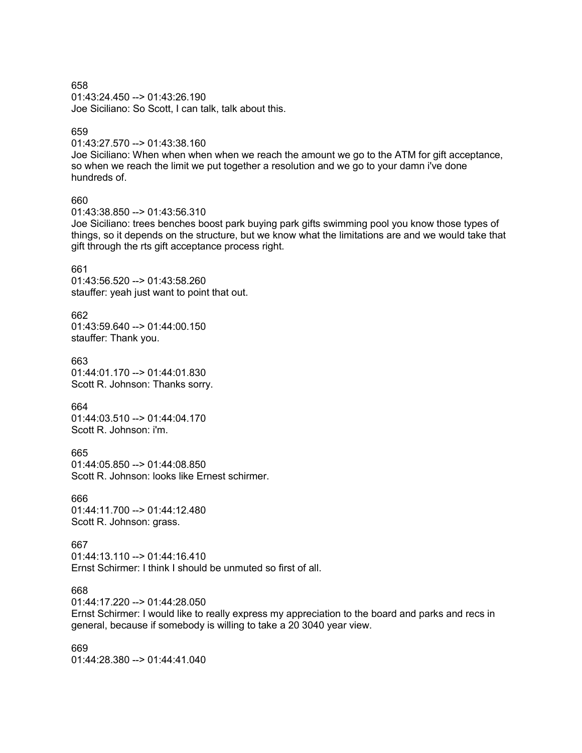658 01:43:24.450 --> 01:43:26.190 Joe Siciliano: So Scott, I can talk, talk about this.

### 659

01:43:27.570 --> 01:43:38.160

Joe Siciliano: When when when when we reach the amount we go to the ATM for gift acceptance, so when we reach the limit we put together a resolution and we go to your damn i've done hundreds of.

## 660

01:43:38.850 --> 01:43:56.310

Joe Siciliano: trees benches boost park buying park gifts swimming pool you know those types of things, so it depends on the structure, but we know what the limitations are and we would take that gift through the rts gift acceptance process right.

### 661

01:43:56.520 --> 01:43:58.260 stauffer: yeah just want to point that out.

662  $01:43:59.640 \rightarrow 01:44:00.150$ stauffer: Thank you.

663 01:44:01.170 --> 01:44:01.830 Scott R. Johnson: Thanks sorry.

664 01:44:03.510 --> 01:44:04.170 Scott R. Johnson: i'm.

665 01:44:05.850 --> 01:44:08.850 Scott R. Johnson: looks like Ernest schirmer.

666 01:44:11.700 --> 01:44:12.480 Scott R. Johnson: grass.

667  $01:44:13:110 \rightarrow 01:44:16:410$ Ernst Schirmer: I think I should be unmuted so first of all.

668

01:44:17.220 --> 01:44:28.050

Ernst Schirmer: I would like to really express my appreciation to the board and parks and recs in general, because if somebody is willing to take a 20 3040 year view.

669 01:44:28.380 --> 01:44:41.040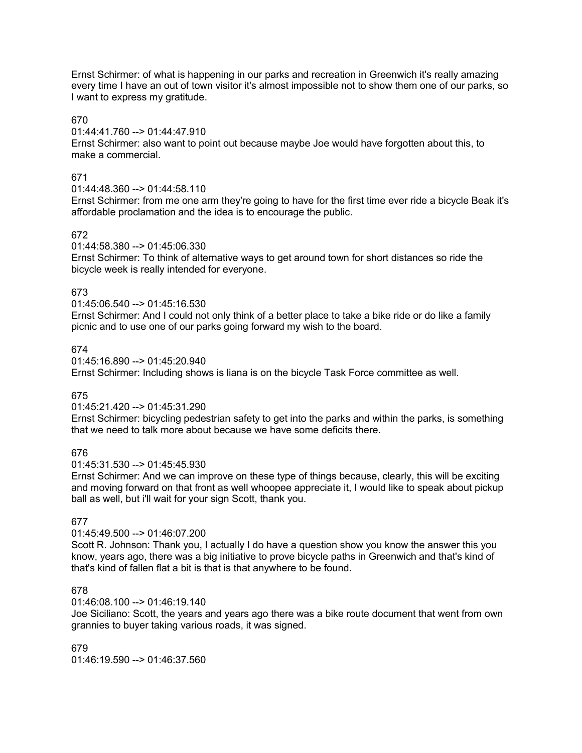Ernst Schirmer: of what is happening in our parks and recreation in Greenwich it's really amazing every time I have an out of town visitor it's almost impossible not to show them one of our parks, so I want to express my gratitude.

## 670

## 01:44:41.760 --> 01:44:47.910

Ernst Schirmer: also want to point out because maybe Joe would have forgotten about this, to make a commercial.

## 671

## 01:44:48.360 --> 01:44:58.110

Ernst Schirmer: from me one arm they're going to have for the first time ever ride a bicycle Beak it's affordable proclamation and the idea is to encourage the public.

## 672

### 01:44:58.380 --> 01:45:06.330

Ernst Schirmer: To think of alternative ways to get around town for short distances so ride the bicycle week is really intended for everyone.

## 673

## 01:45:06.540 --> 01:45:16.530

Ernst Schirmer: And I could not only think of a better place to take a bike ride or do like a family picnic and to use one of our parks going forward my wish to the board.

## 674

01:45:16.890 --> 01:45:20.940

Ernst Schirmer: Including shows is liana is on the bicycle Task Force committee as well.

## 675

## 01:45:21.420 --> 01:45:31.290

Ernst Schirmer: bicycling pedestrian safety to get into the parks and within the parks, is something that we need to talk more about because we have some deficits there.

## 676

## 01:45:31.530 --> 01:45:45.930

Ernst Schirmer: And we can improve on these type of things because, clearly, this will be exciting and moving forward on that front as well whoopee appreciate it, I would like to speak about pickup ball as well, but i'll wait for your sign Scott, thank you.

## 677

## 01:45:49.500 --> 01:46:07.200

Scott R. Johnson: Thank you, I actually I do have a question show you know the answer this you know, years ago, there was a big initiative to prove bicycle paths in Greenwich and that's kind of that's kind of fallen flat a bit is that is that anywhere to be found.

## 678

## 01:46:08.100 --> 01:46:19.140

Joe Siciliano: Scott, the years and years ago there was a bike route document that went from own grannies to buyer taking various roads, it was signed.

679 01:46:19.590 --> 01:46:37.560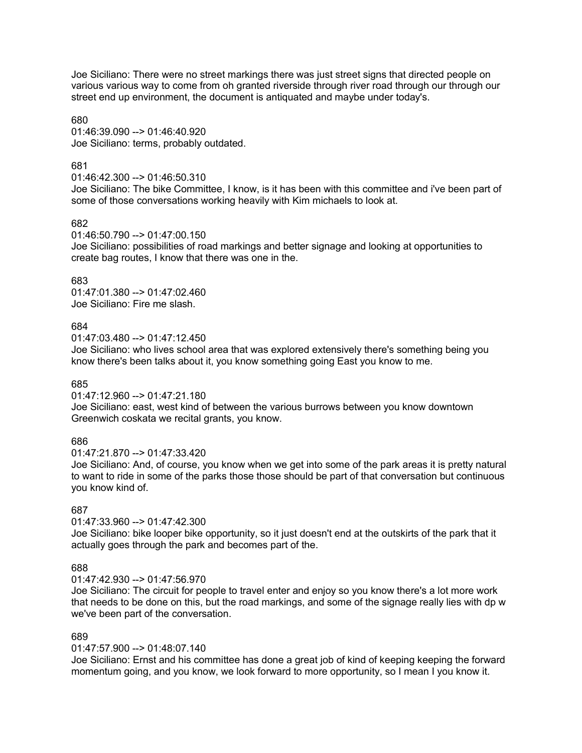Joe Siciliano: There were no street markings there was just street signs that directed people on various various way to come from oh granted riverside through river road through our through our street end up environment, the document is antiquated and maybe under today's.

### 680

01:46:39.090 --> 01:46:40.920 Joe Siciliano: terms, probably outdated.

## 681

01:46:42.300 --> 01:46:50.310

Joe Siciliano: The bike Committee, I know, is it has been with this committee and i've been part of some of those conversations working heavily with Kim michaels to look at.

## 682

01:46:50.790 --> 01:47:00.150

Joe Siciliano: possibilities of road markings and better signage and looking at opportunities to create bag routes, I know that there was one in the.

## 683

01:47:01.380 --> 01:47:02.460 Joe Siciliano: Fire me slash.

## 684

01:47:03.480 --> 01:47:12.450

Joe Siciliano: who lives school area that was explored extensively there's something being you know there's been talks about it, you know something going East you know to me.

## 685

01:47:12.960 --> 01:47:21.180

Joe Siciliano: east, west kind of between the various burrows between you know downtown Greenwich coskata we recital grants, you know.

# 686

01:47:21.870 --> 01:47:33.420

Joe Siciliano: And, of course, you know when we get into some of the park areas it is pretty natural to want to ride in some of the parks those those should be part of that conversation but continuous you know kind of.

## 687

01:47:33.960 --> 01:47:42.300

Joe Siciliano: bike looper bike opportunity, so it just doesn't end at the outskirts of the park that it actually goes through the park and becomes part of the.

## 688

01:47:42.930 --> 01:47:56.970

Joe Siciliano: The circuit for people to travel enter and enjoy so you know there's a lot more work that needs to be done on this, but the road markings, and some of the signage really lies with dp w we've been part of the conversation.

## 689

## 01:47:57.900 --> 01:48:07.140

Joe Siciliano: Ernst and his committee has done a great job of kind of keeping keeping the forward momentum going, and you know, we look forward to more opportunity, so I mean I you know it.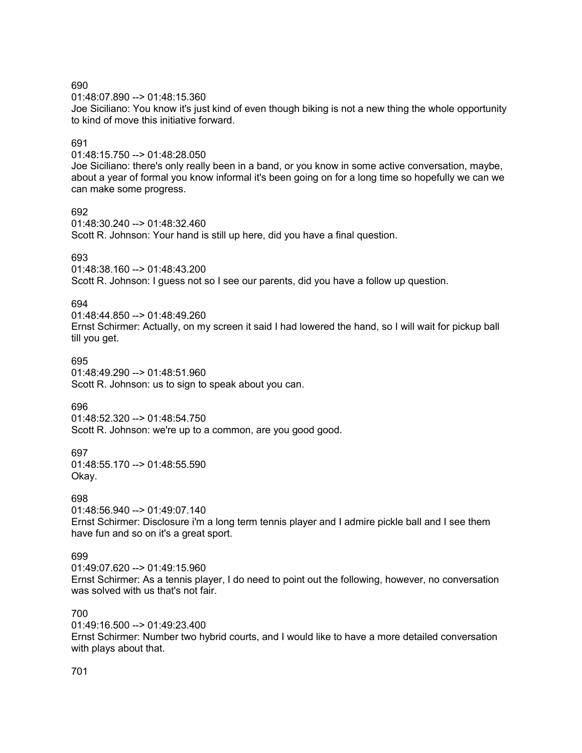01:48:07.890 --> 01:48:15.360

Joe Siciliano: You know it's just kind of even though biking is not a new thing the whole opportunity to kind of move this initiative forward.

## 691

01:48:15.750 --> 01:48:28.050

Joe Siciliano: there's only really been in a band, or you know in some active conversation, maybe, about a year of formal you know informal it's been going on for a long time so hopefully we can we can make some progress.

692

01:48:30.240 --> 01:48:32.460

Scott R. Johnson: Your hand is still up here, did you have a final question.

### 693

01:48:38.160 --> 01:48:43.200

Scott R. Johnson: I guess not so I see our parents, did you have a follow up question.

## 694

01:48:44.850 --> 01:48:49.260 Ernst Schirmer: Actually, on my screen it said I had lowered the hand, so I will wait for pickup ball till you get.

## 695

01:48:49.290 --> 01:48:51.960 Scott R. Johnson: us to sign to speak about you can.

## 696

01:48:52.320 --> 01:48:54.750 Scott R. Johnson: we're up to a common, are you good good.

697 01:48:55.170 --> 01:48:55.590 Okay.

## 698

01:48:56.940 --> 01:49:07.140 Ernst Schirmer: Disclosure i'm a long term tennis player and I admire pickle ball and I see them have fun and so on it's a great sport.

## 699

 $01:49:07.620 - \geq 01:49:15.960$ Ernst Schirmer: As a tennis player, I do need to point out the following, however, no conversation was solved with us that's not fair.

## 700

01:49:16.500 --> 01:49:23.400 Ernst Schirmer: Number two hybrid courts, and I would like to have a more detailed conversation with plays about that.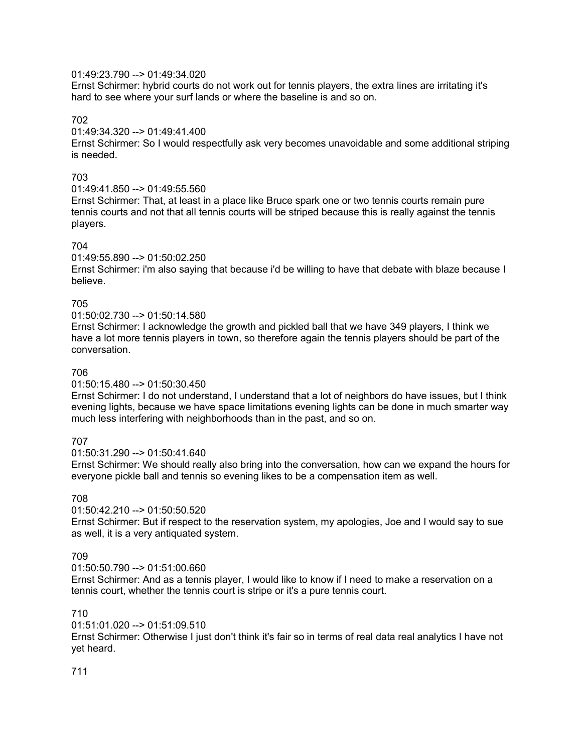## 01:49:23.790 --> 01:49:34.020

Ernst Schirmer: hybrid courts do not work out for tennis players, the extra lines are irritating it's hard to see where your surf lands or where the baseline is and so on.

## 702

## 01:49:34.320 --> 01:49:41.400

Ernst Schirmer: So I would respectfully ask very becomes unavoidable and some additional striping is needed.

## 703

### 01:49:41.850 --> 01:49:55.560

Ernst Schirmer: That, at least in a place like Bruce spark one or two tennis courts remain pure tennis courts and not that all tennis courts will be striped because this is really against the tennis players.

### 704

### 01:49:55.890 --> 01:50:02.250

Ernst Schirmer: i'm also saying that because i'd be willing to have that debate with blaze because I believe.

## 705

### 01:50:02.730 --> 01:50:14.580

Ernst Schirmer: I acknowledge the growth and pickled ball that we have 349 players, I think we have a lot more tennis players in town, so therefore again the tennis players should be part of the conversation.

### 706

### 01:50:15.480 --> 01:50:30.450

Ernst Schirmer: I do not understand, I understand that a lot of neighbors do have issues, but I think evening lights, because we have space limitations evening lights can be done in much smarter way much less interfering with neighborhoods than in the past, and so on.

## 707

01:50:31.290 --> 01:50:41.640

Ernst Schirmer: We should really also bring into the conversation, how can we expand the hours for everyone pickle ball and tennis so evening likes to be a compensation item as well.

## 708

### 01:50:42.210 --> 01:50:50.520

Ernst Schirmer: But if respect to the reservation system, my apologies, Joe and I would say to sue as well, it is a very antiquated system.

## 709

 $01:50:50.790 \rightarrow 01:51:00.660$ 

Ernst Schirmer: And as a tennis player, I would like to know if I need to make a reservation on a tennis court, whether the tennis court is stripe or it's a pure tennis court.

## 710

### 01:51:01.020 --> 01:51:09.510

Ernst Schirmer: Otherwise I just don't think it's fair so in terms of real data real analytics I have not yet heard.

## 711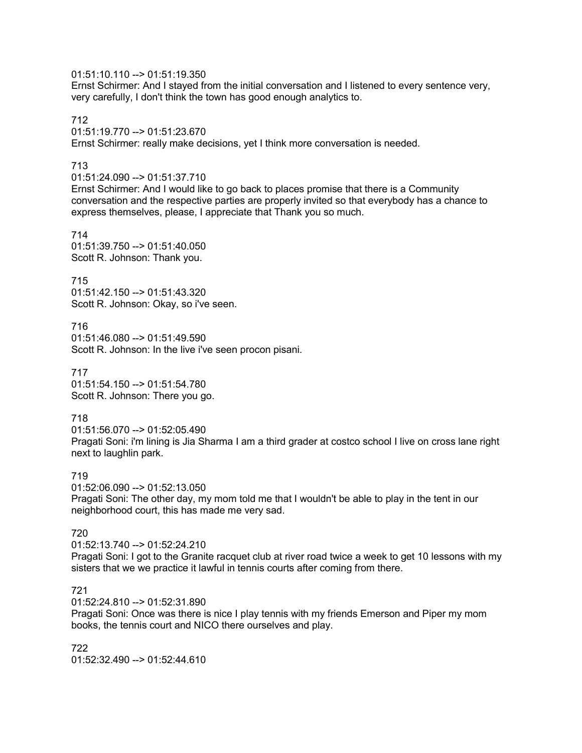## 01:51:10.110 --> 01:51:19.350

Ernst Schirmer: And I stayed from the initial conversation and I listened to every sentence very, very carefully, I don't think the town has good enough analytics to.

712

01:51:19.770 --> 01:51:23.670

Ernst Schirmer: really make decisions, yet I think more conversation is needed.

## 713

01:51:24.090 --> 01:51:37.710

Ernst Schirmer: And I would like to go back to places promise that there is a Community conversation and the respective parties are properly invited so that everybody has a chance to express themselves, please, I appreciate that Thank you so much.

714 01:51:39.750 --> 01:51:40.050 Scott R. Johnson: Thank you.

715

01:51:42.150 --> 01:51:43.320 Scott R. Johnson: Okay, so i've seen.

716 01:51:46.080 --> 01:51:49.590 Scott R. Johnson: In the live i've seen procon pisani.

717 01:51:54.150 --> 01:51:54.780 Scott R. Johnson: There you go.

## 718

01:51:56.070 --> 01:52:05.490 Pragati Soni: i'm lining is Jia Sharma I am a third grader at costco school I live on cross lane right next to laughlin park.

## 719

01:52:06.090 --> 01:52:13.050 Pragati Soni: The other day, my mom told me that I wouldn't be able to play in the tent in our neighborhood court, this has made me very sad.

## 720

01:52:13.740 --> 01:52:24.210 Pragati Soni: I got to the Granite racquet club at river road twice a week to get 10 lessons with my sisters that we we practice it lawful in tennis courts after coming from there.

## 721

01:52:24.810 --> 01:52:31.890

Pragati Soni: Once was there is nice I play tennis with my friends Emerson and Piper my mom books, the tennis court and NICO there ourselves and play.

722 01:52:32.490 --> 01:52:44.610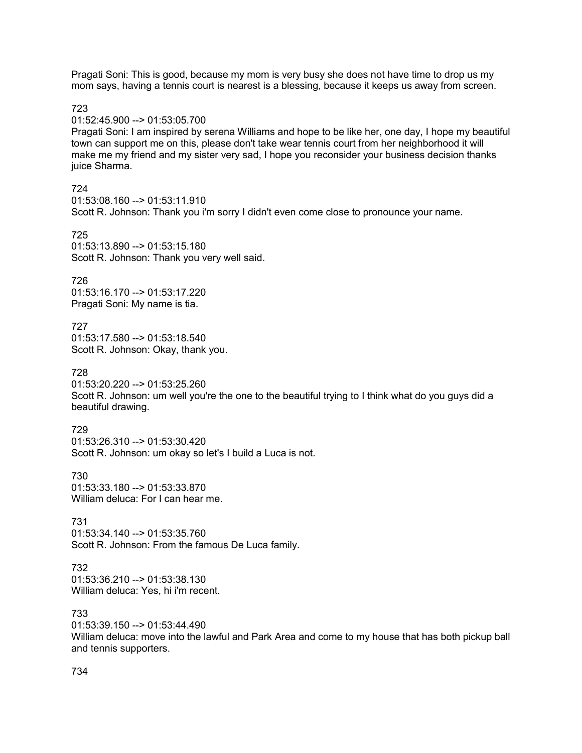Pragati Soni: This is good, because my mom is very busy she does not have time to drop us my mom says, having a tennis court is nearest is a blessing, because it keeps us away from screen.

723

### 01:52:45.900 --> 01:53:05.700

Pragati Soni: I am inspired by serena Williams and hope to be like her, one day, I hope my beautiful town can support me on this, please don't take wear tennis court from her neighborhood it will make me my friend and my sister very sad, I hope you reconsider your business decision thanks juice Sharma.

### 724

01:53:08.160 --> 01:53:11.910 Scott R. Johnson: Thank you i'm sorry I didn't even come close to pronounce your name.

725

01:53:13.890 --> 01:53:15.180 Scott R. Johnson: Thank you very well said.

726

01:53:16.170 --> 01:53:17.220 Pragati Soni: My name is tia.

727 01:53:17.580 --> 01:53:18.540 Scott R. Johnson: Okay, thank you.

728

01:53:20.220 --> 01:53:25.260 Scott R. Johnson: um well you're the one to the beautiful trying to I think what do you guys did a beautiful drawing.

### 729

01:53:26.310 --> 01:53:30.420 Scott R. Johnson: um okay so let's I build a Luca is not.

730 01:53:33.180 --> 01:53:33.870 William deluca: For I can hear me.

731 01:53:34.140 --> 01:53:35.760 Scott R. Johnson: From the famous De Luca family.

# 732

01:53:36.210 --> 01:53:38.130 William deluca: Yes, hi i'm recent.

## 733

01:53:39.150 --> 01:53:44.490 William deluca: move into the lawful and Park Area and come to my house that has both pickup ball and tennis supporters.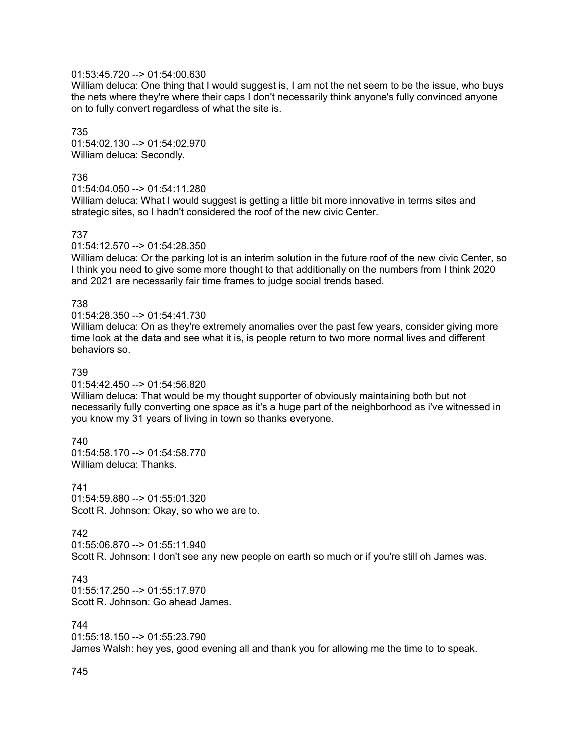## 01:53:45.720 --> 01:54:00.630

William deluca: One thing that I would suggest is, I am not the net seem to be the issue, who buys the nets where they're where their caps I don't necessarily think anyone's fully convinced anyone on to fully convert regardless of what the site is.

735 01:54:02.130 --> 01:54:02.970 William deluca: Secondly.

### 736

01:54:04.050 --> 01:54:11.280

William deluca: What I would suggest is getting a little bit more innovative in terms sites and strategic sites, so I hadn't considered the roof of the new civic Center.

### 737

01:54:12.570 --> 01:54:28.350

William deluca: Or the parking lot is an interim solution in the future roof of the new civic Center, so I think you need to give some more thought to that additionally on the numbers from I think 2020 and 2021 are necessarily fair time frames to judge social trends based.

### 738

01:54:28.350 --> 01:54:41.730

William deluca: On as they're extremely anomalies over the past few years, consider giving more time look at the data and see what it is, is people return to two more normal lives and different behaviors so.

### 739

01:54:42.450 --> 01:54:56.820

William deluca: That would be my thought supporter of obviously maintaining both but not necessarily fully converting one space as it's a huge part of the neighborhood as i've witnessed in you know my 31 years of living in town so thanks everyone.

## 740

01:54:58.170 --> 01:54:58.770 William deluca: Thanks.

741 01:54:59.880 --> 01:55:01.320 Scott R. Johnson: Okay, so who we are to.

## 742

01:55:06.870 --> 01:55:11.940 Scott R. Johnson: I don't see any new people on earth so much or if you're still oh James was.

### 743

 $01:55:17.250 \rightarrow 01:55:17.970$ Scott R. Johnson: Go ahead James.

### 744

01:55:18.150 --> 01:55:23.790 James Walsh: hey yes, good evening all and thank you for allowing me the time to to speak.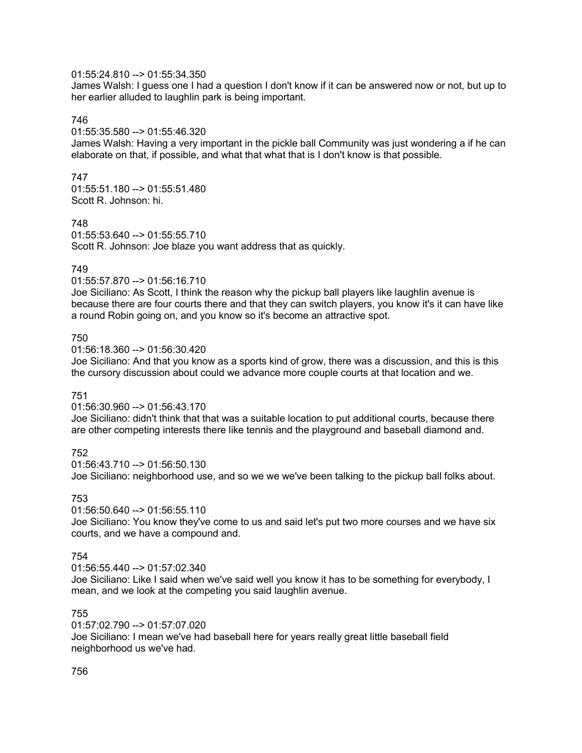## 01:55:24.810 --> 01:55:34.350

James Walsh: I guess one I had a question I don't know if it can be answered now or not, but up to her earlier alluded to laughlin park is being important.

### 746

### 01:55:35.580 --> 01:55:46.320

James Walsh: Having a very important in the pickle ball Community was just wondering a if he can elaborate on that, if possible, and what that what that is I don't know is that possible.

#### 747

01:55:51.180 --> 01:55:51.480 Scott R. Johnson: hi.

#### 748

01:55:53.640 --> 01:55:55.710 Scott R. Johnson: Joe blaze you want address that as quickly.

#### 749

#### 01:55:57.870 --> 01:56:16.710

Joe Siciliano: As Scott, I think the reason why the pickup ball players like laughlin avenue is because there are four courts there and that they can switch players, you know it's it can have like a round Robin going on, and you know so it's become an attractive spot.

#### 750

01:56:18.360 --> 01:56:30.420

Joe Siciliano: And that you know as a sports kind of grow, there was a discussion, and this is this the cursory discussion about could we advance more couple courts at that location and we.

#### 751

### 01:56:30.960 --> 01:56:43.170

Joe Siciliano: didn't think that that was a suitable location to put additional courts, because there are other competing interests there like tennis and the playground and baseball diamond and.

#### 752

01:56:43.710 --> 01:56:50.130 Joe Siciliano: neighborhood use, and so we we we've been talking to the pickup ball folks about.

#### 753

#### 01:56:50.640 --> 01:56:55.110

Joe Siciliano: You know they've come to us and said let's put two more courses and we have six courts, and we have a compound and.

### 754

 $01:56:55.440 \rightarrow 01:57:02.340$ 

Joe Siciliano: Like I said when we've said well you know it has to be something for everybody, I mean, and we look at the competing you said laughlin avenue.

### 755

01:57:02.790 --> 01:57:07.020 Joe Siciliano: I mean we've had baseball here for years really great little baseball field neighborhood us we've had.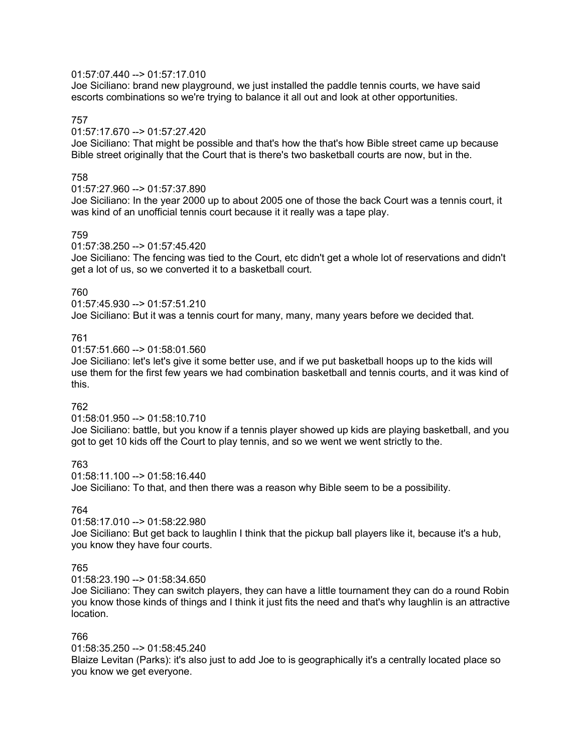### 01:57:07.440 --> 01:57:17.010

Joe Siciliano: brand new playground, we just installed the paddle tennis courts, we have said escorts combinations so we're trying to balance it all out and look at other opportunities.

### 757

### 01:57:17.670 --> 01:57:27.420

Joe Siciliano: That might be possible and that's how the that's how Bible street came up because Bible street originally that the Court that is there's two basketball courts are now, but in the.

### 758

### 01:57:27.960 --> 01:57:37.890

Joe Siciliano: In the year 2000 up to about 2005 one of those the back Court was a tennis court, it was kind of an unofficial tennis court because it it really was a tape play.

### 759

01:57:38.250 --> 01:57:45.420

Joe Siciliano: The fencing was tied to the Court, etc didn't get a whole lot of reservations and didn't get a lot of us, so we converted it to a basketball court.

### 760

01:57:45.930 --> 01:57:51.210 Joe Siciliano: But it was a tennis court for many, many, many years before we decided that.

### 761

 $01:57:51.660 \rightarrow 01:58:01.560$ 

Joe Siciliano: let's let's give it some better use, and if we put basketball hoops up to the kids will use them for the first few years we had combination basketball and tennis courts, and it was kind of this.

## 762

01:58:01.950 --> 01:58:10.710

Joe Siciliano: battle, but you know if a tennis player showed up kids are playing basketball, and you got to get 10 kids off the Court to play tennis, and so we went we went strictly to the.

763

01:58:11.100 --> 01:58:16.440 Joe Siciliano: To that, and then there was a reason why Bible seem to be a possibility.

### 764

01:58:17.010 --> 01:58:22.980

Joe Siciliano: But get back to laughlin I think that the pickup ball players like it, because it's a hub, you know they have four courts.

## 765

01:58:23.190 --> 01:58:34.650

Joe Siciliano: They can switch players, they can have a little tournament they can do a round Robin you know those kinds of things and I think it just fits the need and that's why laughlin is an attractive location.

### 766

01:58:35.250 --> 01:58:45.240

Blaize Levitan (Parks): it's also just to add Joe to is geographically it's a centrally located place so you know we get everyone.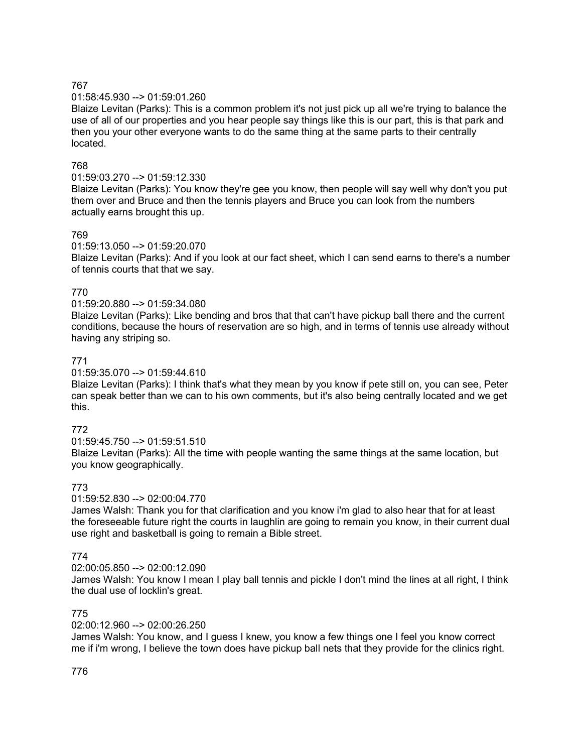# 01:58:45.930 --> 01:59:01.260

Blaize Levitan (Parks): This is a common problem it's not just pick up all we're trying to balance the use of all of our properties and you hear people say things like this is our part, this is that park and then you your other everyone wants to do the same thing at the same parts to their centrally located.

# 768

# 01:59:03.270 --> 01:59:12.330

Blaize Levitan (Parks): You know they're gee you know, then people will say well why don't you put them over and Bruce and then the tennis players and Bruce you can look from the numbers actually earns brought this up.

# 769

01:59:13.050 --> 01:59:20.070

Blaize Levitan (Parks): And if you look at our fact sheet, which I can send earns to there's a number of tennis courts that that we say.

# 770

01:59:20.880 --> 01:59:34.080

Blaize Levitan (Parks): Like bending and bros that that can't have pickup ball there and the current conditions, because the hours of reservation are so high, and in terms of tennis use already without having any striping so.

# 771

### 01:59:35.070 --> 01:59:44.610

Blaize Levitan (Parks): I think that's what they mean by you know if pete still on, you can see, Peter can speak better than we can to his own comments, but it's also being centrally located and we get this.

# 772

01:59:45.750 --> 01:59:51.510 Blaize Levitan (Parks): All the time with people wanting the same things at the same location, but you know geographically.

# 773

# 01:59:52.830 --> 02:00:04.770

James Walsh: Thank you for that clarification and you know i'm glad to also hear that for at least the foreseeable future right the courts in laughlin are going to remain you know, in their current dual use right and basketball is going to remain a Bible street.

# 774

# $02:00:05.850 -> 02:00:12.090$

James Walsh: You know I mean I play ball tennis and pickle I don't mind the lines at all right, I think the dual use of locklin's great.

# 775

# 02:00:12.960 --> 02:00:26.250

James Walsh: You know, and I guess I knew, you know a few things one I feel you know correct me if i'm wrong, I believe the town does have pickup ball nets that they provide for the clinics right.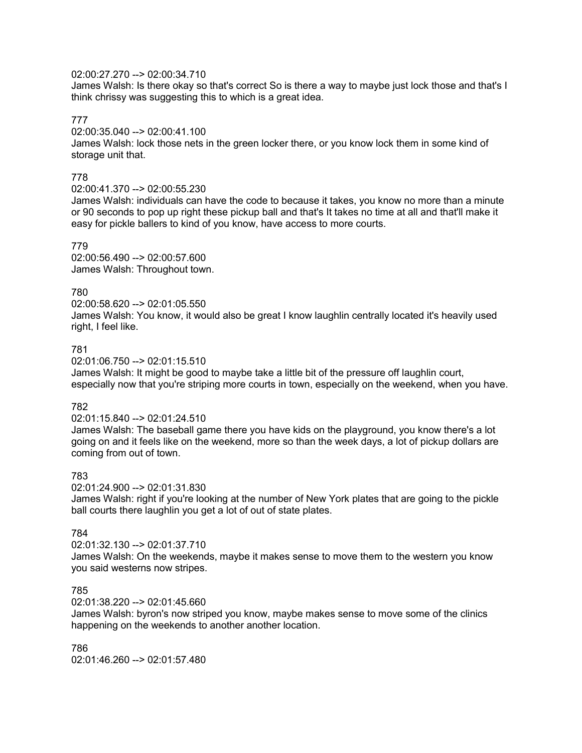# 02:00:27.270 --> 02:00:34.710

James Walsh: Is there okay so that's correct So is there a way to maybe just lock those and that's I think chrissy was suggesting this to which is a great idea.

# 777

### 02:00:35.040 --> 02:00:41.100

James Walsh: lock those nets in the green locker there, or you know lock them in some kind of storage unit that.

# 778

### 02:00:41.370 --> 02:00:55.230

James Walsh: individuals can have the code to because it takes, you know no more than a minute or 90 seconds to pop up right these pickup ball and that's It takes no time at all and that'll make it easy for pickle ballers to kind of you know, have access to more courts.

### 779

02:00:56.490 --> 02:00:57.600 James Walsh: Throughout town.

### 780

02:00:58.620 --> 02:01:05.550 James Walsh: You know, it would also be great I know laughlin centrally located it's heavily used right, I feel like.

# 781

02:01:06.750 --> 02:01:15.510

James Walsh: It might be good to maybe take a little bit of the pressure off laughlin court, especially now that you're striping more courts in town, especially on the weekend, when you have.

# 782

02:01:15.840 --> 02:01:24.510

James Walsh: The baseball game there you have kids on the playground, you know there's a lot going on and it feels like on the weekend, more so than the week days, a lot of pickup dollars are coming from out of town.

# 783

02:01:24.900 --> 02:01:31.830

James Walsh: right if you're looking at the number of New York plates that are going to the pickle ball courts there laughlin you get a lot of out of state plates.

# 784

02:01:32.130 --> 02:01:37.710

James Walsh: On the weekends, maybe it makes sense to move them to the western you know you said westerns now stripes.

### 785

02:01:38.220 --> 02:01:45.660

James Walsh: byron's now striped you know, maybe makes sense to move some of the clinics happening on the weekends to another another location.

786 02:01:46.260 --> 02:01:57.480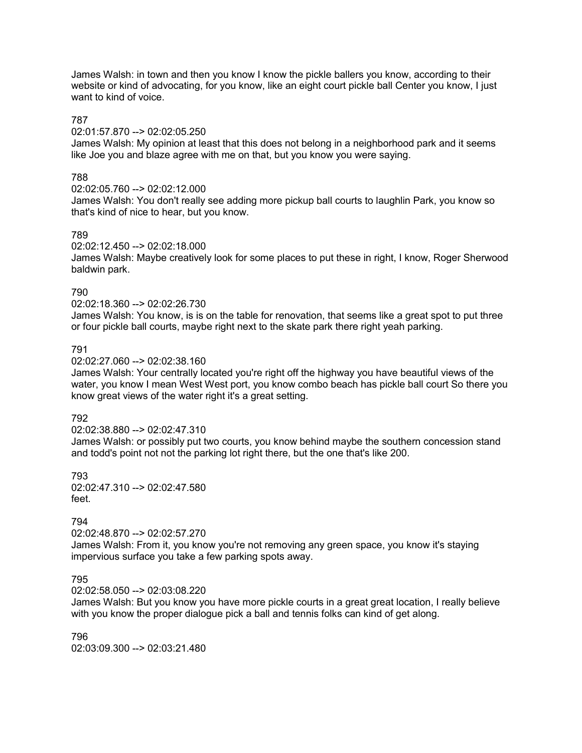James Walsh: in town and then you know I know the pickle ballers you know, according to their website or kind of advocating, for you know, like an eight court pickle ball Center you know, I just want to kind of voice.

### 787

### 02:01:57.870 --> 02:02:05.250

James Walsh: My opinion at least that this does not belong in a neighborhood park and it seems like Joe you and blaze agree with me on that, but you know you were saying.

# 788

02:02:05.760 --> 02:02:12.000

James Walsh: You don't really see adding more pickup ball courts to laughlin Park, you know so that's kind of nice to hear, but you know.

### 789

02:02:12.450 --> 02:02:18.000

James Walsh: Maybe creatively look for some places to put these in right, I know, Roger Sherwood baldwin park.

### 790

02:02:18.360 --> 02:02:26.730

James Walsh: You know, is is on the table for renovation, that seems like a great spot to put three or four pickle ball courts, maybe right next to the skate park there right yeah parking.

### 791

02:02:27.060 --> 02:02:38.160

James Walsh: Your centrally located you're right off the highway you have beautiful views of the water, you know I mean West West port, you know combo beach has pickle ball court So there you know great views of the water right it's a great setting.

### 792

02:02:38.880 --> 02:02:47.310

James Walsh: or possibly put two courts, you know behind maybe the southern concession stand and todd's point not not the parking lot right there, but the one that's like 200.

793 02:02:47.310 --> 02:02:47.580 feet.

# 794

### 02:02:48.870 --> 02:02:57.270

James Walsh: From it, you know you're not removing any green space, you know it's staying impervious surface you take a few parking spots away.

### 795

02:02:58.050 --> 02:03:08.220

James Walsh: But you know you have more pickle courts in a great great location, I really believe with you know the proper dialogue pick a ball and tennis folks can kind of get along.

796 02:03:09.300 --> 02:03:21.480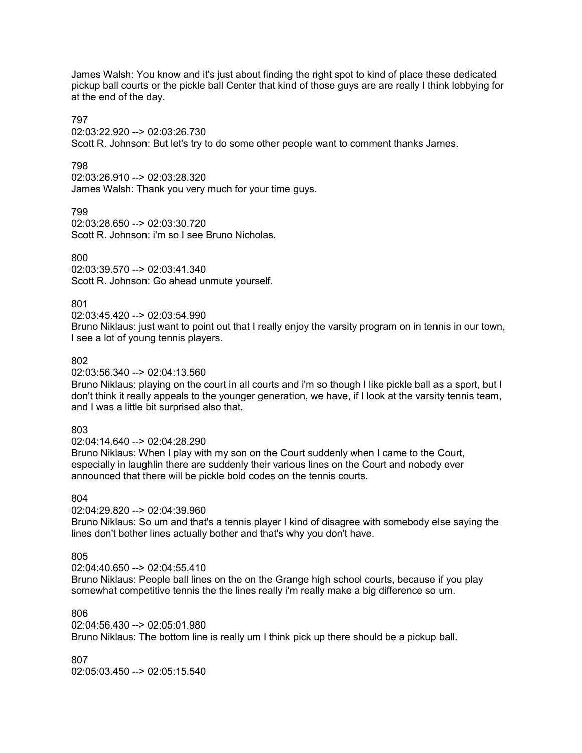James Walsh: You know and it's just about finding the right spot to kind of place these dedicated pickup ball courts or the pickle ball Center that kind of those guys are are really I think lobbying for at the end of the day.

### 797

02:03:22.920 --> 02:03:26.730

Scott R. Johnson: But let's try to do some other people want to comment thanks James.

### 798

02:03:26.910 --> 02:03:28.320 James Walsh: Thank you very much for your time guys.

799 02:03:28.650 --> 02:03:30.720 Scott R. Johnson: i'm so I see Bruno Nicholas.

### 800

02:03:39.570 --> 02:03:41.340 Scott R. Johnson: Go ahead unmute yourself.

# 801

02:03:45.420 --> 02:03:54.990

Bruno Niklaus: just want to point out that I really enjoy the varsity program on in tennis in our town, I see a lot of young tennis players.

### 802

02:03:56.340 --> 02:04:13.560

Bruno Niklaus: playing on the court in all courts and i'm so though I like pickle ball as a sport, but I don't think it really appeals to the younger generation, we have, if I look at the varsity tennis team, and I was a little bit surprised also that.

### 803

02:04:14.640 --> 02:04:28.290

Bruno Niklaus: When I play with my son on the Court suddenly when I came to the Court, especially in laughlin there are suddenly their various lines on the Court and nobody ever announced that there will be pickle bold codes on the tennis courts.

### 804

02:04:29.820 --> 02:04:39.960

Bruno Niklaus: So um and that's a tennis player I kind of disagree with somebody else saying the lines don't bother lines actually bother and that's why you don't have.

### 805

 $02:04:40.650 \rightarrow 02:04:55.410$ 

Bruno Niklaus: People ball lines on the on the Grange high school courts, because if you play somewhat competitive tennis the the lines really i'm really make a big difference so um.

# 806

02:04:56.430 --> 02:05:01.980 Bruno Niklaus: The bottom line is really um I think pick up there should be a pickup ball.

807

02:05:03.450 --> 02:05:15.540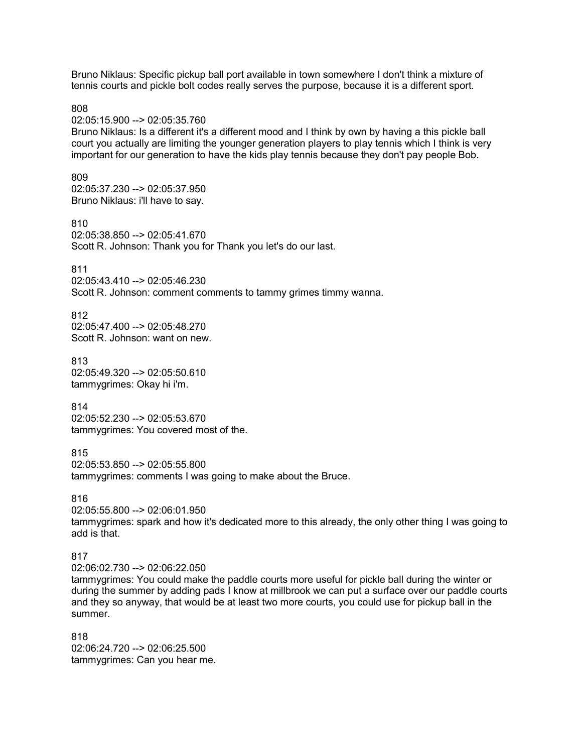Bruno Niklaus: Specific pickup ball port available in town somewhere I don't think a mixture of tennis courts and pickle bolt codes really serves the purpose, because it is a different sport.

808

02:05:15.900 --> 02:05:35.760

Bruno Niklaus: Is a different it's a different mood and I think by own by having a this pickle ball court you actually are limiting the younger generation players to play tennis which I think is very important for our generation to have the kids play tennis because they don't pay people Bob.

809

02:05:37.230 --> 02:05:37.950 Bruno Niklaus: i'll have to say.

810 02:05:38.850 --> 02:05:41.670 Scott R. Johnson: Thank you for Thank you let's do our last.

811

02:05:43.410 --> 02:05:46.230 Scott R. Johnson: comment comments to tammy grimes timmy wanna.

812 02:05:47.400 --> 02:05:48.270 Scott R. Johnson: want on new.

813 02:05:49.320 --> 02:05:50.610 tammygrimes: Okay hi i'm.

814 02:05:52.230 --> 02:05:53.670 tammygrimes: You covered most of the.

815 02:05:53.850 --> 02:05:55.800 tammygrimes: comments I was going to make about the Bruce.

816

02:05:55.800 --> 02:06:01.950

tammygrimes: spark and how it's dedicated more to this already, the only other thing I was going to add is that.

817

02:06:02.730 --> 02:06:22.050

tammygrimes: You could make the paddle courts more useful for pickle ball during the winter or during the summer by adding pads I know at millbrook we can put a surface over our paddle courts and they so anyway, that would be at least two more courts, you could use for pickup ball in the summer.

818 02:06:24.720 --> 02:06:25.500 tammygrimes: Can you hear me.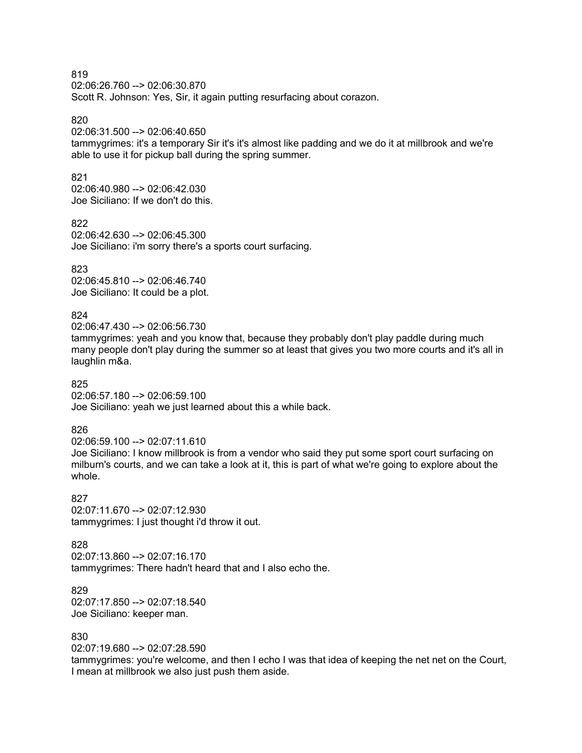02:06:26.760 --> 02:06:30.870 Scott R. Johnson: Yes, Sir, it again putting resurfacing about corazon.

### 820

02:06:31.500 --> 02:06:40.650

tammygrimes: it's a temporary Sir it's it's almost like padding and we do it at millbrook and we're able to use it for pickup ball during the spring summer.

# 821

02:06:40.980 --> 02:06:42.030 Joe Siciliano: If we don't do this.

822

02:06:42.630 --> 02:06:45.300 Joe Siciliano: i'm sorry there's a sports court surfacing.

823

02:06:45.810 --> 02:06:46.740 Joe Siciliano: It could be a plot.

### 824

02:06:47.430 --> 02:06:56.730

tammygrimes: yeah and you know that, because they probably don't play paddle during much many people don't play during the summer so at least that gives you two more courts and it's all in laughlin m&a.

### 825

02:06:57.180 --> 02:06:59.100 Joe Siciliano: yeah we just learned about this a while back.

### 826

02:06:59.100 --> 02:07:11.610

Joe Siciliano: I know millbrook is from a vendor who said they put some sport court surfacing on milburn's courts, and we can take a look at it, this is part of what we're going to explore about the whole.

#### 827

02:07:11.670 --> 02:07:12.930 tammygrimes: I just thought i'd throw it out.

### 828

02:07:13.860 --> 02:07:16.170 tammygrimes: There hadn't heard that and I also echo the.

829 02:07:17.850 --> 02:07:18.540 Joe Siciliano: keeper man.

### 830

02:07:19.680 --> 02:07:28.590

tammygrimes: you're welcome, and then I echo I was that idea of keeping the net net on the Court, I mean at millbrook we also just push them aside.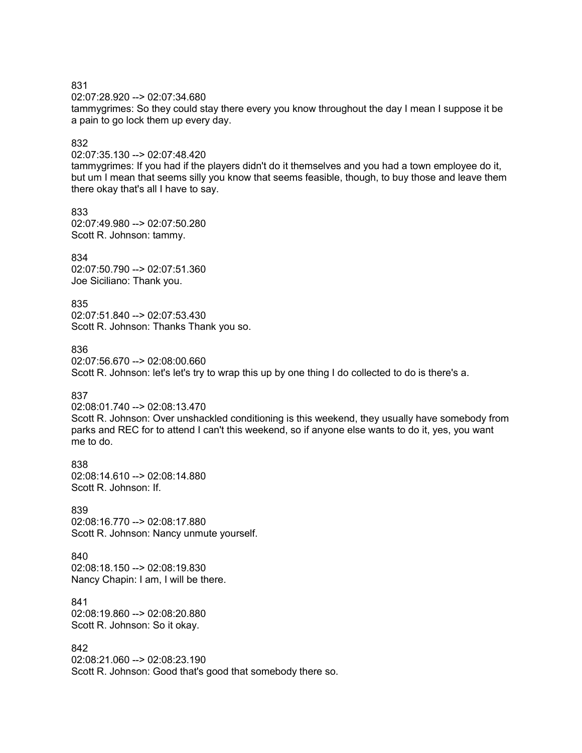02:07:28.920 --> 02:07:34.680

tammygrimes: So they could stay there every you know throughout the day I mean I suppose it be a pain to go lock them up every day.

#### 832

02:07:35.130 --> 02:07:48.420

tammygrimes: If you had if the players didn't do it themselves and you had a town employee do it, but um I mean that seems silly you know that seems feasible, though, to buy those and leave them there okay that's all I have to say.

833 02:07:49.980 --> 02:07:50.280 Scott R. Johnson: tammy.

834 02:07:50.790 --> 02:07:51.360 Joe Siciliano: Thank you.

835 02:07:51.840 --> 02:07:53.430 Scott R. Johnson: Thanks Thank you so.

836

02:07:56.670 --> 02:08:00.660 Scott R. Johnson: let's let's try to wrap this up by one thing I do collected to do is there's a.

### 837

02:08:01.740 --> 02:08:13.470

Scott R. Johnson: Over unshackled conditioning is this weekend, they usually have somebody from parks and REC for to attend I can't this weekend, so if anyone else wants to do it, yes, you want me to do.

838 02:08:14.610 --> 02:08:14.880 Scott R. Johnson: If.

### 839

02:08:16.770 --> 02:08:17.880 Scott R. Johnson: Nancy unmute yourself.

#### 840 02:08:18.150 --> 02:08:19.830

Nancy Chapin: I am, I will be there.

841 02:08:19.860 --> 02:08:20.880 Scott R. Johnson: So it okay.

### 842

02:08:21.060 --> 02:08:23.190 Scott R. Johnson: Good that's good that somebody there so.